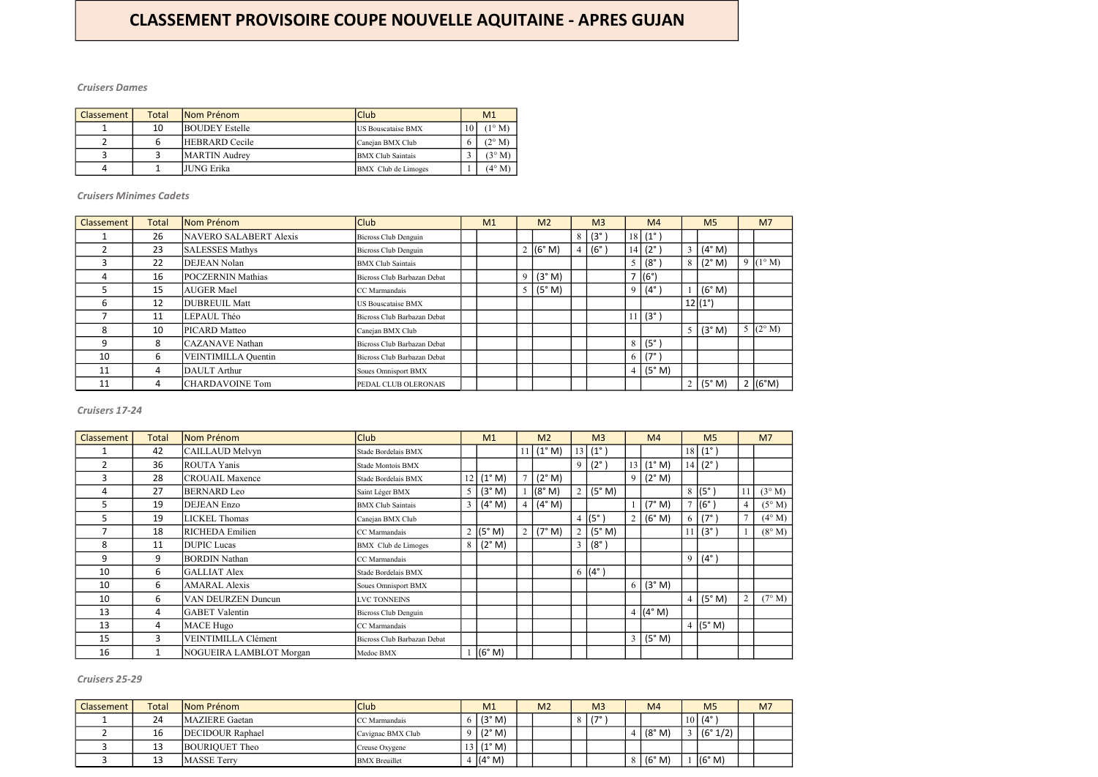| <b>Classement</b> / | Total | Nom Prénom            | Club                       | M <sub>1</sub>  |
|---------------------|-------|-----------------------|----------------------------|-----------------|
|                     | 10    | <b>BOUDEY</b> Estelle | <b>IUS Bouscataise BMX</b> | $(1^{\circ} M)$ |
|                     |       | <b>HEBRARD</b> Cecile | Canejan BMX Club           | $(2^{\circ}$ M) |
|                     |       | <b>MARTIN</b> Audrey  | <b>BMX Club Saintais</b>   | $(3^\circ M)$   |
| Д                   |       | <b>JUNG Erika</b>     | BMX Club de Limoges        | $(4^{\circ} M)$ |

| <b>Classement</b> | <b>Total</b> | Nom Prénom               | <b>Club</b>                 | M <sub>1</sub> |   | M <sub>2</sub>           |   | M <sub>3</sub> |        | M <sub>4</sub>     |                  | M <sub>5</sub>               | M <sub>7</sub>    |
|-------------------|--------------|--------------------------|-----------------------------|----------------|---|--------------------------|---|----------------|--------|--------------------|------------------|------------------------------|-------------------|
|                   | 26           | NAVERO SALABERT Alexis   | Bicross Club Denguin        |                |   |                          | 8 | $(3^\circ)$    |        | $18 (1^{\circ})$   |                  |                              |                   |
|                   | 23           | <b>SALESSES Mathys</b>   | Bicross Club Denguin        |                |   | 2 $(6° M)$               |   | $(6^\circ)$    |        | $14   (2^{\circ})$ | 3 <sup>1</sup>   | $(4^{\circ}$ M)              |                   |
|                   | 22           | <b>DEJEAN Nolan</b>      | <b>BMX</b> Club Saintais    |                |   |                          |   |                | $\leq$ | $(8^\circ$         |                  | $8 \mid (2^\circ \text{M})$  | 9 $(1^{\circ} M)$ |
|                   | 16           | <b>POCZERNIN Mathias</b> | Bicross Club Barbazan Debat |                | 9 | (3° M)                   |   |                |        | (6°)               |                  |                              |                   |
|                   | 15           | <b>AUGER Mael</b>        | CC Marmandais               |                |   | (5° M)<br>5 <sup>5</sup> |   |                | 9      | $(4^\circ$         |                  | (6° M)                       |                   |
| b                 | 12           | <b>DUBREUIL Matt</b>     | US Bouscataise BMX          |                |   |                          |   |                |        |                    | $12 (1^{\circ})$ |                              |                   |
|                   | 11           | LEPAUL Théo              | Bicross Club Barbazan Debat |                |   |                          |   |                |        | 11   (3°)          |                  |                              |                   |
| 8                 | 10           | PICARD Matteo            | Canejan BMX Club            |                |   |                          |   |                |        |                    |                  | 5 (3°M)                      | 5 $(2^{\circ} M)$ |
| 9                 | 8            | <b>CAZANAVE</b> Nathan   | Bicross Club Barbazan Debat |                |   |                          |   |                | 8      | $(5^\circ$         |                  |                              |                   |
| 10                | 6            | VEINTIMILLA Quentin      | Bicross Club Barbazan Debat |                |   |                          |   |                | 6      | $(7^{\circ}$       |                  |                              |                   |
| 11                | 4            | DAULT Arthur             | Soues Omnisport BMX         |                |   |                          |   |                |        | (5° M)             |                  |                              |                   |
| 11                | 4            | <b>CHARDAVOINE Tom</b>   | PEDAL CLUB OLERONAIS        |                |   |                          |   |                |        |                    |                  | $2 \mid (5^\circ \text{ M})$ | 2 (6°M)           |

| <b>Classement</b> | <b>Total</b> | Nom Prénom              | <b>Club</b>                 |                | M1                          |        | M <sub>2</sub> |                | M <sub>3</sub>  |                | M <sub>4</sub> |                | M <sub>5</sub>         |                | M <sub>7</sub>  |
|-------------------|--------------|-------------------------|-----------------------------|----------------|-----------------------------|--------|----------------|----------------|-----------------|----------------|----------------|----------------|------------------------|----------------|-----------------|
|                   | 42           | CAILLAUD Melvyn         | Stade Bordelais BMX         |                |                             |        | 11   (1° M)    | 13             | $(1^{\circ})$   |                |                |                | $18   (1^{\circ})$     |                |                 |
| 2                 | 36           | <b>ROUTA Yanis</b>      | Stade Montois BMX           |                |                             |        |                | 9              | $(2^{\circ})$   |                | $13$ (1° M)    |                | 14   (2 <sup>°</sup> ) |                |                 |
| 3                 | 28           | <b>CROUAIL Maxence</b>  | Stade Bordelais BMX         |                | 12   (1° M)                 | $\tau$ | (2° M)         |                |                 | 9 <sup>1</sup> | (2° M)         |                |                        |                |                 |
| 4                 | 27           | <b>BERNARD</b> Leo      | Saint Léger BMX             | 5 <sup>5</sup> | (3° M)                      |        | (8° M)         | $\overline{2}$ | (5° M)          |                |                |                | $8 (5^\circ)$          | 11             | $(3^{\circ} M)$ |
| 5                 | 19           | <b>DEJEAN Enzo</b>      | <b>BMX</b> Club Saintais    | 3              | (4° M)                      |        | 4 (4°M)        |                |                 |                | (7° M)         | $\overline{ }$ | $ (6^\circ) $          | 4              | $(5^\circ M)$   |
| 5.                | 19           | <b>LICKEL Thomas</b>    | Canejan BMX Club            |                |                             |        |                | $\overline{4}$ | $(5^\circ)$     | 2 <sup>1</sup> | (6° M)         | O              | $(7^\circ)$            |                | $(4^{\circ} M)$ |
|                   | 18           | <b>RICHEDA</b> Emilien  | CC Marmandais               |                | 2 $(5° M)$                  |        | 2   (7° M)     | $\overline{2}$ | (5° M)          |                |                |                | 11   (3°)              |                | $(8^\circ M)$   |
| 8                 | 11           | <b>DUPIC</b> Lucas      | <b>BMX</b> Club de Limoges  |                | $8 \mid (2^\circ \text{M})$ |        |                | 3              | $(8^\circ)$     |                |                |                |                        |                |                 |
| 9                 | 9            | <b>BORDIN Nathan</b>    | CC Marmandais               |                |                             |        |                |                |                 |                |                | 9              | $(4^{\circ})$          |                |                 |
| 10                | 6            | <b>GALLIAT Alex</b>     | Stade Bordelais BMX         |                |                             |        |                |                | 6 $(4^{\circ})$ |                |                |                |                        |                |                 |
| 10                | 6            | <b>AMARAL Alexis</b>    | Soues Omnisport BMX         |                |                             |        |                |                |                 | 6 l            | (3° M)         |                |                        |                |                 |
| 10                | 6            | VAN DEURZEN Duncun      | LVC TONNEINS                |                |                             |        |                |                |                 |                |                | 4              | (5° M)                 | $\overline{2}$ | $(7^\circ M)$   |
| 13                | 4            | <b>GABET</b> Valentin   | Bicross Club Denguin        |                |                             |        |                |                |                 |                | 4 $(4° M)$     |                |                        |                |                 |
| 13                | 4            | <b>MACE Hugo</b>        | CC Marmandais               |                |                             |        |                |                |                 |                |                |                | 4 (5°M)                |                |                 |
| 15                | 3            | VEINTIMILLA Clément     | Bicross Club Barbazan Debat |                |                             |        |                |                |                 | 3 <sup>1</sup> | (5° M)         |                |                        |                |                 |
| 16                | 1            | NOGUEIRA LAMBLOT Morgan | Medoc BMX                   |                | (6° M)                      |        |                |                |                 |                |                |                |                        |                |                 |

| Classement | Total | Nom Prénom              | <b>Club</b>           | M <sub>1</sub>         | M <sub>2</sub> |   | M <sub>3</sub> | M <sub>4</sub>               | M <sub>5</sub>     | M <sub>7</sub> |
|------------|-------|-------------------------|-----------------------|------------------------|----------------|---|----------------|------------------------------|--------------------|----------------|
|            | 24    | <b>MAZIERE</b> Gaetan   | <b>ICC</b> Marmandais | (3° M)                 |                | 8 | ە 1            |                              | $10   (4^{\circ})$ |                |
|            | 16    | <b>DECIDOUR Raphael</b> | Cavignac BMX Club     | (2° M)                 |                |   |                | (8° M)                       | (6° 1/2)           |                |
|            | 13    | BOURIQUET Theo          | Creuse Oxygene        | $\left 3\right $ (1°M) |                |   |                |                              |                    |                |
|            | 13    | <b>MASSE Terry</b>      | <b>BMX</b> Breuillet  | $ (4° \text{ M})$      |                |   |                | $8 \mid (6^\circ \text{ M})$ | (6° M)             |                |

#### Cruisers 25-29

#### Cruisers Dames

Cruisers Minimes Cadets

Cruisers 17-24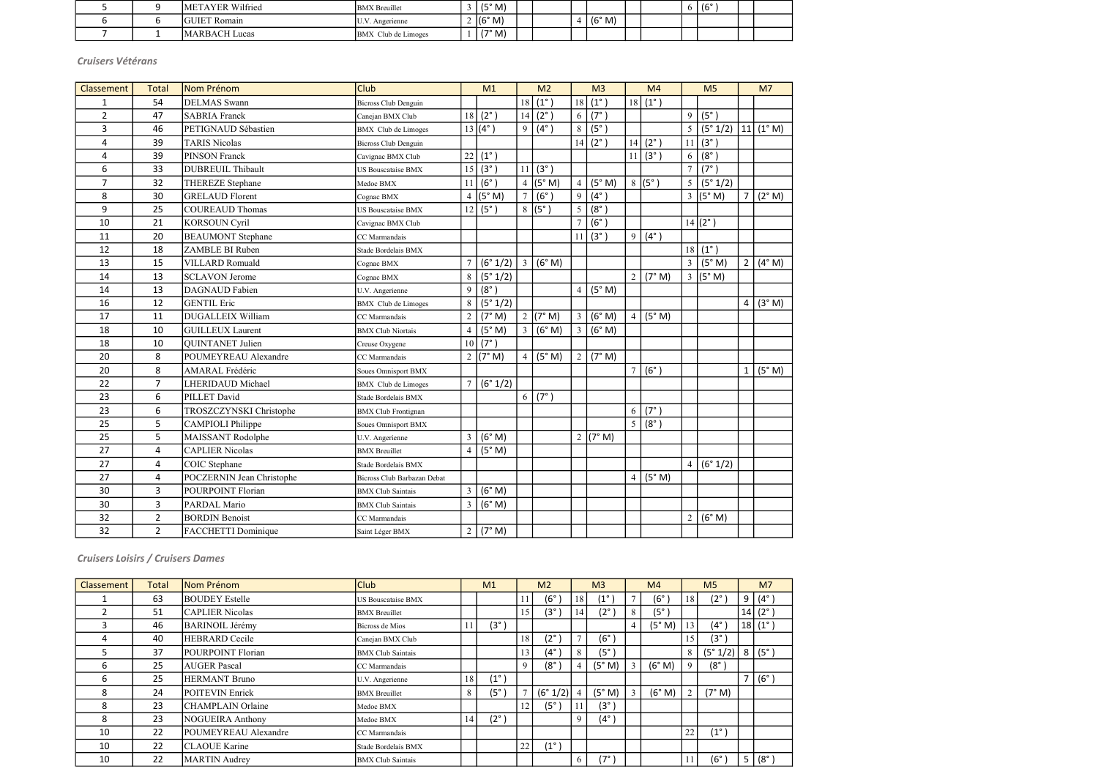|  | METAYER Wilfried     | <b>BMX</b> Breuillet | (5° M) |  |        |  | $\frac{1}{6}$ |  |
|--|----------------------|----------------------|--------|--|--------|--|---------------|--|
|  | <b>GUIET Romain</b>  | . Angerienne         | (6° M) |  | (6° M) |  |               |  |
|  | <b>MARBACH</b> Lucas | BMX Club de Limoges  | (7° M) |  |        |  |               |  |

| Classement     | <b>Total</b>   | Nom Prénom                       | Club                        |                | M1                    |                | M <sub>2</sub>      |                | M <sub>3</sub> |                | M <sub>4</sub> |                | M <sub>5</sub>     |                | M <sub>7</sub>  |
|----------------|----------------|----------------------------------|-----------------------------|----------------|-----------------------|----------------|---------------------|----------------|----------------|----------------|----------------|----------------|--------------------|----------------|-----------------|
| $\mathbf{1}$   | 54             | <b>DELMAS</b> Swann              | Bicross Club Denguin        |                |                       | 18             | $(1^{\circ})$       | 18             | $(1^{\circ})$  | 18             | $(1^{\circ})$  |                |                    |                |                 |
| $\overline{2}$ | 47             | <b>SABRIA Franck</b>             | Canejan BMX Club            | 18             | $(2^{\circ})$         | 14             | $(2^{\circ})$       | 6              | $(7^\circ)$    |                |                | 9              | (5°)               |                |                 |
| 3              | 46             | PETIGNAUD Sébastien              | <b>BMX</b> Club de Limoges  |                | $13(4^{\circ})$       | 9              | $(4^{\circ})$       | $\,8\,$        | $(5^\circ)$    |                |                | 5              | (5° 1/2)           | 11             | $(1^{\circ} M)$ |
| 4              | 39             | <b>TARIS Nicolas</b>             | <b>Bicross Club Denguin</b> |                |                       |                |                     | 14             | $(2^{\circ})$  | 14             | $(2^{\circ})$  | 11             | $(3^{\circ})$      |                |                 |
| 4              | 39             | <b>PINSON Franck</b>             | Cavignac BMX Club           | 22             | $(1^{\circ})$         |                |                     |                |                | 11             | $(3^{\circ})$  | 6              | $(8^\circ)$        |                |                 |
| 6              | 33             | <b>DUBREUIL Thibault</b>         | <b>US Bouscataise BMX</b>   | 15             | (3°)                  | 11             | $(3^\circ)$         |                |                |                |                | $\overline{7}$ | $(7^\circ)$        |                |                 |
| $\overline{7}$ | 32             | THEREZE Stephane                 | Medoc BMX                   | 11             | $(6^\circ)$           |                | 4 ( $(5^{\circ}$ M) | $\overline{4}$ | (5° M)         |                | 8 (5°)         | 5              | (5° 1/2)           |                |                 |
| 8              | 30             | <b>GRELAUD Florent</b>           | Cognac BMX                  | $\overline{4}$ | (5° M)                | $\overline{7}$ | $(6^\circ)$         | $\overline{9}$ | $(4^{\circ})$  |                |                | $\overline{3}$ | (5° M)             | $\overline{7}$ | (2° M)          |
| 9              | 25             | <b>COUREAUD Thomas</b>           | US Bouscataise BMX          | 12             | $(5^\circ)$           |                | $8 (5^\circ)$       | 5              | $(8^\circ)$    |                |                |                |                    |                |                 |
| 10             | 21             | <b>KORSOUN Cyril</b>             | Cavignac BMX Club           |                |                       |                |                     | $\overline{7}$ | (6°)           |                |                |                | $14 (2^{\circ})$   |                |                 |
| 11             | 20             | <b>BEAUMONT</b> Stephane         | CC Marmandais               |                |                       |                |                     | 11             | (3°)           | 9              | $(4^{\circ})$  |                |                    |                |                 |
| 12             | 18             | ZAMBLE BI Ruben                  | Stade Bordelais BMX         |                |                       |                |                     |                |                |                |                |                | $18   (1^{\circ})$ |                |                 |
| 13             | 15             | VILLARD Romuald                  | Cognac BMX                  |                | (6° 1/2)              | $\overline{3}$ | (6° M)              |                |                |                |                | $\overline{3}$ | (5° M)             | $\overline{2}$ | $(4^{\circ}$ M) |
| 14             | 13             | <b>SCLAVON Jerome</b>            | Cognac BMX                  | $8\,$          | (5° 1/2)              |                |                     |                |                | 2 <sup>1</sup> | (7° M)         | 3              | (5° M)             |                |                 |
| 14             | 13             | <b>DAGNAUD</b> Fabien            | U.V. Angerienne             | 9              | $(8^\circ)$           |                |                     | $\overline{4}$ | (5° M)         |                |                |                |                    |                |                 |
| 16             | 12             | <b>GENTIL Eric</b>               | <b>BMX</b> Club de Limoges  | 8              | (5° 1/2)              |                |                     |                |                |                |                |                |                    | $\overline{4}$ | (3° M)          |
| 17             | 11             | DUGALLEIX William                | CC Marmandais               | $\overline{2}$ | (7° M)                |                | 2 $(7° M)$          | $\mathfrak{Z}$ | (6° M)         | 4              | (5° M)         |                |                    |                |                 |
| 18             | 10             | <b>GUILLEUX Laurent</b>          | <b>BMX Club Niortais</b>    | $\overline{4}$ | (5° M)                | $\overline{3}$ | (6° M)              | $\overline{3}$ | (6° M)         |                |                |                |                    |                |                 |
| 18             | 10             | <b>OUINTANET Julien</b>          | Creuse Oxygene              | 10             | $(7^{\circ})$         |                |                     |                |                |                |                |                |                    |                |                 |
| 20             | 8              | POUMEYREAU Alexandre             | CC Marmandais               |                | $\overline{2}$ (7° M) | $\overline{4}$ | (5° M)              | $\overline{2}$ | (7° M)         |                |                |                |                    |                |                 |
| 20             | 8              | <b>AMARAL Frédéric</b>           | Soues Omnisport BMX         |                |                       |                |                     |                |                | $\overline{7}$ | $(6^\circ)$    |                |                    | $\mathbf{1}$   | (5° M)          |
| 22             | $\overline{7}$ | <b>LHERIDAUD Michael</b>         | <b>BMX</b> Club de Limoges  |                | (6° 1/2)              |                |                     |                |                |                |                |                |                    |                |                 |
| 23             | 6              | PILLET David                     | Stade Bordelais BMX         |                |                       | 6              | $(7^\circ)$         |                |                |                |                |                |                    |                |                 |
| 23             | 6              | TROSZCZYNSKI Christophe          | <b>BMX</b> Club Frontignan  |                |                       |                |                     |                |                | 6              | $(7^\circ)$    |                |                    |                |                 |
| 25             | 5              | <b>CAMPIOLI Philippe</b>         | Soues Omnisport BMX         |                |                       |                |                     |                |                | 5              | $(8^\circ)$    |                |                    |                |                 |
| 25             | 5              | MAISSANT Rodolphe                | U.V. Angerienne             | 3              | (6° M)                |                |                     | $\overline{2}$ | (7° M)         |                |                |                |                    |                |                 |
| 27             | 4              | <b>CAPLIER Nicolas</b>           | <b>BMX</b> Breuillet        | $\overline{4}$ | (5° M)                |                |                     |                |                |                |                |                |                    |                |                 |
| 27             | 4              | COIC Stephane                    | Stade Bordelais BMX         |                |                       |                |                     |                |                |                |                | $\overline{4}$ | (6° 1/2)           |                |                 |
| 27             | 4              | <b>POCZERNIN Jean Christophe</b> | Bicross Club Barbazan Debat |                |                       |                |                     |                |                | 4 <sup>1</sup> | (5° M)         |                |                    |                |                 |
| 30             | 3              | <b>POURPOINT Florian</b>         | <b>BMX</b> Club Saintais    | $\overline{3}$ | (6° M)                |                |                     |                |                |                |                |                |                    |                |                 |
| 30             | 3              | PARDAL Mario                     | <b>BMX Club Saintais</b>    | 3              | (6° M)                |                |                     |                |                |                |                |                |                    |                |                 |
| 32             | $\overline{2}$ | <b>BORDIN Benoist</b>            | CC Marmandais               |                |                       |                |                     |                |                |                |                | $\overline{2}$ | (6° M)             |                |                 |
| 32             | $\overline{2}$ | FACCHETTI Dominique              | Saint Léger BMX             | $\overline{2}$ | (7° M)                |                |                     |                |                |                |                |                |                    |                |                 |

| <b>Classement</b> | Total | Nom Prénom             | <b>Club</b>               |    | M1           |             | M <sub>2</sub> |                | M <sub>3</sub> |                | M <sub>4</sub> |             | M <sub>5</sub> |                | M <sub>7</sub>      |
|-------------------|-------|------------------------|---------------------------|----|--------------|-------------|----------------|----------------|----------------|----------------|----------------|-------------|----------------|----------------|---------------------|
|                   | 63    | <b>BOUDEY Estelle</b>  | <b>US Bouscataise BMX</b> |    |              |             | $(6^{\circ})$  | 18             | (1°            | $\overline{ }$ | (6°            | 18          | $(2^{\circ}$   | 9              | $(4^\circ)$         |
|                   | 51    | <b>CAPLIER Nicolas</b> | <b>BMX</b> Breuillet      |    |              | 15          | $(3^{\circ})$  | 14             | $(2^{\circ}$   | 8              | $(5^\circ$     |             |                |                | $14   (2^{\circ})$  |
|                   | 46    | <b>BARINOIL Jérémy</b> | Bicross de Mios           |    | (3°          |             |                |                |                |                | (5° M)         | 13          | (4°            |                | $18(1^{\circ})$     |
|                   | 40    | <b>HEBRARD</b> Cecile  | Canejan BMX Club          |    |              | 18          | (2°)           | $\mathbf{r}$   | $(6^{\circ}$   |                |                | 15          | $(3^{\circ}$   |                |                     |
|                   | 37    | POURPOINT Florian      | <b>BMX Club Saintais</b>  |    |              | 13          | $(4^{\circ})$  | 8              | (5°            |                |                | 8           | (5° 1/2)       |                | $8 (5^\circ)$       |
| h                 | 25    | <b>AUGER Pascal</b>    | CC Marmandais             |    |              | $\mathbf Q$ | (8°            | $\overline{4}$ | (5° M)         |                | (6° M)         | $\mathbf Q$ | $(8^\circ$     |                |                     |
| h                 | 25    | <b>HERMANT Bruno</b>   | U.V. Angerienne           | 18 | $(1^{\circ}$ |             |                |                |                |                |                |             |                | $\overline{ }$ | $\vert$ (6° $\vert$ |
| 8                 | 24    | <b>POITEVIN Enrick</b> | <b>BMX</b> Breuillet      | 8  | (5°          |             | (6° 1/2)       |                | (5° M)         |                | (6° M)         | $\gamma$    | (7° M)         |                |                     |
| 8                 | 23    | CHAMPLAIN Orlaine      | Medoc BMX                 |    |              | 12          | $(5^\circ)$    | 11             | (3°            |                |                |             |                |                |                     |
| 8                 | 23    | NOGUEIRA Anthony       | Medoc BMX                 | 14 | (2°          |             |                | 9              | (4°            |                |                |             |                |                |                     |
| 10                | 22    | POUMEYREAU Alexandre   | CC Marmandais             |    |              |             |                |                |                |                |                | 22          | (1°            |                |                     |
| 10                | 22    | <b>CLAOUE</b> Karine   | Stade Bordelais BMX       |    |              | 22          | $(1^{\circ})$  |                |                |                |                |             |                |                |                     |
| 10                | 22    | <b>MARTIN</b> Audrey   | <b>BMX Club Saintais</b>  |    |              |             |                | 6              | '7°            |                |                | 11          | $(6^\circ$     | 5              | $(8^\circ)$         |

Cruisers Vétérans

Cruisers Loisirs / Cruisers Dames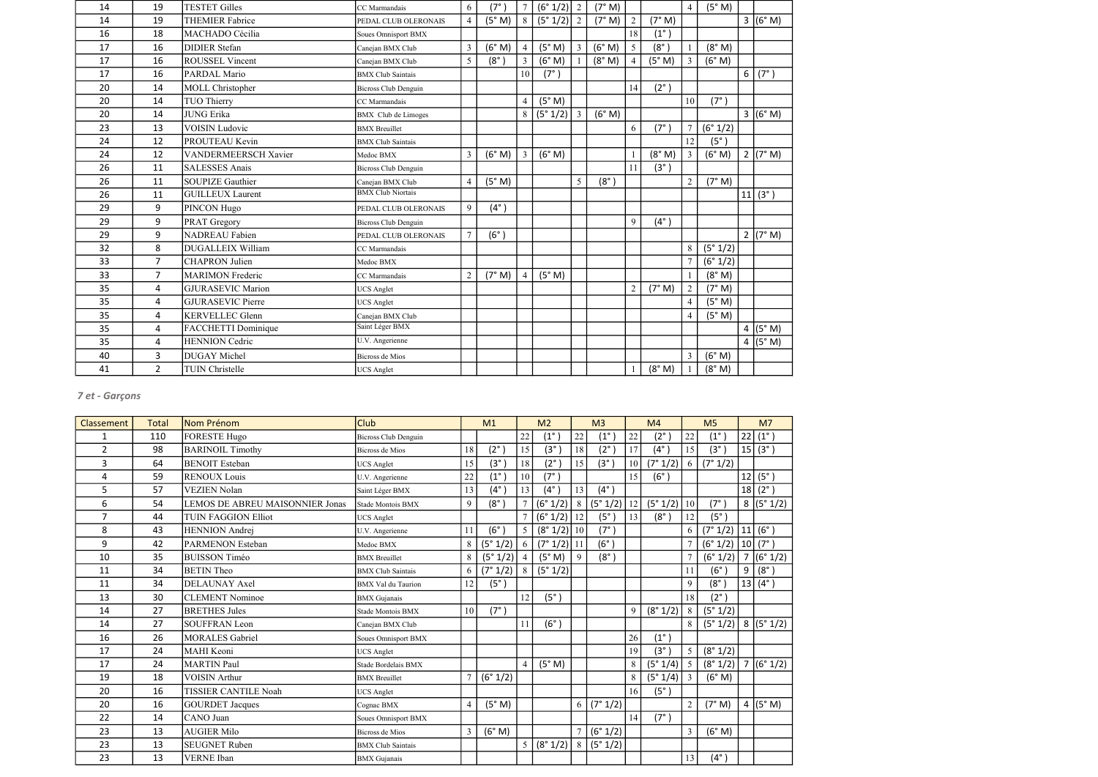| 14 | 19             | <b>TESTET Gilles</b>     | CC Marmandais               | 6              | $(7^\circ)$   |                | $(6° 1/2)$ 2 |   | (7° M)      |                |               | $\overline{4}$ | (5° M)   |   |             |
|----|----------------|--------------------------|-----------------------------|----------------|---------------|----------------|--------------|---|-------------|----------------|---------------|----------------|----------|---|-------------|
| 14 | 19             | <b>THEMIER Fabrice</b>   | PEDAL CLUB OLERONAIS        | 4              | (5° M)        | 8              | $(5° 1/2)$ 2 |   | (7° M)      | $\sqrt{2}$     | (7° M)        |                |          |   | 3 (6° M)    |
| 16 | 18             | MACHADO Cécilia          | Soues Omnisport BMX         |                |               |                |              |   |             | 18             | $(1^{\circ})$ |                |          |   |             |
| 17 | 16             | <b>DIDIER</b> Stefan     | Canejan BMX Club            | 3              | (6° M)        |                | (5° M)       | 3 | (6° M)      | 5              | $(8^\circ)$   |                | (8° M)   |   |             |
| 17 | 16             | <b>ROUSSEL Vincent</b>   | Canejan BMX Club            | 5              | $(8^\circ)$   |                | (6° M)       |   | (8° M)      | $\overline{4}$ | (5° M)        | $\mathfrak{Z}$ | (6° M)   |   |             |
| 17 | 16             | PARDAL Mario             | <b>BMX</b> Club Saintais    |                |               | 10             | $(7^\circ)$  |   |             |                |               |                |          | 6 | $(7^\circ)$ |
| 20 | 14             | MOLL Christopher         | Bicross Club Denguin        |                |               |                |              |   |             | 14             | $(2^{\circ})$ |                |          |   |             |
| 20 | 14             | TUO Thierry              | CC Marmandais               |                |               | $\overline{4}$ | (5° M)       |   |             |                |               | 10             | (7°)     |   |             |
| 20 | 14             | <b>JUNG Erika</b>        | <b>BMX</b> Club de Limoges  |                |               | 8              | $(5° 1/2)$ 3 |   | (6° M)      |                |               |                |          |   | 3 (6° M)    |
| 23 | 13             | <b>VOISIN</b> Ludovic    | <b>BMX</b> Breuillet        |                |               |                |              |   |             | 6              | $(7^\circ)$   |                | (6° 1/2) |   |             |
| 24 | 12             | PROUTEAU Kevin           | <b>BMX</b> Club Saintais    |                |               |                |              |   |             |                |               | 12             | (5°)     |   |             |
| 24 | 12             | VANDERMEERSCH Xavier     | Medoc BMX                   | 3              | (6° M)        | 3              | (6° M)       |   |             |                | (8° M)        | $\mathfrak{Z}$ | (6° M)   |   | 2 (7° M)    |
| 26 | 11             | <b>SALESSES Anais</b>    | Bicross Club Denguin        |                |               |                |              |   |             | 11             | (3°)          |                |          |   |             |
| 26 | 11             | <b>SOUPIZE Gauthier</b>  | Canejan BMX Club            | 4              | (5° M)        |                |              | 5 | $(8^\circ)$ |                |               | $\overline{2}$ | (7° M)   |   |             |
| 26 | 11             | <b>GUILLEUX Laurent</b>  | <b>BMX Club Niortais</b>    |                |               |                |              |   |             |                |               |                |          |   | 11 (3°)     |
| 29 | 9              | PINCON Hugo              | PEDAL CLUB OLERONAIS        | 9              | $(4^{\circ})$ |                |              |   |             |                |               |                |          |   |             |
| 29 | 9              | PRAT Gregory             | <b>Bicross Club Denguin</b> |                |               |                |              |   |             | 9              | $(4^{\circ})$ |                |          |   |             |
| 29 | 9              | <b>NADREAU Fabien</b>    | PEDAL CLUB OLERONAIS        | 7              | $(6^\circ)$   |                |              |   |             |                |               |                |          |   | 2 $(7° M)$  |
| 32 | 8              | DUGALLEIX William        | CC Marmandais               |                |               |                |              |   |             |                |               | 8              | (5° 1/2) |   |             |
| 33 | 7              | <b>CHAPRON</b> Julien    | Medoc BMX                   |                |               |                |              |   |             |                |               |                | (6° 1/2) |   |             |
| 33 | $\overline{7}$ | <b>MARIMON Frederic</b>  | CC Marmandais               | $\overline{2}$ | (7° M)        |                | (5° M)       |   |             |                |               |                | (8° M)   |   |             |
| 35 | 4              | <b>GJURASEVIC Marion</b> | <b>UCS</b> Anglet           |                |               |                |              |   |             | $\overline{2}$ | (7° M)        | $\overline{2}$ | (7° M)   |   |             |
| 35 | 4              | <b>GJURASEVIC Pierre</b> | <b>UCS</b> Anglet           |                |               |                |              |   |             |                |               | $\overline{4}$ | (5° M)   |   |             |
| 35 | 4              | <b>KERVELLEC Glenn</b>   | Canejan BMX Club            |                |               |                |              |   |             |                |               | $\overline{4}$ | (5° M)   |   |             |
| 35 | 4              | FACCHETTI Dominique      | Saint Léger BMX             |                |               |                |              |   |             |                |               |                |          |   | 4 $(5° M)$  |
| 35 | 4              | <b>HENNION</b> Cedric    | U.V. Angerienne             |                |               |                |              |   |             |                |               |                |          |   | 4 (5°M)     |
| 40 | 3              | <b>DUGAY</b> Michel      | Bicross de Mios             |                |               |                |              |   |             |                |               | $\overline{3}$ | (6° M)   |   |             |
| 41 | $\overline{2}$ | TUIN Christelle          | <b>UCS</b> Anglet           |                |               |                |              |   |             |                | (8° M)        |                | (8° M)   |   |             |

| Classement     | <b>Total</b> | Nom Prénom                             | <b>Club</b>                 |                | M1                |                | M <sub>2</sub> |                | M <sub>3</sub>    |    | M <sub>4</sub> |                | M <sub>5</sub>          |                | M <sub>7</sub>     |
|----------------|--------------|----------------------------------------|-----------------------------|----------------|-------------------|----------------|----------------|----------------|-------------------|----|----------------|----------------|-------------------------|----------------|--------------------|
| 1              | 110          | <b>FORESTE Hugo</b>                    | <b>Bicross Club Denguin</b> |                |                   | 22             | $(1^{\circ})$  | 22             | $(1^{\circ})$     | 22 | $(2^{\circ})$  | 22             | $(1^{\circ})$           | 22             | $(1^{\circ})$      |
| $\overline{2}$ | 98           | <b>BARINOIL Timothy</b>                | Bicross de Mios             | 18             | $(2^{\circ})$     | 15             | $(3^\circ)$    | 18             | $(2^{\circ})$     | 17 | $(4^{\circ})$  | 15             | (3°)                    |                | 15 (3°)            |
| 3              | 64           | <b>BENOIT</b> Esteban                  | <b>UCS</b> Anglet           | 15             | (3 <sup>°</sup> ) | 18             | $(2^{\circ})$  | 15             | $(3^\circ)$       | 10 | (7° 1/2)       | 6              | (7° 1/2)                |                |                    |
| 4              | 59           | <b>RENOUX Louis</b>                    | U.V. Angerienne             | 22             | $(1^{\circ})$     | 10             | (7°)           |                |                   | 15 | $(6^\circ)$    |                |                         | 12             | $(5^{\circ})$      |
| 5              | 57           | <b>VEZIEN Nolan</b>                    | Saint Léger BMX             | 13             | $(4^\circ)$       | 13             | $(4^{\circ})$  | 13             | $(4^{\circ})$     |    |                |                |                         | 18             | $(2^{\circ})$      |
| 6              | 54           | <b>LEMOS DE ABREU MAISONNIER Jonas</b> | Stade Montois BMX           | 9              | $(8^\circ)$       | $\overline{7}$ | (6° 1/2)       | $8\,$          | (5° 1/2)          | 12 | (5° 1/2)       | 10             | $(7^\circ)$             |                | 8 (5°1/2)          |
| $\overline{7}$ | 44           | <b>TUIN FAGGION Elliot</b>             | <b>UCS</b> Anglet           |                |                   | $\overline{7}$ | (6° 1/2)       | 12             | (5 <sup>°</sup> ) | 13 | $(8^\circ)$    | 12             | (5°)                    |                |                    |
| 8              | 43           | <b>HENNION</b> Andrej                  | U.V. Angerienne             | 11             | $(6^\circ)$       | $\sqrt{5}$     | (8° 1/2)       | 10             | (7°)              |    |                | 6              | $(7° 1/2)$ 11 (6°)      |                |                    |
| 9              | 42           | <b>PARMENON Esteban</b>                | Medoc BMX                   | $\,8\,$        | (5° 1/2)          | 6              | (7° 1/2)       | 11             | (6°)              |    |                |                | $(6° 1/2)$ 10 $(7°)$    |                |                    |
| 10             | 35           | <b>BUISSON Timéo</b>                   | <b>BMX</b> Breuillet        | 8              | (5° 1/2)          | $\overline{4}$ | (5° M)         | 9              | $(8^\circ)$       |    |                |                | (6° 1/2)                |                | 7 (6°1/2)          |
| 11             | 34           | <b>BETIN</b> Theo                      | <b>BMX Club Saintais</b>    | 6              | (7° 1/2)          | 8              | (5° 1/2)       |                |                   |    |                | 11             | $(6^\circ)$             | 9 <sup>1</sup> | $(8^\circ)$        |
| 11             | 34           | <b>DELAUNAY Axel</b>                   | <b>BMX</b> Val du Taurion   | 12             | (5°)              |                |                |                |                   |    |                | 9              | $(8^\circ)$             |                | $13   (4^{\circ})$ |
| 13             | 30           | <b>CLEMENT</b> Nominoe                 | <b>BMX</b> Gujanais         |                |                   | 12             | (5°)           |                |                   |    |                | 18             | $(2^{\circ})$           |                |                    |
| 14             | 27           | <b>BRETHES Jules</b>                   | Stade Montois BMX           | 10             | (7°)              |                |                |                |                   | 9  | (8° 1/2)       | 8              | (5° 1/2)                |                |                    |
| 14             | 27           | <b>SOUFFRAN Leon</b>                   | Canejan BMX Club            |                |                   | 11             | (6°)           |                |                   |    |                | 8              | $(5° 1/2)$ 8 $(5° 1/2)$ |                |                    |
| 16             | 26           | <b>MORALES</b> Gabriel                 | Soues Omnisport BMX         |                |                   |                |                |                |                   | 26 | $(1^{\circ})$  |                |                         |                |                    |
| 17             | 24           | MAHI Keoni                             | <b>UCS</b> Anglet           |                |                   |                |                |                |                   | 19 | (3°)           | 5 <sup>5</sup> | (8° 1/2)                |                |                    |
| 17             | 24           | <b>MARTIN Paul</b>                     | Stade Bordelais BMX         |                |                   | $\overline{4}$ | (5° M)         |                |                   | 8  | (5° 1/4)       | 5              | $(8° 1/2)$ 7 $(6° 1/2)$ |                |                    |
| 19             | 18           | <b>VOISIN</b> Arthur                   | <b>BMX</b> Breuillet        |                | (6° 1/2)          |                |                |                |                   | 8  | (5° 1/4)       | 3              | (6° M)                  |                |                    |
| 20             | 16           | <b>TISSIER CANTILE Noah</b>            | <b>UCS</b> Anglet           |                |                   |                |                |                |                   | 16 | (5°)           |                |                         |                |                    |
| 20             | 16           | <b>GOURDET</b> Jacques                 | Cognac BMX                  | $\overline{4}$ | (5° M)            |                |                | 6              | (7° 1/2)          |    |                | $\overline{2}$ | (7° M)                  |                | 4 ( $(5° M)$ )     |
| 22             | 14           | CANO Juan                              | Soues Omnisport BMX         |                |                   |                |                |                |                   | 14 | $(7^\circ)$    |                |                         |                |                    |
| 23             | 13           | <b>AUGIER Milo</b>                     | Bicross de Mios             | 3              | (6° M)            |                |                | $\overline{7}$ | (6° 1/2)          |    |                | $\overline{3}$ | (6° M)                  |                |                    |
| 23             | 13           | <b>SEUGNET Ruben</b>                   | <b>BMX Club Saintais</b>    |                |                   |                | 5 (8°1/2)      | 8              | (5° 1/2)          |    |                |                |                         |                |                    |
| 23             | 13           | <b>VERNE</b> Iban                      | <b>BMX</b> Gujanais         |                |                   |                |                |                |                   |    |                | 13             | $(4^{\circ})$           |                |                    |

# 7 et - Garçons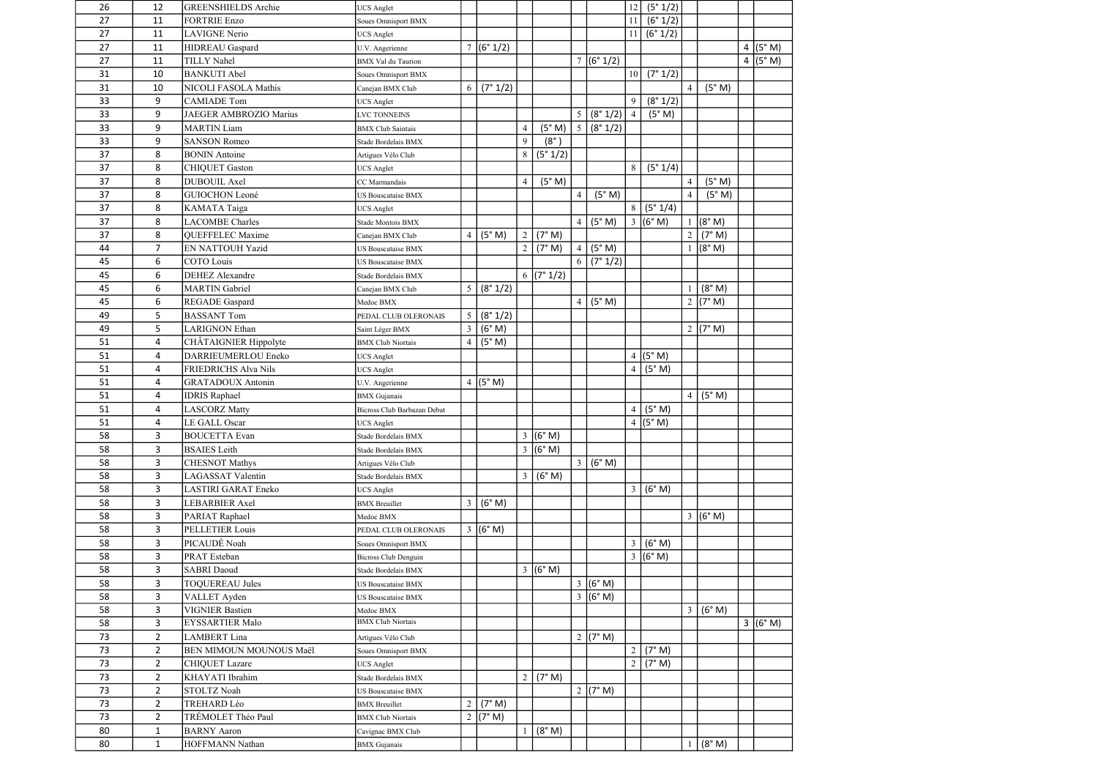| 26 | 12             | <b>GREENSHIELDS</b> Archie  | <b>UCS</b> Anglet           |                |                    |                |                    |                 |                        | 12              | (5° 1/2)   |                |                    |   |         |
|----|----------------|-----------------------------|-----------------------------|----------------|--------------------|----------------|--------------------|-----------------|------------------------|-----------------|------------|----------------|--------------------|---|---------|
| 27 | 11             | <b>FORTRIE Enzo</b>         | Soues Omnisport BMX         |                |                    |                |                    |                 |                        | 11 <sup>1</sup> | (6° 1/2)   |                |                    |   |         |
| 27 | 11             | <b>LAVIGNE Nerio</b>        | <b>UCS</b> Anglet           |                |                    |                |                    |                 |                        | 11 <sup>1</sup> | (6° 1/2)   |                |                    |   |         |
| 27 | 11             | HIDREAU Gaspard             | U.V. Angerienne             |                | 7 (6°1/2)          |                |                    |                 |                        |                 |            |                |                    | 4 | (5° M)  |
| 27 | 11             | <b>TILLY Nahel</b>          | <b>BMX</b> Val du Taurion   |                |                    |                |                    |                 | $\frac{1}{7}$ (6° 1/2) |                 |            |                |                    |   | 4 (5°M) |
| 31 | 10             | <b>BANKUTI Abel</b>         | Soues Omnisport BMX         |                |                    |                |                    |                 |                        | 10              | (7° 1/2)   |                |                    |   |         |
| 31 | 10             | NICOLI FASOLA Mathis        | Canejan BMX Club            | 6              | (7° 1/2)           |                |                    |                 |                        |                 |            | $\overline{4}$ | (5° M)             |   |         |
| 33 | 9              | <b>CAMIADE Tom</b>          | <b>UCS</b> Anglet           |                |                    |                |                    |                 |                        | 9               | (8° 1/2)   |                |                    |   |         |
| 33 | 9              | JAEGER AMBROZIO Marius      | <b>LVC TONNEINS</b>         |                |                    |                |                    | 5               | (8° 1/2)               | $\overline{4}$  | (5° M)     |                |                    |   |         |
| 33 | 9              | <b>MARTIN Liam</b>          | <b>BMX</b> Club Saintais    |                |                    | $\overline{4}$ | (5° M)             | $5\overline{)}$ | (8° 1/2)               |                 |            |                |                    |   |         |
| 33 | 9              | <b>SANSON Romeo</b>         | Stade Bordelais BMX         |                |                    | $\mathfrak{g}$ | (8°)               |                 |                        |                 |            |                |                    |   |         |
| 37 | 8              | <b>BONIN</b> Antoine        | Artigues Vélo Club          |                |                    | 8              | (5° 1/2)           |                 |                        |                 |            |                |                    |   |         |
| 37 | 8              | <b>CHIQUET Gaston</b>       | <b>UCS</b> Anglet           |                |                    |                |                    |                 |                        | 8               | (5°1/4)    |                |                    |   |         |
| 37 | 8              | <b>DUBOUIL Axel</b>         | CC Marmandais               |                |                    | $\overline{4}$ | (5° M)             |                 |                        |                 |            | $\overline{4}$ | (5° M)             |   |         |
| 37 | 8              | <b>GUIOCHON Leoné</b>       | <b>US Bouscataise BMX</b>   |                |                    |                |                    | $\overline{4}$  | (5° M)                 |                 |            | $\overline{4}$ | (5° M)             |   |         |
| 37 | 8              | KAMATA Taiga                | <b>UCS</b> Anglet           |                |                    |                |                    |                 |                        | 8               | (5° 1/4)   |                |                    |   |         |
| 37 | 8              | <b>LACOMBE Charles</b>      | Stade Montois BMX           |                |                    |                |                    | $\overline{4}$  | (5° M)                 | $\mathfrak{Z}$  | (6° M)     | -1             | (8° M)             |   |         |
| 37 | 8              | QUEFFELEC Maxime            | Canejan BMX Club            | $\overline{4}$ | (5° M)             | $\overline{2}$ | (7° M)             |                 |                        |                 |            | 2 <sup>1</sup> | (7° M)             |   |         |
| 44 | 7              | EN NATTOUH Yazid            | <b>US Bouscataise BMX</b>   |                |                    |                | $2$ (7° M)         | 4               | (5° M)                 |                 |            | $\mathbf{1}$   | (8° M)             |   |         |
| 45 | 6              | <b>COTO</b> Louis           | <b>US Bouscataise BMX</b>   |                |                    |                |                    | 6               | (7° 1/2)               |                 |            |                |                    |   |         |
| 45 | 6              | <b>DEHEZ</b> Alexandre      | Stade Bordelais BMX         |                |                    |                | $6$ (7° 1/2)       |                 |                        |                 |            |                |                    |   |         |
| 45 | 6              | <b>MARTIN</b> Gabriel       | Canejan BMX Club            | 5 <sup>5</sup> | (8° 1/2)           |                |                    |                 |                        |                 |            | -1             | (8° M)             |   |         |
| 45 | 6              | REGADE Gaspard              | Medoc BMX                   |                |                    |                |                    | $\overline{4}$  | (5° M)                 |                 |            |                | 2 $(7° M)$         |   |         |
| 49 | 5              | <b>BASSANT Tom</b>          | PEDAL CLUB OLERONAIS        | 5              | (8° 1/2)           |                |                    |                 |                        |                 |            |                |                    |   |         |
| 49 | 5              | <b>LARIGNON Ethan</b>       | Saint Léger BMX             | 3              | (6° M)             |                |                    |                 |                        |                 |            |                | 2 ( $7^{\circ}$ M) |   |         |
| 51 | 4              | CHÂTAIGNIER Hippolyte       | <b>BMX Club Niortais</b>    | $\overline{4}$ | (5° M)             |                |                    |                 |                        |                 |            |                |                    |   |         |
| 51 | 4              | DARRIEUMERLOU Eneko         | <b>UCS</b> Anglet           |                |                    |                |                    |                 |                        | $\overline{4}$  | (5° M)     |                |                    |   |         |
| 51 | 4              | <b>FRIEDRICHS Alva Nils</b> | <b>UCS</b> Anglet           |                |                    |                |                    |                 |                        | $\overline{4}$  | (5° M)     |                |                    |   |         |
| 51 | 4              | <b>GRATADOUX Antonin</b>    | U.V. Angerienne             |                | 4 $(5° M)$         |                |                    |                 |                        |                 |            |                |                    |   |         |
| 51 | 4              | <b>IDRIS Raphael</b>        | <b>BMX</b> Gujanais         |                |                    |                |                    |                 |                        |                 |            | 4 <sup>1</sup> | (5° M)             |   |         |
| 51 | 4              | <b>LASCORZ Matty</b>        | Bicross Club Barbazan Debat |                |                    |                |                    |                 |                        | $\overline{4}$  | (5° M)     |                |                    |   |         |
| 51 | 4              | LE GALL Oscar               | <b>UCS</b> Anglet           |                |                    |                |                    |                 |                        |                 | $4$ (5° M) |                |                    |   |         |
| 58 | 3              | <b>BOUCETTA</b> Evan        | Stade Bordelais BMX         |                |                    |                | $3 (6° \text{ M})$ |                 |                        |                 |            |                |                    |   |         |
| 58 | 3              | <b>BSAIES</b> Leith         | Stade Bordelais BMX         |                |                    |                | $3 (6° \text{ M})$ |                 |                        |                 |            |                |                    |   |         |
| 58 | 3              | <b>CHESNOT Mathys</b>       | Artigues Vélo Club          |                |                    |                |                    | $\overline{3}$  | (6° M)                 |                 |            |                |                    |   |         |
| 58 | 3              | <b>LAGASSAT Valentin</b>    | Stade Bordelais BMX         |                |                    | 3 <sup>1</sup> | (6° M)             |                 |                        |                 |            |                |                    |   |         |
| 58 | 3              | LASTIRI GARAT Eneko         | <b>UCS Anglet</b>           |                |                    |                |                    |                 |                        | 3               | (6° M)     |                |                    |   |         |
| 58 | 3              | <b>LEBARBIER Axel</b>       | <b>BMX</b> Breuillet        | $\mathfrak{Z}$ | (6° M)             |                |                    |                 |                        |                 |            |                |                    |   |         |
| 58 | 3              | PARIAT Raphael              | Medoc BMX                   |                |                    |                |                    |                 |                        |                 |            |                | $3 (6° \text{ M})$ |   |         |
| 58 | 3              | <b>PELLETIER Louis</b>      | PEDAL CLUB OLERONAIS        |                | $3 (6° \text{ M})$ |                |                    |                 |                        |                 |            |                |                    |   |         |
| 58 | 3              | PICAUDÉ Noah                | Soues Omnisport BMX         |                |                    |                |                    |                 |                        | $\overline{3}$  | (6° M)     |                |                    |   |         |
| 58 | 3              | PRAT Esteban                | Bicross Club Denguin        |                |                    |                |                    |                 |                        | $\mathfrak{Z}$  | (6° M)     |                |                    |   |         |
| 58 | 3              | <b>SABRI</b> Daoud          | Stade Bordelais BMX         |                |                    |                | 3 (6° M)           |                 |                        |                 |            |                |                    |   |         |
| 58 | 3              | <b>TOQUEREAU Jules</b>      | <b>US Bouscataise BMX</b>   |                |                    |                |                    |                 | $3 (6° \text{ M})$     |                 |            |                |                    |   |         |
| 58 | 3              | VALLET Ayden                | <b>US Bouscataise BMX</b>   |                |                    |                |                    |                 | $3 (6° \text{ M})$     |                 |            |                |                    |   |         |
| 58 | 3              | <b>VIGNIER Bastien</b>      | Medoc BMX                   |                |                    |                |                    |                 |                        |                 |            |                | 3   (6° M)         |   |         |
| 58 | 3              | <b>EYSSARTIER Malo</b>      | <b>BMX Club Niortais</b>    |                |                    |                |                    |                 |                        |                 |            |                |                    |   | 3 (6°M) |
| 73 | $\overline{2}$ | <b>LAMBERT</b> Lina         | Artigues Vélo Club          |                |                    |                |                    |                 | 2 $(7° M)$             |                 |            |                |                    |   |         |
| 73 | $\overline{2}$ | BEN MIMOUN MOUNOUS Maël     | Soues Omnisport BMX         |                |                    |                |                    |                 |                        | $\sqrt{2}$      | (7° M)     |                |                    |   |         |
| 73 | $\overline{2}$ | <b>CHIQUET Lazare</b>       | <b>UCS</b> Anglet           |                |                    |                |                    |                 |                        | $\overline{2}$  | (7° M)     |                |                    |   |         |
| 73 | $\overline{2}$ | KHAYATI Ibrahim             | Stade Bordelais BMX         |                |                    |                | $2$ (7° M)         |                 |                        |                 |            |                |                    |   |         |
| 73 | $\overline{2}$ | STOLTZ Noah                 | <b>US Bouscataise BMX</b>   |                |                    |                |                    |                 | 2 ( $7^{\circ}$ M)     |                 |            |                |                    |   |         |
| 73 | $\overline{2}$ | TREHARD Léo                 | <b>BMX</b> Breuillet        | $\overline{2}$ | (7° M)             |                |                    |                 |                        |                 |            |                |                    |   |         |
| 73 | $\overline{2}$ | TRÉMOLET Théo Paul          | <b>BMX Club Niortais</b>    |                | 2 ( $7^{\circ}$ M) |                |                    |                 |                        |                 |            |                |                    |   |         |
| 80 | $\mathbf{1}$   | <b>BARNY</b> Aaron          | Cavignac BMX Club           |                |                    |                | (8° M)             |                 |                        |                 |            |                |                    |   |         |
| 80 | $\mathbf{1}$   | HOFFMANN Nathan             | <b>BMX</b> Gujanais         |                |                    |                |                    |                 |                        |                 |            | $\mathbf{1}$   | (8° M)             |   |         |
|    |                |                             |                             |                |                    |                |                    |                 |                        |                 |            |                |                    |   |         |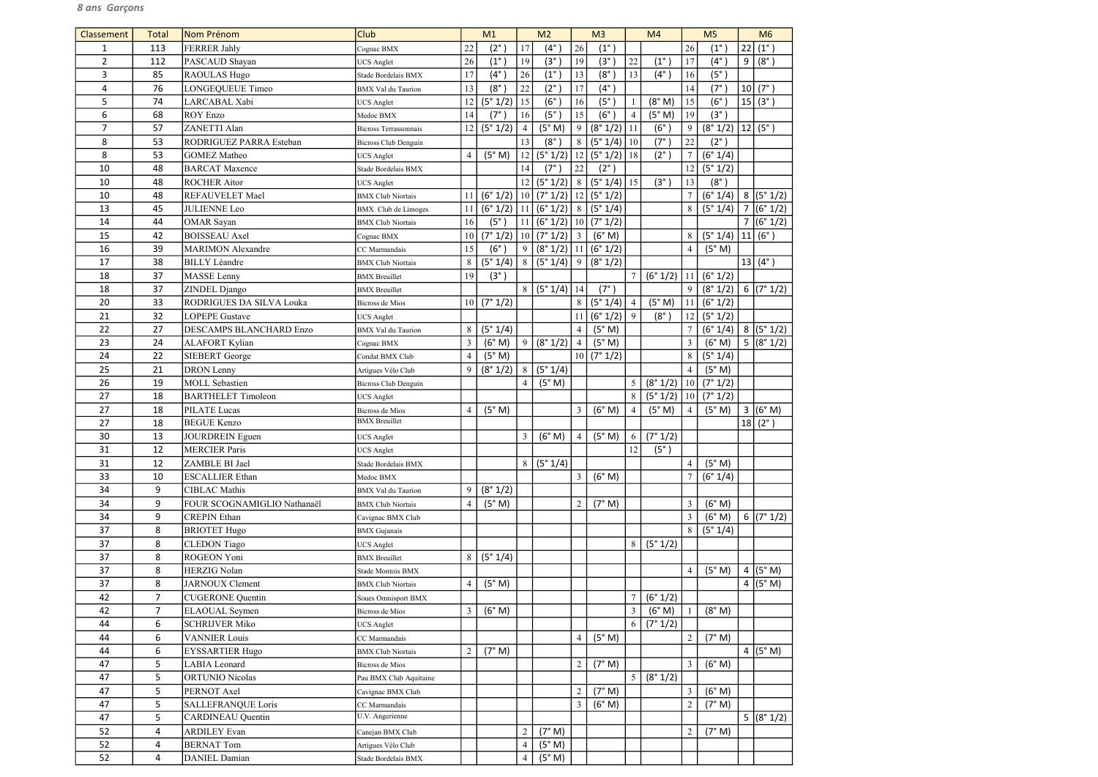| Classement     | Total          | Nom Prénom                                            | Club                                      |                | M <sub>1</sub> |                          | M <sub>2</sub>               |                | M <sub>3</sub>    |                | M <sub>4</sub> |                  | M <sub>5</sub> |                | M6                 |
|----------------|----------------|-------------------------------------------------------|-------------------------------------------|----------------|----------------|--------------------------|------------------------------|----------------|-------------------|----------------|----------------|------------------|----------------|----------------|--------------------|
| 1              | 113            | <b>FERRER Jahly</b>                                   | Cognac BMX                                | 22             | $(2^\circ)$    | 17                       | $(4^{\circ})$                | 26             | $(1^{\circ}$      |                |                | 26               | $(1^{\circ})$  | 22             | $(1^{\circ})$      |
| $\overline{2}$ | 112            | PASCAUD Shayan                                        | <b>UCS Anglet</b>                         | 26             | $(1^{\circ})$  | 19                       | (3°)                         | 19             | $(3^\circ)$       | 22             | $(1^{\circ})$  | 17               | $(4^{\circ})$  | 9              | $(8^\circ)$        |
| 3              | 85             | RAOULAS Hugo                                          | Stade Bordelais BMX                       | 17             | $(4^{\circ})$  | 26                       | $(1^{\circ})$                | 13             | (8°               | 13             | $(4^{\circ})$  | 16               | (5°)           |                |                    |
| 4              | 76             | LONGEQUEUE Timeo                                      | <b>BMX</b> Val du Taurion                 | 13             | $(8^\circ)$    | 22                       | $(2^{\circ})$                | 17             | $(4^\circ)$       |                |                | 14               | $(7^\circ)$    | 10             | $(7^{\circ})$      |
| 5              | 74             | LARCABAL Xabi                                         | <b>UCS</b> Anglet                         | 12             | (5° 1/2)       | 15                       | (6°)                         | 16             | (5 <sup>°</sup> ) |                | (8° M)         | 15               | $(6^\circ)$    | 15             | $(3^{\circ})$      |
| 6              | 68             | ROY Enzo                                              | Medoc BMX                                 | 14             | $(7^\circ)$    | 16                       | (5°)                         | 15             | $(6^\circ$        | 4              | (5° M)         | 19               | (3°)           |                |                    |
| $\overline{7}$ | 57             | <b>ZANETTI Alan</b>                                   | Bicross Terrassonnais                     | 12             | (5° 1/2)       | $\overline{4}$           | (5° M)                       | 9              | (8° 1/2)          | 11             | $(6^\circ)$    | 9                | (8° 1/2)       |                | $ 12 $ (5°)        |
| 8              | 53             | RODRIGUEZ PARRA Esteban                               | <b>Bicross Club Denguin</b>               |                |                | 13                       | $(8^\circ)$                  | 8              | (5° 1/4)          | 10             | $(7^\circ)$    | 22               | $(2^{\circ})$  |                |                    |
| 8              | 53             | <b>GOMEZ Matheo</b>                                   | <b>UCS</b> Anglet                         | $\overline{4}$ | (5° M)         | 12                       | (5° 1/2)                     | 12             | (5° 1/2)          | 18             | $(2^{\circ})$  | $\overline{7}$   | (6° 1/4)       |                |                    |
| 10             | 48             | <b>BARCAT Maxence</b>                                 | Stade Bordelais BMX                       |                |                | 14                       | $(7^\circ)$                  | 22             | $(2^{\circ})$     |                |                | 12               | (5° 1/2)       |                |                    |
| 10             | 48             | <b>ROCHER Aitor</b>                                   | <b>UCS</b> Anglet                         |                |                | 12                       | (5° 1/2)                     | 8 <sup>1</sup> | (5° 1/4)          | 15             | $(3^\circ)$    | 13               | $(8^\circ)$    |                |                    |
| 10             | 48             | REFAUVELET Mael                                       | <b>BMX</b> Club Niortais                  | 11             | (6° 1/2)       |                          | 10   (7° 1/2)   12           |                | (5° 1/2)          |                |                | $\overline{7}$   | (6° 1/4)       |                | 8 (5°1/2)          |
| 13             | 45             | <b>JULIENNE Leo</b>                                   | <b>BMX</b> Club de Limoges                | 11             | (6° 1/2)       |                          | 11   (6° 1/2)                | 8 <sup>1</sup> | (5° 1/4)          |                |                | 8                | (5° 1/4)       | $\overline{7}$ | (6° 1/2)           |
| 14             | 44             | <b>OMAR</b> Sayan                                     | <b>BMX</b> Club Niortais                  | 16             | (5°)           |                          | 11   (6° 1/2)                |                | 10(7°1/2)         |                |                |                  |                | $\overline{7}$ | (6° 1/2)           |
| 15             | 42             | <b>BOISSEAU</b> Axel                                  | Cognac BMX                                | 10             | (7° 1/2)       | 10 <sup>1</sup>          | (7° 1/2)                     | $\overline{3}$ | (6° M)            |                |                | 8                | (5° 1/4)       | 11             | $(6^\circ)$        |
| 16             | 39             | <b>MARIMON</b> Alexandre                              | CC Marmandais                             | 15             | (6°)           | 9                        | $(8° 1/2)$   11   $(6° 1/2)$ |                |                   |                |                | $\overline{4}$   | (5° M)         |                |                    |
| 17             | 38             | <b>BILLY Léandre</b>                                  | <b>BMX Club Niortais</b>                  | 8              | (5° 1/4)       | $\overline{8}$           | (5° 1/4)                     | 9              | (8° 1/2)          |                |                |                  |                |                | $13   (4^{\circ})$ |
| 18             | 37             | <b>MASSE</b> Lenny                                    | <b>BMX</b> Breuillet                      | 19             | (3°)           |                          |                              |                |                   |                | (6° 1/2)       | 11               | (6° 1/2)       |                |                    |
| 18             | 37             | ZINDEL Django                                         | <b>BMX</b> Breuillet                      |                |                | 8 <sup>1</sup>           | $(5°1/4)$ 14                 |                | $(7^\circ)$       |                |                | 9                | (8° 1/2)       |                | 6 (7°1/2)          |
| 20             | 33             | RODRIGUES DA SILVA Louka                              | Bicross de Mios                           | 10             | (7° 1/2)       |                          |                              | 8              | (5° 1/4)          | $\overline{4}$ | (5° M)         | 11               | (6° 1/2)       |                |                    |
| 21             | 32             | <b>LOPEPE Gustave</b>                                 | <b>UCS</b> Anglet                         |                |                |                          |                              | 11             | (6° 1/2)          | 9              | $(8^\circ)$    | 12               | (5° 1/2)       |                |                    |
| 22             | 27             | DESCAMPS BLANCHARD Enzo                               | <b>BMX</b> Val du Taurion                 | 8              | (5° 1/4)       |                          |                              | $\overline{4}$ | (5° M)            |                |                | $\overline{7}$   | (6° 1/4)       |                | 8 (5°1/2)          |
| 23             | 24             | <b>ALAFORT Kylian</b>                                 | Cognac BMX                                | $\overline{3}$ | (6° M)         | 9                        | (8° 1/2)                     | $\overline{4}$ | (5° M)            |                |                | 3                | (6° M)         |                | 5 (8°1/2)          |
| 24             | 22             | SIEBERT George                                        | Condat BMX Club                           | $\overline{4}$ | (5° M)         |                          |                              |                | 10 (7°1/2)        |                |                | 8                | (5° 1/4)       |                |                    |
| 25             | 21             | <b>DRON</b> Lenny                                     | Artigues Vélo Club                        | 9              | (8° 1/2)       | 8                        | (5° 1/4)                     |                |                   |                |                | $\overline{4}$   | (5° M)         |                |                    |
| 26             | 19             | <b>MOLL</b> Sebastien                                 | <b>Bicross Club Denguin</b>               |                |                | $\overline{4}$           | (5° M)                       |                |                   | 5              | (8° 1/2)       | $\vert 10 \vert$ | (7° 1/2)       |                |                    |
| 27             | 18             | <b>BARTHELET Timoleon</b>                             | <b>UCS</b> Anglet                         |                |                |                          |                              |                |                   | 8              | (5° 1/2)       | 10               | (7° 1/2)       |                |                    |
| 27             | 18             | PILATE Lucas                                          | Bicross de Mios                           | $\overline{4}$ | (5° M)         |                          |                              | $\mathfrak{Z}$ | (6° M)            | $\overline{4}$ | (5° M)         | $\overline{4}$   | (5° M)         |                | 3 (6°M)            |
| 27             | 18             | <b>BEGUE Kenzo</b>                                    | <b>BMX</b> Breuillet                      |                |                |                          |                              |                |                   |                |                |                  |                | 18             | $(2^{\circ})$      |
| 30             | 13             | JOURDREIN Eguen                                       | <b>UCS</b> Anglet                         |                |                | $\mathcal{R}$            | (6° M)                       | $\overline{4}$ | (5° M)            | 6              | (7° 1/2)       |                  |                |                |                    |
| 31             | 12             | <b>MERCIER Paris</b>                                  | <b>UCS</b> Anglet                         |                |                |                          |                              |                |                   | 12             | $(5^\circ)$    |                  |                |                |                    |
| 31             | 12             | ZAMBLE BI Jael                                        | Stade Bordelais BMX                       |                |                | 8                        | (5° 1/4)                     |                |                   |                |                | $\overline{4}$   | (5° M)         |                |                    |
| 33             | 10             | <b>ESCALLIER Ethan</b>                                | Medoc BMX                                 |                |                |                          |                              | $\mathfrak{Z}$ | (6° M)            |                |                | $\overline{7}$   | (6° 1/4)       |                |                    |
| 34             | 9              | <b>CIBLAC Mathis</b>                                  | <b>BMX</b> Val du Taurion                 | 9              | (8° 1/2)       |                          |                              |                |                   |                |                |                  |                |                |                    |
| 34             | 9              | FOUR SCOGNAMIGLIO Nathanaël                           | <b>BMX</b> Club Niortais                  | $\overline{4}$ | (5° M)         |                          |                              | $\overline{2}$ | (7° M)            |                |                | $\overline{3}$   | (6° M)         |                |                    |
| 34             | 9              | <b>CREPIN Ethan</b>                                   |                                           |                |                |                          |                              |                |                   |                |                | $\mathfrak{Z}$   | (6° M)         |                | 6 $(7° 1/2)$       |
| 37             | 8              | <b>BRIOTET Hugo</b>                                   | Cavignac BMX Club                         |                |                |                          |                              |                |                   |                |                | 8                | (5° 1/4)       |                |                    |
| 37             | 8              | <b>CLEDON</b> Tiago                                   | <b>BMX</b> Gujanais                       |                |                |                          |                              |                |                   | 8              | (5° 1/2)       |                  |                |                |                    |
| 37             | 8              | ROGEON Yoni                                           | <b>UCS</b> Anglet<br><b>BMX</b> Breuillet | 8              | (5° 1/4)       |                          |                              |                |                   |                |                |                  |                |                |                    |
| 37             | 8              | <b>HERZIG Nolan</b>                                   | Stade Montois BMX                         |                |                |                          |                              |                |                   |                |                | $\overline{4}$   | (5° M)         | 4              | (5° M)             |
| 37             | 8              | <b>JARNOUX Clement</b>                                |                                           | $\overline{4}$ | (5° M)         |                          |                              |                |                   |                |                |                  |                |                | 4 $(5° M)$         |
| 42             | $\overline{7}$ | <b>CUGERONE</b> Quentin                               | <b>BMX Club Niortais</b>                  |                |                |                          |                              |                |                   |                | (6° 1/2)       |                  |                |                |                    |
| 42             | $\overline{7}$ | <b>ELAOUAL</b> Seymen                                 | Soues Omnisport BMX                       | $\mathfrak{Z}$ | (6° M)         |                          |                              |                |                   | 3              | (6° M)         |                  | (8° M)         |                |                    |
|                | 6              |                                                       | Bicross de Mios                           |                |                |                          |                              |                |                   |                |                |                  |                |                |                    |
| 44<br>44       | 6              | <b>SCHRIJVER Miko</b><br><b>VANNIER Louis</b>         | <b>UCS</b> Anglet                         |                |                |                          |                              | $\overline{4}$ | (5° M)            | 6              | (7° 1/2)       | $\overline{2}$   | (7° M)         |                |                    |
|                |                |                                                       | CC Marmandais                             |                |                |                          |                              |                |                   |                |                |                  |                |                |                    |
| 44             | 6              | <b>EYSSARTIER Hugo</b>                                | <b>BMX</b> Club Niortais                  | $\overline{2}$ | (7° M)         |                          |                              |                |                   |                |                |                  |                |                | 4 $(5° M)$         |
| 47             | 5              | LABIA Leonard                                         | Bicross de Mios                           |                |                |                          |                              | $\overline{2}$ | (7° M)            |                |                | 3                | (6° M)         |                |                    |
| 47             | 5              | <b>ORTUNIO Nicolas</b>                                | Pau BMX Club Aquitaine                    |                |                |                          |                              |                |                   | 5              | (8° 1/2)       |                  |                |                |                    |
| 47             | 5              | PERNOT Axel                                           | Cavignac BMX Club                         |                |                |                          |                              | 2              | (7° M)            |                |                | $\mathfrak{Z}$   | (6° M)         |                |                    |
| 47             | 5              | <b>SALLEFRANQUE Loris</b><br><b>CARDINEAU</b> Quentin | CC Marmandais<br>U.V. Angerienne          |                |                |                          |                              | $\mathfrak{Z}$ | (6° M)            |                |                | $\overline{2}$   | (7° M)         |                |                    |
| 47             | 5              |                                                       |                                           |                |                |                          |                              |                |                   |                |                |                  |                |                | 5 (8°1/2)          |
| 52             | 4              | <b>ARDILEY Evan</b>                                   | Canejan BMX Club                          |                |                | $\overline{c}$           | (7° M)                       |                |                   |                |                | $\overline{2}$   | (7° M)         |                |                    |
| 52             | 4              | <b>BERNAT Tom</b>                                     | Artigues Vélo Club                        |                |                | $\overline{\mathcal{A}}$ | (5° M)                       |                |                   |                |                |                  |                |                |                    |
| 52             | 4              | <b>DANIEL Damian</b>                                  | Stade Bordelais BMX                       |                |                | $\overline{4}$           | (5° M)                       |                |                   |                |                |                  |                |                |                    |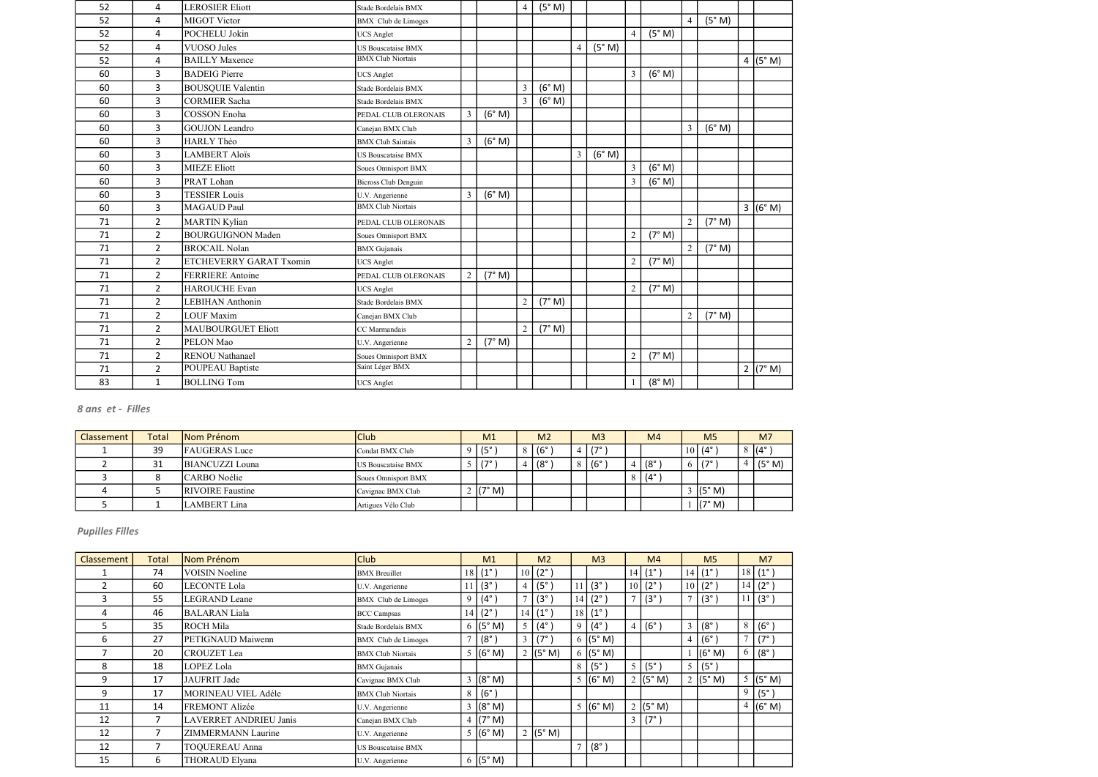| 52 | 4              | <b>LEROSIER Eliott</b>    | Stade Bordelais BMX         |                |        | $\overline{4}$ | (5° M) |                |        |                |        |                |        |            |
|----|----------------|---------------------------|-----------------------------|----------------|--------|----------------|--------|----------------|--------|----------------|--------|----------------|--------|------------|
| 52 | 4              | <b>MIGOT Victor</b>       | <b>BMX</b> Club de Limoges  |                |        |                |        |                |        |                |        | $\overline{4}$ | (5° M) |            |
| 52 | 4              | POCHELU Jokin             | <b>UCS</b> Anglet           |                |        |                |        |                |        | $\overline{4}$ | (5° M) |                |        |            |
| 52 | 4              | <b>VUOSO Jules</b>        | US Bouscataise BMX          |                |        |                |        | $\overline{4}$ | (5° M) |                |        |                |        |            |
| 52 | 4              | <b>BAILLY Maxence</b>     | <b>BMX Club Niortais</b>    |                |        |                |        |                |        |                |        |                |        | 4 $(5° M)$ |
| 60 | 3              | <b>BADEIG</b> Pierre      | <b>UCS Anglet</b>           |                |        |                |        |                |        | $\overline{3}$ | (6° M) |                |        |            |
| 60 | 3              | <b>BOUSQUIE Valentin</b>  | Stade Bordelais BMX         |                |        | $\overline{3}$ | (6° M) |                |        |                |        |                |        |            |
| 60 | 3              | <b>CORMIER Sacha</b>      | Stade Bordelais BMX         |                |        | $\overline{3}$ | (6° M) |                |        |                |        |                |        |            |
| 60 | 3              | <b>COSSON</b> Enoha       | PEDAL CLUB OLERONAIS        | $\overline{3}$ | (6° M) |                |        |                |        |                |        |                |        |            |
| 60 | 3              | <b>GOUJON</b> Leandro     | Canejan BMX Club            |                |        |                |        |                |        |                |        | $\overline{3}$ | (6° M) |            |
| 60 | 3              | <b>HARLY Théo</b>         | <b>BMX</b> Club Saintais    | $\overline{3}$ | (6° M) |                |        |                |        |                |        |                |        |            |
| 60 | 3              | <b>LAMBERT Aloïs</b>      | <b>US Bouscataise BMX</b>   |                |        |                |        | $\overline{3}$ | (6° M) |                |        |                |        |            |
| 60 | 3              | <b>MIEZE Eliott</b>       | Soues Omnisport BMX         |                |        |                |        |                |        | $\overline{3}$ | (6° M) |                |        |            |
| 60 | 3              | PRAT Lohan                | <b>Bicross Club Denguin</b> |                |        |                |        |                |        | $\overline{3}$ | (6° M) |                |        |            |
| 60 | 3              | <b>TESSIER Louis</b>      | U.V. Angerienne             | 3              | (6° M) |                |        |                |        |                |        |                |        |            |
| 60 | $\overline{3}$ | <b>MAGAUD Paul</b>        | <b>BMX Club Niortais</b>    |                |        |                |        |                |        |                |        |                |        | 3 (6° M)   |
| 71 | $\overline{2}$ | <b>MARTIN Kylian</b>      | PEDAL CLUB OLERONAIS        |                |        |                |        |                |        |                |        | $\overline{2}$ | (7° M) |            |
| 71 | $\overline{2}$ | <b>BOURGUIGNON Maden</b>  | Soues Omnisport BMX         |                |        |                |        |                |        | $\overline{2}$ | (7° M) |                |        |            |
| 71 | $\overline{2}$ | <b>BROCAIL Nolan</b>      | <b>BMX</b> Gujanais         |                |        |                |        |                |        |                |        | $\overline{2}$ | (7° M) |            |
| 71 | $\overline{2}$ | ETCHEVERRY GARAT Txomin   | <b>UCS</b> Anglet           |                |        |                |        |                |        | $\overline{2}$ | (7° M) |                |        |            |
| 71 | $\overline{2}$ | <b>FERRIERE</b> Antoine   | PEDAL CLUB OLERONAIS        | $\overline{2}$ | (7° M) |                |        |                |        |                |        |                |        |            |
| 71 | $\overline{2}$ | <b>HAROUCHE Evan</b>      | <b>UCS</b> Anglet           |                |        |                |        |                |        | $\overline{2}$ | (7° M) |                |        |            |
| 71 | $\overline{2}$ | <b>LEBIHAN</b> Anthonin   | Stade Bordelais BMX         |                |        | $\overline{2}$ | (7° M) |                |        |                |        |                |        |            |
| 71 | $\overline{2}$ | <b>LOUF Maxim</b>         | Canejan BMX Club            |                |        |                |        |                |        |                |        | $\overline{2}$ | (7° M) |            |
| 71 | $\overline{2}$ | <b>MAUBOURGUET Eliott</b> | CC Marmandais               |                |        | $\overline{2}$ | (7° M) |                |        |                |        |                |        |            |
| 71 | $2^{\circ}$    | PELON Mao                 | U.V. Angerienne             | $\overline{2}$ | (7° M) |                |        |                |        |                |        |                |        |            |
| 71 | $\overline{2}$ | <b>RENOU Nathanael</b>    | Soues Omnisport BMX         |                |        |                |        |                |        | $\overline{2}$ | (7° M) |                |        |            |
| 71 | $\overline{2}$ | POUPEAU Baptiste          | Saint Léger BMX             |                |        |                |        |                |        |                |        |                |        | 2 (7° M)   |
| 83 | $\mathbf{1}$   | <b>BOLLING Tom</b>        | <b>UCS</b> Anglet           |                |        |                |        |                |        |                | (8° M) |                |        |            |

| Classement | Total | Nom Prénom              | <b>Club</b>         | M1                     | M <sub>2</sub> | M <sub>3</sub> | M <sub>4</sub>       | M <sub>5</sub> | M7                |
|------------|-------|-------------------------|---------------------|------------------------|----------------|----------------|----------------------|----------------|-------------------|
|            | 39    | <b>FAUGERAS</b> Luce    | Condat BMX Club     | $\frac{1}{5}$          | ,  (6° )       | 17°            |                      | $10$ (4°       | $8 \mid (4^\circ$ |
|            | 31    | BIANCUZZI Louna         | US Bouscataise BMX  | $\sim$   (7°)          | .   (8° ́      | $(6^\circ$     | $(8^\circ$           | 170            | (5° M)            |
|            |       | CARBO Noélie            | Soues Omnisport BMX |                        |                |                | $8 \mid (4^{\circ})$ |                |                   |
|            |       | <b>RIVOIRE</b> Faustine | Cavignac BMX Club   | $\sim$ $(7^{\circ}$ M) |                |                |                      | (5° M)         |                   |
|            |       | LAMBERT Lina            | Artigues Vélo Club  |                        |                |                |                      | (7° M)         |                   |

| <b>Classement</b> | Total | Nom Prénom                    | <b>Club</b>              |                 | M <sub>1</sub>        |                | M <sub>2</sub>     |               | M <sub>3</sub> |               | M <sub>4</sub>         |              | M <sub>5</sub>         |                | M <sub>7</sub>              |
|-------------------|-------|-------------------------------|--------------------------|-----------------|-----------------------|----------------|--------------------|---------------|----------------|---------------|------------------------|--------------|------------------------|----------------|-----------------------------|
|                   | 74    | <b>VOISIN Noeline</b>         | <b>BMX</b> Breuillet     |                 | $18(1^{\circ})$       |                | $10   (2^{\circ})$ |               |                |               | 14   (1 <sup>°</sup> ) |              | 14   (1 <sup>°</sup> ) |                | $18 (1^\circ)$              |
|                   | 60    | <b>LECONTE Lola</b>           | U.V. Angerienne          | 11 <sup>1</sup> | $(3^{\circ})$         | 4 <sup>1</sup> | $(5^\circ)$        | 11            | $(3^\circ)$    |               | $10(2^{\circ})$        |              | $10 (2^{\circ})$       |                | $14   (2^{\circ})$          |
| 3                 | 55    | <b>LEGRAND</b> Leane          | BMX Club de Limoges      | 9               | $(4^{\circ})$         | $\tau$         | $(3^\circ)$        | 14            | $(2^{\circ})$  | $\mathcal{I}$ | $ (3^{\circ})$         | $\mathbf{r}$ | $(3^\circ)$            |                | (3°)                        |
| 4                 | 46    | <b>BALARAN Liala</b>          | <b>BCC Campsas</b>       | 14              | $(2^{\circ})$         |                | $14   (1^{\circ})$ | 18            | $(1^{\circ})$  |               |                        |              |                        |                |                             |
| 5.                | 35    | <b>ROCH Mila</b>              | Stade Bordelais BMX      |                 | 6 ( $(5^{\circ} M)$ ) | 5              | $(4^{\circ})$      | 9             | $(4^{\circ})$  |               | 4 (6°)                 | 3            | $(8^\circ)$            | 8              | (6°)                        |
| 6                 | 27    | PETIGNAUD Maiwenn             | BMX Club de Limoges      | $\tau$          | $(8^\circ)$           | 3 <sup>1</sup> | $(7^\circ$         | 6             | (5° M)         |               |                        | 4            | (6°)                   | $\overline{7}$ | $(7^\circ)$                 |
|                   | 20    | CROUZET Lea                   | <b>BMX Club Niortais</b> |                 | 5 (6° M)              |                | 2 $(5° M)$         |               | $6$ (5° M)     |               |                        |              | (6° M)                 |                | 6   (8°)                    |
| 8                 | 18    | LOPEZ Lola                    | <b>BMX</b> Gujanais      |                 |                       |                |                    | 8             | $(5^\circ)$    | 5             | $\vert$ (5°)           | 5            | $\vert$ (5°)           |                |                             |
| 9                 | 17    | JAUFRIT Jade                  | Cavignac BMX Club        |                 | $3 (8° \text{ M})$    |                |                    |               | 5 $(6° M)$     |               | 2 ( $(5^{\circ}$ M)    |              | 2 (5° M)               |                | $5 \mid (5^{\circ} \mid M)$ |
| 9                 | 17    | MORINEAU VIEL Adèle           | <b>BMX Club Niortais</b> | 8               | $(6^{\circ})$         |                |                    |               |                |               |                        |              |                        | 9              | $(5^{\circ})$               |
| 11                | 14    | FREMONT Alizée                | U.V. Angerienne          |                 | $3 (8° \text{ M})$    |                |                    |               | 5 (6°M)        |               | $2$ (5° M)             |              |                        |                | $4 (6° \text{ M})$          |
| 12                | 7     | <b>LAVERRET ANDRIEU Janis</b> | Canejan BMX Club         |                 | 4 $(7° M)$            |                |                    |               |                |               | $3 \mid (7^\circ)$     |              |                        |                |                             |
| 12                | 7     | <b>ZIMMERMANN Laurine</b>     | U.V. Angerienne          |                 | 5 (6° M)              |                | 2 $(5° M)$         |               |                |               |                        |              |                        |                |                             |
| 12                |       | <b>TOQUEREAU Anna</b>         | US Bouscataise BMX       |                 |                       |                |                    | $\mathcal{I}$ | $(8^\circ)$    |               |                        |              |                        |                |                             |
| 15                | 6     | THORAUD Elyana                | U.V. Angerienne          |                 | 6 ( $(5^{\circ} M)$ ) |                |                    |               |                |               |                        |              |                        |                |                             |

## 8 ans et - Filles

## Pupilles Filles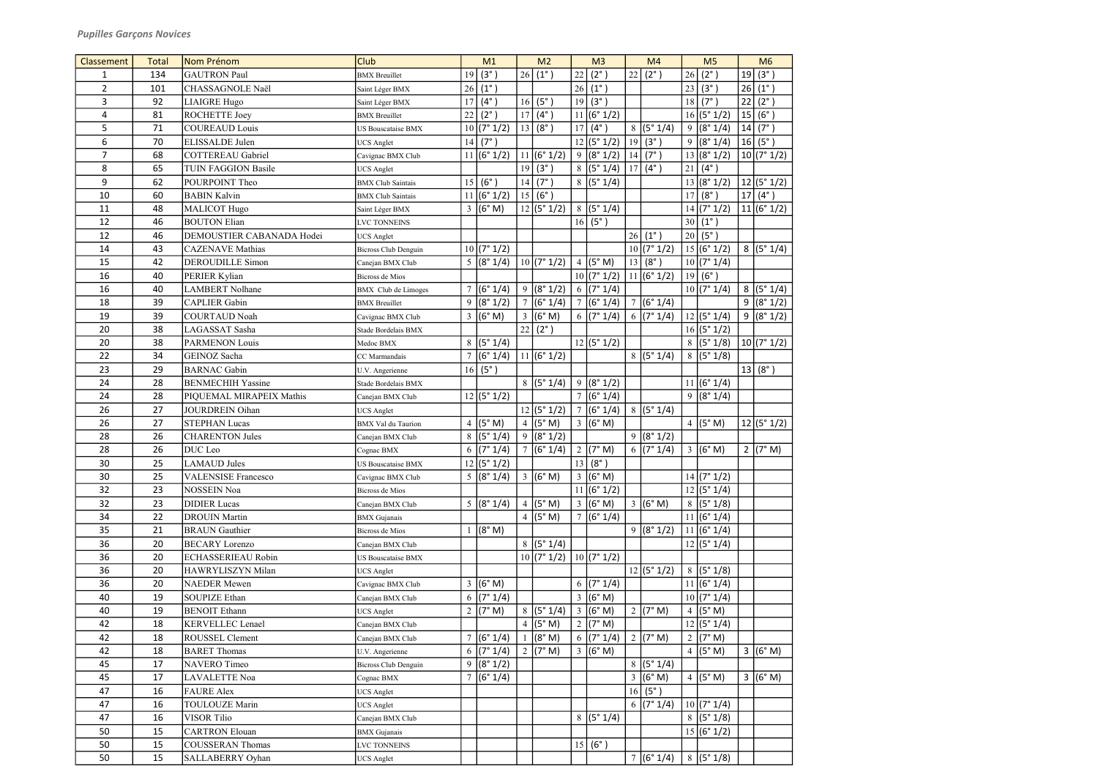| <b>Classement</b> | <b>Total</b> | Nom Prénom                 | Club                                          |    | M1                 |                 | M <sub>2</sub>           |                | M <sub>3</sub>           |    | M <sub>4</sub>         |                | M <sub>5</sub>     |    | M6               |
|-------------------|--------------|----------------------------|-----------------------------------------------|----|--------------------|-----------------|--------------------------|----------------|--------------------------|----|------------------------|----------------|--------------------|----|------------------|
| 1                 | 134          | <b>GAUTRON Paul</b>        | <b>BMX</b> Breuillet                          | 19 | (3°)               | 26              | $(1^{\circ})$            | 22             | $(2^{\circ})$            | 22 | $(2^{\circ})$          | 26             | $(2^{\circ})$      | 19 | (3°)             |
| $\overline{2}$    | 101          | CHASSAGNOLE Naël           | Saint Léger BMX                               | 26 | $(1^{\circ})$      |                 |                          | 26             | $(1^{\circ})$            |    |                        | 23             | (3°)               | 26 | $(1^{\circ})$    |
| 3                 | 92           | <b>LIAIGRE Hugo</b>        | Saint Léger BMX                               | 17 | $(4^{\circ})$      | 16              | (5°)                     | 19             | (3°)                     |    |                        | 18             | $(7^{\circ})$      | 22 | $(2^{\circ})$    |
| 4                 | 81           | ROCHETTE Joey              | <b>BMX</b> Breuillet                          | 22 | $(2^{\circ})$      |                 | $17   (4^{\circ})$       |                | $\overline{11}$ (6° 1/2) |    |                        |                | 16(5°1/2)          |    | $ 15 $ (6°)      |
| 5                 | 71           | <b>COUREAUD Louis</b>      | <b>US Bouscataise BMX</b>                     |    | 10 (7° 1/2)        |                 | 13(8°)                   | 17             | $(4^{\circ})$            |    | 8 (5°1/4)              | 9              | (8° 1/4)           |    | 14   (7°)        |
| 6                 | 70           | ELISSALDE Julen            | <b>UCS</b> Anglet                             |    | $14   (7^{\circ})$ |                 |                          |                | 12 (5°1/2)               | 19 | $(3^{\circ})$          | 9              | (8° 1/4)           |    | 16   (5°)        |
| $\overline{7}$    | 68           | <b>COTTEREAU Gabriel</b>   | Cavignac BMX Club                             |    | 11 (6°1/2)         |                 | 11 (6°1/2)               | 9              | (8° 1/2)                 | 14 | $(7^\circ)$            |                | 13 (8°1/2)         |    | 10 (7° 1/2)      |
| 8                 | 65           | <b>TUIN FAGGION Basile</b> | <b>UCS Anglet</b>                             |    |                    | 19              | $(3^{\circ})$            | 8              | (5° 1/4)                 | 17 | $(4^{\circ})$          | 21             | $(4^{\circ})$      |    |                  |
| 9                 | 62           | POURPOINT Theo             | <b>BMX</b> Club Saintais                      |    | 15 (6°)            | 14              | $(7^{\circ})$            |                | 8 (5°1/4)                |    |                        |                | 13 (8°1/2)         |    | 12 (5°1/2)       |
| 10                | 60           | <b>BABIN Kalvin</b>        | <b>BMX</b> Club Saintais                      |    | 11 (6°1/2)         |                 | 15 (6°)                  |                |                          |    |                        | 17             | $(8^\circ)$        |    | $17 (4^{\circ})$ |
| 11                | 48           | <b>MALICOT Hugo</b>        | Saint Léger BMX                               |    | 3 (6°M)            |                 | 12 (5°1/2)               |                | 8 (5°1/4)                |    |                        |                | 14 (7°1/2)         |    | 11 (6°1/2)       |
| 12                | 46           | <b>BOUTON Elian</b>        | <b>LVC TONNEINS</b>                           |    |                    |                 |                          | 16             | $(5^\circ)$              |    |                        | 30             | $(1^{\circ})$      |    |                  |
| 12                | 46           | DEMOUSTIER CABANADA Hodei  | <b>UCS</b> Anglet                             |    |                    |                 |                          |                |                          |    | $26   (1^{\circ})$     | 20             | $(5^{\circ})$      |    |                  |
| 14                | 43           | <b>CAZENAVE</b> Mathias    | <b>Bicross Club Denguin</b>                   |    | 10(7°1/2)          |                 |                          |                |                          |    | 10(7°1/2)              |                | 15 (6°1/2)         |    | 8 (5°1/4)        |
| 15                | 42           | <b>DEROUDILLE Simon</b>    | Canejan BMX Club                              |    | 5 (8°1/4)          |                 | $\boxed{10}$ (7° 1/2)    |                | 4 $(5° M)$               |    | 13   (8°)              |                | 10(7°1/4)          |    |                  |
| 16                | 40           | PERIER Kylian              | <b>Bicross</b> de Mios                        |    |                    |                 |                          |                | 10(7°1/2)                |    | 11 (6°1/2)             |                | 19(6°)             |    |                  |
| 16                | 40           | <b>LAMBERT Nolhane</b>     | <b>BMX</b> Club de Limoges                    |    | 7 (6°1/4)          | 9               | (8° 1/2)                 | 6              | (7° 1/4)                 |    |                        |                | 10(7°1/4)          |    | 8 (5°1/4)        |
| 18                | 39           | <b>CAPLIER</b> Gabin       | <b>BMX</b> Breuillet                          |    | 9 (8°1/2)          | $\overline{7}$  | (6° 1/4)                 |                | 7 (6°1/4)                |    | 7 (6°1/4)              |                |                    |    | 9 (8°1/2)        |
| 19                | 39           | <b>COURTAUD Noah</b>       | Cavignac BMX Club                             |    | $3 (6° \text{ M})$ | $\mathfrak{Z}$  | (6° M)                   |                | $\sqrt{6}$ (7° 1/4)      |    | $\frac{1}{6}$ (7° 1/4) |                | 12 (5°1/4)         |    | 9 (8°1/2)        |
| 20                | 38           | LAGASSAT Sasha             | Stade Bordelais BMX                           |    |                    | 22              | $(2^{\circ})$            |                |                          |    |                        |                | $16$ (5° 1/2)      |    |                  |
| 20                | 38           | <b>PARMENON Louis</b>      | Medoc BMX                                     |    | 8 (5°1/4)          |                 |                          |                | 12 (5°1/2)               |    |                        |                | 8 (5°1/8)          |    | 10(7°1/2)        |
| 22                | 34           | GEINOZ Sacha               | CC Marmandais                                 |    | 7 (6°1/4)          |                 | 11(6°1/2)                |                |                          |    | 8 (5°1/4)              |                | 8 (5°1/8)          |    |                  |
| 23                | 29           | <b>BARNAC</b> Gabin        | U.V. Angerienne                               |    | 16   (5°)          |                 |                          |                |                          |    |                        |                |                    |    | 13   (8°)        |
| 24                | 28           | <b>BENMECHIH Yassine</b>   | Stade Bordelais BMX                           |    |                    |                 | 8 (5°1/4)                | 9              | (8° 1/2)                 |    |                        |                | 11 (6°1/4)         |    |                  |
| 24                | 28           | PIQUEMAL MIRAPEIX Mathis   | Canejan BMX Club                              |    | 12 (5°1/2)         |                 |                          |                | 7 (6°1/4)                |    |                        |                | 9 (8°1/4)          |    |                  |
| 26                | 27           | JOURDREIN Oihan            | <b>UCS</b> Anglet                             |    |                    |                 | $\overline{12}$ (5° 1/2) |                | 7 (6°1/4)                |    | 8 (5°1/4)              |                |                    |    |                  |
| 26                | 27           | <b>STEPHAN Lucas</b>       | <b>BMX</b> Val du Taurion                     | 4  | (5° M)             | 4 <sup>1</sup>  | (5° M)                   |                | $3 (6° \text{ M})$       |    |                        |                | 4 $(5° M)$         |    | 12 (5°1/2)       |
| 28                | 26           | <b>CHARENTON Jules</b>     | Canejan BMX Club                              | 8  | (5° 1/4)           |                 | 9 (8°1/2)                |                |                          |    | 9 (8°1/2)              |                |                    |    |                  |
| 28                | 26           | DUC Leo                    | Cognac BMX                                    |    | 6 $(7° 1/4)$       | $7\phantom{.0}$ | (6° 1/4)                 | $\overline{2}$ | (7° M)                   |    | 6 ( $7^{\circ}$ 1/4)   | $\mathfrak{Z}$ | (6° M)             |    | 2 $(7° M)$       |
| 30                | 25           | LAMAUD Jules               | <b>US Bouscataise BMX</b>                     |    | 12(5°1/2)          |                 |                          | 13             | $(8^\circ)$              |    |                        |                |                    |    |                  |
| 30                | 25           | <b>VALENSISE Francesco</b> |                                               |    | 5 (8°1/4)          |                 | $3 (6° \text{ M})$       |                | 3   (6° M)               |    |                        |                | 14 (7°1/2)         |    |                  |
| 32                | 23           | NOSSEIN Noa                | Cavignac BMX Club<br><b>Bicross</b> de Mios   |    |                    |                 |                          |                | 11 (6°1/2)               |    |                        |                | 12 (5°1/4)         |    |                  |
| 32                | 23           | <b>DIDIER</b> Lucas        |                                               |    | 5 (8°1/4)          |                 | 4 (5° M)                 |                | $3 (6° \text{ M})$       |    | $3 (6° \text{ M})$     |                | 8 (5°1/8)          |    |                  |
| 34                | 22           | <b>DROUIN Martin</b>       | Canejan BMX Club                              |    |                    |                 | 4   (5° M)               |                | 7 (6°1/4)                |    |                        |                | 11 (6°1/4)         |    |                  |
| 35                |              | <b>BRAUN</b> Gauthier      | <b>BMX</b> Gujanais                           |    | (8° M)             |                 |                          |                |                          |    | 9 (8°1/2)              |                | 11 (6°1/4)         |    |                  |
| 36                | 21           | <b>BECARY</b> Lorenzo      | <b>Bicross de Mios</b>                        |    |                    |                 |                          |                |                          |    |                        |                |                    |    |                  |
| 36                | 20<br>20     | <b>ECHASSERIEAU Robin</b>  | Canejan BMX Club<br><b>US Bouscataise BMX</b> |    |                    |                 | 8 (5°1/4) <br>10(7°1/2)  |                | 10(7°1/2)                |    |                        |                | 12 (5°1/4)         |    |                  |
| 36                | 20           | HAWRYLISZYN Milan          |                                               |    |                    |                 |                          |                |                          |    | 12 (5°1/2)             |                | 8 (5°1/8)          |    |                  |
| 36                | 20           | <b>NAEDER</b> Mewen        | <b>UCS</b> Anglet                             |    | $3 (6° \text{ M})$ |                 |                          | 6              | (7° 1/4)                 |    |                        |                | 11 (6°1/4)         |    |                  |
| 40                | 19           | <b>SOUPIZE Ethan</b>       | Cavignac BMX Club                             |    | 6 $(7° 1/4)$       |                 |                          |                | 3   (6° M)               |    |                        |                | 10(7°1/4)          |    |                  |
| 40                | 19           | <b>BENOIT Ethann</b>       | Canejan BMX Club                              |    | 2 $(7° M)$         |                 | 8 (5°1/4)                |                | $3 (6° \text{ M})$       |    | 2 ( $7^{\circ}$ M)     |                | 4 $(5° M)$         |    |                  |
| 42                | 18           | <b>KERVELLEC</b> Lenael    | <b>UCS</b> Anglet                             |    |                    |                 | 4 $(5° M)$               |                | 2 ( $7^{\circ}$ M)       |    |                        |                | 12 (5°1/4)         |    |                  |
|                   |              |                            | Canejan BMX Club                              |    |                    |                 |                          |                |                          |    |                        |                |                    |    |                  |
| 42                | 18           | ROUSSEL Clement            | Canejan BMX Club                              |    | 7 (6°1/4)          |                 | (8° M)                   |                | 6 (7°1/4)                |    | 2 ( $7^{\circ}$ M)     |                | 2 ( $7^{\circ}$ M) |    |                  |
| 42                | 18           | <b>BARET Thomas</b>        | U.V. Angerienne                               |    | 6 $(7° 1/4)$       |                 | 2 ( $7^{\circ}$ M)       |                | $3 (6° \text{ M})$       |    |                        |                | 4 $(5° M)$         |    | 3 (6°M)          |
| 45                | 17           | NAVERO Timeo               | <b>Bicross Club Denguin</b>                   |    | 9 (8°1/2)          |                 |                          |                |                          |    | 8 (5°1/4)              |                |                    |    |                  |
| 45                | 17           | LAVALETTE Noa              | Cognac BMX                                    |    | 7 (6°1/4)          |                 |                          |                |                          |    | $3 (6° \text{ M})$     |                | 4 $(5° M)$         |    | 3 (6°M)          |
| 47                | 16           | <b>FAURE Alex</b>          | <b>UCS</b> Anglet                             |    |                    |                 |                          |                |                          |    | 16   (5°)              |                |                    |    |                  |
| 47                | 16           | <b>TOULOUZE Marin</b>      | <b>UCS</b> Anglet                             |    |                    |                 |                          |                |                          |    | 6 $(7° 1/4)$           |                | 10 (7°1/4)         |    |                  |
| 47                | 16           | <b>VISOR Tilio</b>         | Canejan BMX Club                              |    |                    |                 |                          |                | 8 (5°1/4)                |    |                        |                | 8 (5°1/8)          |    |                  |
| 50                | 15           | <b>CARTRON</b> Elouan      | <b>BMX</b> Gujanais                           |    |                    |                 |                          |                |                          |    |                        |                | 15 (6°1/2)         |    |                  |
| 50                | 15           | <b>COUSSERAN Thomas</b>    | <b>LVC TONNEINS</b>                           |    |                    |                 |                          | 15             | $(6^\circ)$              |    |                        |                |                    |    |                  |
| 50                | 15           | SALLABERRY Oyhan           | <b>UCS</b> Anglet                             |    |                    |                 |                          |                |                          |    | 7 (6°1/4)              |                | 8 (5°1/8)          |    |                  |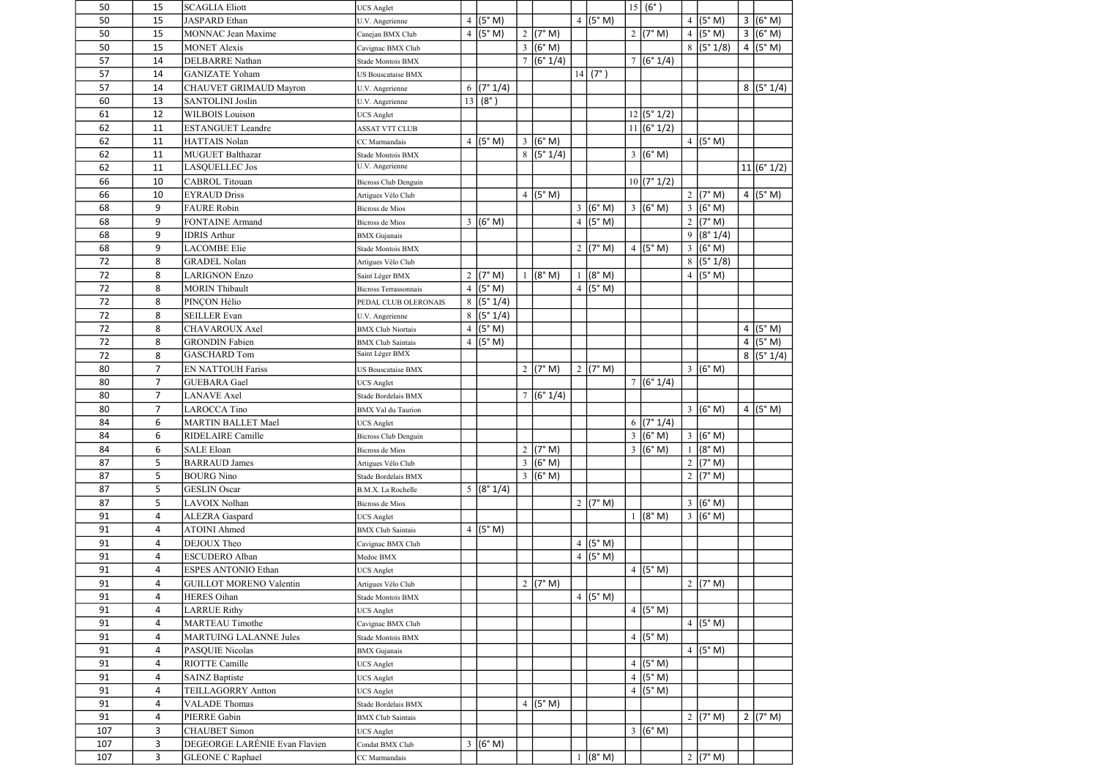| 50  | 15             | <b>SCAGLIA Eliott</b>          | <b>UCS</b> Anglet                           |                |                       |                 |                       |                |                    |        | 15 (6°)             |                |                     |                |            |
|-----|----------------|--------------------------------|---------------------------------------------|----------------|-----------------------|-----------------|-----------------------|----------------|--------------------|--------|---------------------|----------------|---------------------|----------------|------------|
| 50  | 15             | <b>JASPARD</b> Ethan           | U.V. Angerienne                             | $\overline{4}$ | (5° M)                |                 |                       |                | 4 $(5° M)$         |        |                     | $\overline{4}$ | (5° M)              | $\overline{3}$ | (6° M)     |
| 50  | 15             | <b>MONNAC Jean Maxime</b>      | Canejan BMX Club                            |                | 4 $(5° M)$            |                 | 2 ( $7^{\circ}$ M)    |                |                    |        | 2 ( $7^{\circ}$ M)  | $\overline{4}$ | (5° M)              |                | 3 (6° M)   |
| 50  | 15             | <b>MONET Alexis</b>            | Cavignac BMX Club                           |                |                       |                 | $3 (6° \text{ M})$    |                |                    |        |                     |                | 8 (5°1/8)           |                | $4$ (5° M) |
| 57  | 14             | <b>DELBARRE</b> Nathan         | Stade Montois BMX                           |                |                       | $\overline{7}$  | (6° 1/4)              |                |                    | $\tau$ | (6° 1/4)            |                |                     |                |            |
| 57  | 14             | <b>GANIZATE Yoham</b>          | <b>US Bouscataise BMX</b>                   |                |                       |                 |                       | 14             | $(7^{\circ})$      |        |                     |                |                     |                |            |
| 57  | 14             | CHAUVET GRIMAUD Mayron         | U.V. Angerienne                             |                | $6$ (7° 1/4)          |                 |                       |                |                    |        |                     |                |                     |                | 8 (5°1/4)  |
| 60  | 13             | <b>SANTOLINI Joslin</b>        | U.V. Angerienne                             | 13             | $(8^\circ)$           |                 |                       |                |                    |        |                     |                |                     |                |            |
| 61  | 12             | <b>WILBOIS</b> Louison         | <b>UCS</b> Anglet                           |                |                       |                 |                       |                |                    |        | 12 (5°1/2)          |                |                     |                |            |
| 62  | 11             | <b>ESTANGUET Leandre</b>       | <b>ASSAT VTT CLUB</b>                       |                |                       |                 |                       |                |                    |        | 11 (6°1/2)          |                |                     |                |            |
| 62  | 11             | <b>HATTAIS Nolan</b>           | CC Marmandais                               |                | 4 $(5° M)$            | $\mathfrak{Z}$  | (6° M)                |                |                    |        |                     |                | 4 $(5° M)$          |                |            |
| 62  | 11             | MUGUET Balthazar               | Stade Montois BMX                           |                |                       |                 | 8 (5°1/4)             |                |                    |        | 3 (6°M)             |                |                     |                |            |
| 62  | 11             | <b>LASQUELLEC Jos</b>          | U.V. Angerienne                             |                |                       |                 |                       |                |                    |        |                     |                |                     |                | 11 (6°1/2) |
| 66  | 10             | <b>CABROL Titouan</b>          | <b>Bicross Club Denguin</b>                 |                |                       |                 |                       |                |                    |        | 10(7°1/2)           |                |                     |                |            |
| 66  | 10             | <b>EYRAUD Driss</b>            | Artigues Vélo Club                          |                |                       |                 | 4 $(5° M)$            |                |                    |        |                     | $\sqrt{2}$     | (7° M)              |                | 4 $(5° M)$ |
| 68  | 9              | <b>FAURE Robin</b>             | Bicross de Mios                             |                |                       |                 |                       | $\mathfrak{Z}$ | (6° M)             |        | $3 (6° \text{ M})$  | $\mathfrak{Z}$ | (6° M)              |                |            |
| 68  | 9              | <b>FONTAINE Armand</b>         | Bicross de Mios                             |                | $3 (6° \text{ M})$    |                 |                       |                | 4 $(5° M)$         |        |                     | $\overline{2}$ | (7° M)              |                |            |
| 68  | 9              | <b>IDRIS Arthur</b>            | <b>BMX</b> Gujanais                         |                |                       |                 |                       |                |                    |        |                     | 9              | (8° 1/4)            |                |            |
| 68  | 9              | <b>LACOMBE Elie</b>            | Stade Montois BMX                           |                |                       |                 |                       | $\overline{2}$ | (7° M)             |        | $4 (5° \text{ M})$  | $\overline{3}$ | (6° M)              |                |            |
| 72  | 8              | <b>GRADEL Nolan</b>            | Artigues Vélo Club                          |                |                       |                 |                       |                |                    |        |                     |                | 8 (5°1/8)           |                |            |
| 72  | 8              | <b>LARIGNON Enzo</b>           | Saint Léger BMX                             |                | 2 ( $7^{\circ}$ M)    |                 | (8° M)                |                | (8° M)             |        |                     | $\overline{4}$ | (5° M)              |                |            |
| 72  | 8              | <b>MORIN Thibault</b>          | Bicross Terrassonnais                       | $\overline{4}$ | (5° M)                |                 |                       |                | $4$ (5° M)         |        |                     |                |                     |                |            |
| 72  | 8              | PINÇON Hélio                   | PEDAL CLUB OLERONAIS                        |                | 8 (5°1/4)             |                 |                       |                |                    |        |                     |                |                     |                |            |
| 72  | 8              | <b>SEILLER Evan</b>            |                                             |                | 8 (5°1/4)             |                 |                       |                |                    |        |                     |                |                     |                |            |
| 72  | 8              | <b>CHAVAROUX Axel</b>          | U.V. Angerienne                             |                | $4$ (5° M)            |                 |                       |                |                    |        |                     |                |                     |                |            |
| 72  |                | <b>GRONDIN Fabien</b>          | <b>BMX Club Niortais</b>                    |                |                       |                 |                       |                |                    |        |                     |                |                     |                | 4 $(5° M)$ |
|     | 8              | <b>GASCHARD Tom</b>            | <b>BMX</b> Club Saintais<br>Saint Léger BMX |                | 4 $(5° M)$            |                 |                       |                |                    |        |                     |                |                     | $\overline{4}$ | (5° M)     |
| 72  | 8              |                                |                                             |                |                       |                 |                       |                |                    |        |                     |                |                     |                | 8 (5°1/4)  |
| 80  | $\overline{7}$ | <b>EN NATTOUH Fariss</b>       | <b>US Bouscataise BMX</b>                   |                |                       |                 | $\overline{2}$ (7° M) | $\overline{2}$ | (7° M)             |        |                     |                | $3 (6° \text{ M})$  |                |            |
| 80  | $\overline{7}$ | <b>GUEBARA</b> Gael            | <b>UCS</b> Anglet                           |                |                       |                 |                       |                |                    |        | 7 (6°1/4)           |                |                     |                |            |
| 80  | $\overline{7}$ | <b>LANAVE</b> Axel             | Stade Bordelais BMX                         |                |                       | $7\overline{ }$ | (6° 1/4)              |                |                    |        |                     |                |                     |                |            |
| 80  | $\overline{7}$ | <b>LAROCCA Tino</b>            | <b>BMX</b> Val du Taurion                   |                |                       |                 |                       |                |                    |        |                     |                | $3 (6° \text{ M})$  |                | 4 $(5° M)$ |
| 84  | 6              | <b>MARTIN BALLET Mael</b>      | <b>UCS</b> Anglet                           |                |                       |                 |                       |                |                    |        | $\sqrt{6}$ (7° 1/4) |                |                     |                |            |
| 84  | 6              | RIDELAIRE Camille              | <b>Bicross Club Denguin</b>                 |                |                       |                 |                       |                |                    |        | $3 (6° \text{ M})$  | 3              | (6° M)              |                |            |
| 84  | 6              | <b>SALE Eloan</b>              | Bicross de Mios                             |                |                       |                 | 2 ( $7^{\circ}$ M)    |                |                    |        | 3 (6°M)             |                | (8° M)              |                |            |
| 87  | 5              | <b>BARRAUD James</b>           | Artigues Vélo Club                          |                |                       |                 | 3 (6° M)              |                |                    |        |                     | $\sqrt{2}$     | (7° M)              |                |            |
| 87  | 5              | <b>BOURG</b> Nino              | Stade Bordelais BMX                         |                |                       |                 | $3 (6° \text{ M})$    |                |                    |        |                     |                | 2 $(7° M)$          |                |            |
| 87  | 5              | <b>GESLIN</b> Oscar            | B.M.X. La Rochelle                          |                | 5 (8°1/4)             |                 |                       |                |                    |        |                     |                |                     |                |            |
| 87  | 5              | LAVOIX Nolhan                  | Bicross de Mios                             |                |                       |                 |                       |                | 2 ( $7^{\circ}$ M) |        |                     |                | $3 (6° \text{ M})$  |                |            |
| 91  | $\overline{4}$ | <b>ALEZRA</b> Gaspard          | <b>UCS</b> Anglet                           |                |                       |                 |                       |                |                    |        | (8° M)              |                | 3   (6° M)          |                |            |
| 91  | 4              | <b>ATOINI Ahmed</b>            | <b>BMX</b> Club Saintais                    |                | 4 ( $(5^{\circ} M)$ ) |                 |                       |                |                    |        |                     |                |                     |                |            |
| 91  | 4              | <b>DEJOUX</b> Theo             | Cavignac BMX Club                           |                |                       |                 |                       | $\overline{4}$ | (5° M)             |        |                     |                |                     |                |            |
| 91  | 4              | <b>ESCUDERO</b> Alban          | Medoc BMX                                   |                |                       |                 |                       |                | $4$ (5° M)         |        |                     |                |                     |                |            |
| 91  | 4              | <b>ESPES ANTONIO Ethan</b>     | <b>UCS</b> Anglet                           |                |                       |                 |                       |                |                    |        | 4 $(5° M)$          |                |                     |                |            |
| 91  | 4              | <b>GUILLOT MORENO Valentin</b> | Artigues Vélo Club                          |                |                       |                 | 2 ( $7^{\circ}$ M)    |                |                    |        |                     |                | 2 ( $7^{\circ}$ M)  |                |            |
| 91  | 4              | <b>HERES</b> Oihan             | Stade Montois BMX                           |                |                       |                 |                       |                | 4 $(5° M)$         |        |                     |                |                     |                |            |
| 91  | 4              | <b>LARRUE Rithy</b>            | <b>UCS</b> Anglet                           |                |                       |                 |                       |                |                    |        | 4 $(5° M)$          |                |                     |                |            |
| 91  | 4              | <b>MARTEAU Timothe</b>         | Cavignac BMX Club                           |                |                       |                 |                       |                |                    |        |                     |                | 4 $(5° M)$          |                |            |
| 91  | 4              | <b>MARTUING LALANNE Jules</b>  | Stade Montois BMX                           |                |                       |                 |                       |                |                    |        | 4 $(5° M)$          |                |                     |                |            |
| 91  | 4              | PASQUIE Nicolas                | <b>BMX</b> Gujanais                         |                |                       |                 |                       |                |                    |        |                     |                | 4 ( $(5^{\circ}$ M) |                |            |
| 91  | 4              | RIOTTE Camille                 | <b>UCS</b> Anglet                           |                |                       |                 |                       |                |                    |        | $4$ (5° M)          |                |                     |                |            |
| 91  | 4              | <b>SAINZ Baptiste</b>          | <b>UCS</b> Anglet                           |                |                       |                 |                       |                |                    |        | 4 $(5° M)$          |                |                     |                |            |
| 91  | 4              | <b>TEILLAGORRY Antton</b>      | <b>UCS</b> Anglet                           |                |                       |                 |                       |                |                    |        | 4 $(5° M)$          |                |                     |                |            |
| 91  | 4              | <b>VALADE Thomas</b>           | Stade Bordelais BMX                         |                |                       |                 | 4 $(5° M)$            |                |                    |        |                     |                |                     |                |            |
| 91  | 4              | <b>PIERRE Gabin</b>            | <b>BMX</b> Club Saintais                    |                |                       |                 |                       |                |                    |        |                     |                | 2 ( $7^{\circ}$ M)  |                | 2 $(7° M)$ |
| 107 | 3              | <b>CHAUBET</b> Simon           | <b>UCS</b> Anglet                           |                |                       |                 |                       |                |                    |        | $3 (6° \text{ M})$  |                |                     |                |            |
| 107 | 3              | DEGEORGE LARÉNIE Evan Flavien  | Condat BMX Club                             |                | $3 (6° \text{ M})$    |                 |                       |                |                    |        |                     |                |                     |                |            |
| 107 | 3              | <b>GLEONE C Raphael</b>        | CC Marmandais                               |                |                       |                 |                       |                | (8° M)             |        |                     |                | 2 $(7° M)$          |                |            |
|     |                |                                |                                             |                |                       |                 |                       |                |                    |        |                     |                |                     |                |            |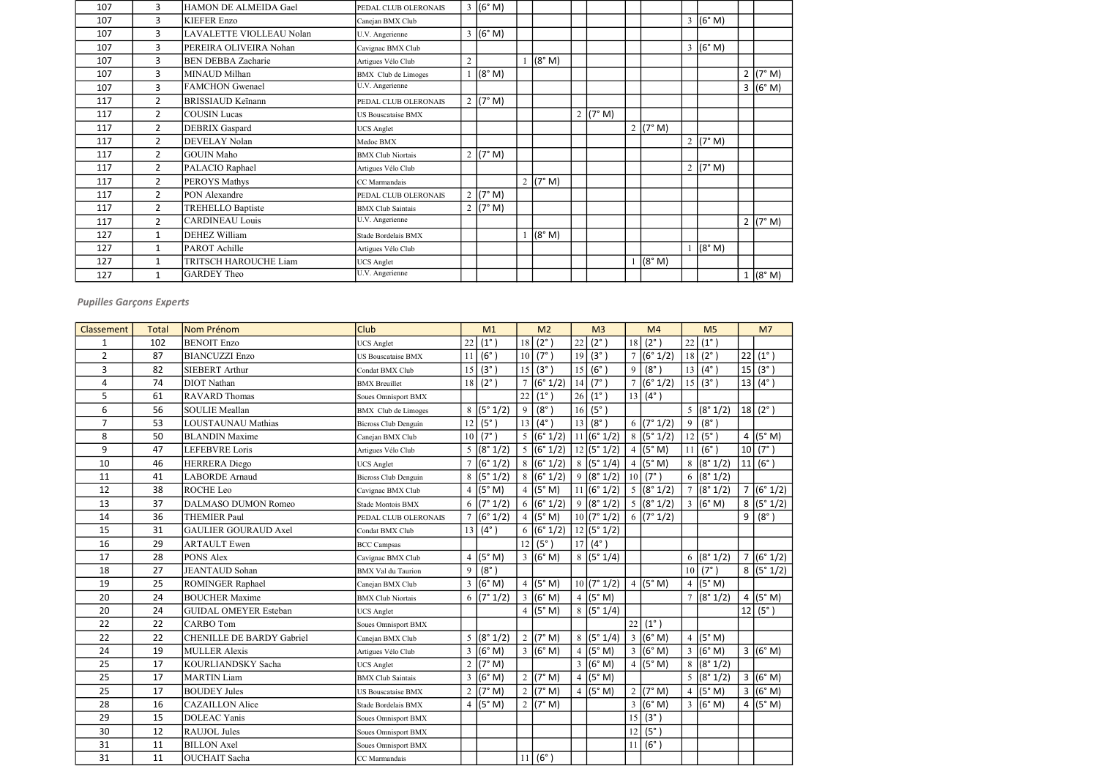| 107 | 3              | HAMON DE ALMEIDA Gael     | PEDAL CLUB OLERONAIS       | $3 (6° \text{ M})$ |            |            |                    |                    |            |
|-----|----------------|---------------------------|----------------------------|--------------------|------------|------------|--------------------|--------------------|------------|
| 107 | 3              | <b>KIEFER Enzo</b>        | Canejan BMX Club           |                    |            |            |                    | $3 (6° \text{ M})$ |            |
| 107 | 3              | LAVALETTE VIOLLEAU Nolan  | U.V. Angerienne            | $3 (6° \text{ M})$ |            |            |                    |                    |            |
| 107 | 3              | PEREIRA OLIVEIRA Nohan    | Cavignac BMX Club          |                    |            |            |                    | $3 (6° \text{ M})$ |            |
| 107 | 3              | <b>BEN DEBBA Zacharie</b> | Artigues Vélo Club         |                    | (8° M)     |            |                    |                    |            |
| 107 | 3              | MINAUD Milhan             | <b>BMX</b> Club de Limoges | (8° M)             |            |            |                    |                    | 2 $(7° M)$ |
| 107 | 3              | <b>FAMCHON</b> Gwenael    | U.V. Angerienne            |                    |            |            |                    |                    | 3 (6° M)   |
| 117 | $\overline{2}$ | <b>BRISSIAUD Keïnann</b>  | PEDAL CLUB OLERONAIS       | 2 $(7° M)$         |            |            |                    |                    |            |
| 117 | $\overline{2}$ | <b>COUSIN Lucas</b>       | <b>US Bouscataise BMX</b>  |                    |            | 2   (7° M) |                    |                    |            |
| 117 | $\overline{2}$ | DEBRIX Gaspard            | <b>UCS</b> Anglet          |                    |            |            | 2 ( $7^{\circ}$ M) |                    |            |
| 117 | $\overline{2}$ | DEVELAY Nolan             | Medoc BMX                  |                    |            |            |                    | 2 $(7° M)$         |            |
| 117 | $2^{\circ}$    | <b>GOUIN Maho</b>         | <b>BMX Club Niortais</b>   | 2 ( $7^{\circ}$ M) |            |            |                    |                    |            |
| 117 | $\overline{2}$ | PALACIO Raphael           | Artigues Vélo Club         |                    |            |            |                    | 2 ( $7^{\circ}$ M) |            |
| 117 | $\overline{2}$ | PEROYS Mathys             | CC Marmandais              |                    | 2 $(7° M)$ |            |                    |                    |            |
| 117 | $\overline{2}$ | PON Alexandre             | PEDAL CLUB OLERONAIS       | 2 $(7° M)$         |            |            |                    |                    |            |
| 117 | $\overline{2}$ | <b>TREHELLO Baptiste</b>  | <b>BMX</b> Club Saintais   | 2 $(7° M)$         |            |            |                    |                    |            |
| 117 | $\overline{2}$ | <b>CARDINEAU Louis</b>    | U.V. Angerienne            |                    |            |            |                    |                    | 2 (7° M)   |
| 127 | $\mathbf{1}$   | <b>DEHEZ William</b>      | Stade Bordelais BMX        |                    | (8° M)     |            |                    |                    |            |
| 127 | 1              | PAROT Achille             | Artigues Vélo Club         |                    |            |            |                    | (8° M)             |            |
| 127 | $\mathbf{1}$   | TRITSCH HAROUCHE Liam     | <b>UCS</b> Anglet          |                    |            |            | (8° M)             |                    |            |
| 127 | 1              | <b>GARDEY Theo</b>        | U.V. Angerienne            |                    |            |            |                    |                    | 1 (8° M)   |

| <b>Classement</b> | <b>Total</b> | Nom Prénom                       | Club                        |                | M1                 |                 | M <sub>2</sub>     |                | M <sub>3</sub>      |                | M <sub>4</sub>         |                | M <sub>5</sub>         |                | M <sub>7</sub>     |
|-------------------|--------------|----------------------------------|-----------------------------|----------------|--------------------|-----------------|--------------------|----------------|---------------------|----------------|------------------------|----------------|------------------------|----------------|--------------------|
| $\mathbf{1}$      | 102          | <b>BENOIT Enzo</b>               | <b>UCS</b> Anglet           | 22             | $(1^{\circ})$      | 18              | $(2^{\circ})$      | 22             | $(2^{\circ})$       | 18             | $(2^{\circ})$          | 22             | $(1^{\circ})$          |                |                    |
| $\overline{2}$    | 87           | <b>BIANCUZZI Enzo</b>            | <b>US Bouscataise BMX</b>   | 11             | $(6^{\circ})$      | 10              | $(7^\circ)$        | 19             | $(3^\circ)$         | $\overline{7}$ | (6° 1/2)               | 18             | $(2^{\circ})$          | 22             | $(1^{\circ})$      |
| $\overline{3}$    | 82           | <b>SIEBERT Arthur</b>            | Condat BMX Club             | 15             | (3°)               | 15              | $(3^\circ)$        | 15             | $(6^\circ$          | 9              | $(8^\circ)$            | 13             | $(4^{\circ})$          | 15             | $ (3^{\circ})$     |
| 4                 | 74           | <b>DIOT</b> Nathan               | <b>BMX</b> Breuillet        | 18             | $(2^{\circ})$      | $7\phantom{.0}$ | (6° 1/2)           | 14             | $(7^\circ)$         |                | (6° 1/2)               | 15             | $(3^\circ)$            |                | $13   (4^{\circ})$ |
| 5                 | 61           | <b>RAVARD Thomas</b>             | Soues Omnisport BMX         |                |                    | 22              | $(1^{\circ})$      | 26             | $(1^{\circ})$       | 13             | $(4^{\circ})$          |                |                        |                |                    |
| 6                 | 56           | <b>SOULIE Meallan</b>            | BMX Club de Limoges         |                | 8 (5°1/2)          | 9               | $(8^\circ)$        | 16             | (5°)                |                |                        |                | $\frac{1}{5}$ (8° 1/2) |                | $18 (2^{\circ})$   |
| $\overline{7}$    | 53           | <b>LOUSTAUNAU Mathias</b>        | <b>Bicross Club Denguin</b> | 12             | $(5^{\circ})$      | 13              | $(4^{\circ})$      | 13             | $(8^\circ)$         |                | $\frac{1}{6}$ (7° 1/2) | 9              | $(8^\circ)$            |                |                    |
| 8                 | 50           | <b>BLANDIN</b> Maxime            | Canejan BMX Club            | 10             | $(7^\circ)$        | 5               | (6° 1/2)           |                | 11 (6°1/2)          |                | 8 (5°1/2)              | 12             | $(5^\circ)$            |                | $4$ (5° M)         |
| 9                 | 47           | <b>LEFEBVRE</b> Loris            | Artigues Vélo Club          | 5              | (8° 1/2)           | $5\overline{)}$ | (6° 1/2)           |                | 12 (5°1/2)          | $\overline{4}$ | (5° M)                 | 11             | $(6^\circ)$            |                | 10 (7°)            |
| 10                | 46           | <b>HERRERA</b> Diego             | <b>UCS Anglet</b>           | $\overline{7}$ | (6° 1/2)           | 8               | (6° 1/2)           |                | 8 (5°1/4)           | $\overline{4}$ | (5° M)                 | 8              | (8°1/2)                |                | 11  (6°)           |
| 11                | 41           | <b>LABORDE</b> Arnaud            | <b>Bicross Club Denguin</b> |                | 8 (5°1/2)          |                 | 8 (6°1/2)          | 9              | (8° 1/2)            |                | $10(7^{\circ})$        |                | 6 (8°1/2)              |                |                    |
| 12                | 38           | ROCHE Leo                        | Cavignac BMX Club           | $\overline{4}$ | (5° M)             |                 | 4 $(5° M)$         |                | 11 (6°1/2)          | 5              | (8° 1/2)               | $\overline{7}$ | (8° 1/2)               |                | 7 (6°1/2)          |
| 13                | 37           | <b>DALMASO DUMON Romeo</b>       | Stade Montois BMX           |                | 6 ( $7° 1/2$ )     |                 | 6 (6°1/2)          |                | 9 (8°1/2)           |                | 5 (8°1/2)              |                | $3 (6° \text{ M})$     |                | 8 (5°1/2)          |
| 14                | 36           | THEMIER Paul                     | PEDAL CLUB OLERONAIS        | $\tau$         | (6° 1/2)           | $\overline{4}$  | (5° M)             |                | 10(7°1/2)           |                | 6 (7°1/2)              |                |                        | 9              | $(8^\circ)$        |
| 15                | 31           | <b>GAULIER GOURAUD Axel</b>      | Condat BMX Club             |                | $13   (4^{\circ})$ |                 | 6 (6°1/2)          |                | 12 (5°1/2)          |                |                        |                |                        |                |                    |
| 16                | 29           | <b>ARTAULT Ewen</b>              | <b>BCC</b> Campsas          |                |                    | 12              | $(5^\circ)$        | 17             | $(4^{\circ})$       |                |                        |                |                        |                |                    |
| 17                | 28           | PONS Alex                        | Cavignac BMX Club           |                | $4 (5° \text{ M})$ |                 | $3 (6° \text{ M})$ |                | 8 (5°1/4)           |                |                        |                | 6 (8°1/2)              | $\overline{7}$ | (6° 1/2)           |
| 18                | 27           | <b>JEANTAUD</b> Sohan            | <b>BMX</b> Val du Taurion   | 9              | (8°)               |                 |                    |                |                     |                |                        | 10             | $(7^{\circ})$          |                | 8 (5°1/2)          |
| 19                | 25           | ROMINGER Raphael                 | Canejan BMX Club            | $\overline{3}$ | (6° M)             |                 | 4 $(5° M)$         |                | 10(7°1/2)           |                | 4 ( $(5^{\circ}$ M)    | $\overline{4}$ | (5° M)                 |                |                    |
| 20                | 24           | <b>BOUCHER Maxime</b>            | <b>BMX Club Niortais</b>    |                | $6$ (7° 1/2)       |                 | $3 (6° \text{ M})$ |                | 4 ( $(5^{\circ}$ M) |                |                        | $\overline{7}$ | (8°1/2)                |                | 4 (5°M)            |
| 20                | 24           | <b>GUIDAL OMEYER Esteban</b>     | <b>UCS</b> Anglet           |                |                    |                 | 4 $(5° M)$         |                | $\sqrt{8}$ (5° 1/4) |                |                        |                |                        |                | $12   (5^\circ)$   |
| 22                | 22           | <b>CARBO</b> Tom                 | Soues Omnisport BMX         |                |                    |                 |                    |                |                     | 22             | $(1^{\circ})$          |                |                        |                |                    |
| 22                | 22           | <b>CHENILLE DE BARDY Gabriel</b> | Canejan BMX Club            |                | 5 (8°1/2)          |                 | 2 ( $7^{\circ}$ M) |                | 8 (5°1/4)           | $\overline{3}$ | (6° M)                 | $\overline{4}$ | (5° M)                 |                |                    |
| 24                | 19           | <b>MULLER Alexis</b>             | Artigues Vélo Club          |                | $3 (6° \text{ M})$ |                 | $3 (6° \text{ M})$ | $\overline{4}$ | (5° M)              | $\overline{3}$ | (6° M)                 |                | $3 (6° \text{ M})$     |                | 3 (6° M)           |
| 25                | 17           | KOURLIANDSKY Sacha               | <b>UCS</b> Anglet           | $\overline{2}$ | (7° M)             |                 |                    |                | 3 (6°M)             |                | 4 (5°M)                |                | 8 (8°1/2)              |                |                    |
| 25                | 17           | <b>MARTIN Liam</b>               | <b>BMX Club Saintais</b>    | $\mathfrak{Z}$ | (6° M)             |                 | 2 ( $7^{\circ}$ M) | $\overline{4}$ | (5° M)              |                |                        |                | 5 (8°1/2)              |                | 3 (6° M)           |
| 25                | 17           | <b>BOUDEY Jules</b>              | US Bouscataise BMX          | 2              | (7° M)             |                 | 2 ( $7^{\circ}$ M) |                | $4 (5° \text{ M})$  | $\overline{2}$ | (7° M)                 | 4              | (5° M)                 |                | 3 (6°M)            |
| 28                | 16           | <b>CAZAILLON Alice</b>           | Stade Bordelais BMX         |                | 4 $(5° M)$         |                 | 2 $(7° M)$         |                |                     | $\overline{3}$ | (6° M)                 |                | $3 (6° \text{ M})$     |                | 4 (5°M)            |
| 29                | 15           | <b>DOLEAC Yanis</b>              | Soues Omnisport BMX         |                |                    |                 |                    |                |                     | 15             | $(3^\circ)$            |                |                        |                |                    |
| 30                | 12           | <b>RAUJOL Jules</b>              | Soues Omnisport BMX         |                |                    |                 |                    |                |                     | 12             | $(5^{\circ})$          |                |                        |                |                    |
| 31                | 11           | <b>BILLON</b> Axel               | <b>Soues Omnisport BMX</b>  |                |                    |                 |                    |                |                     |                | $(6^\circ)$            |                |                        |                |                    |
| 31                | 11           | <b>OUCHAIT</b> Sacha             | CC Marmandais               |                |                    |                 | 11 (6°)            |                |                     |                |                        |                |                        |                |                    |

# Pupilles Garçons Experts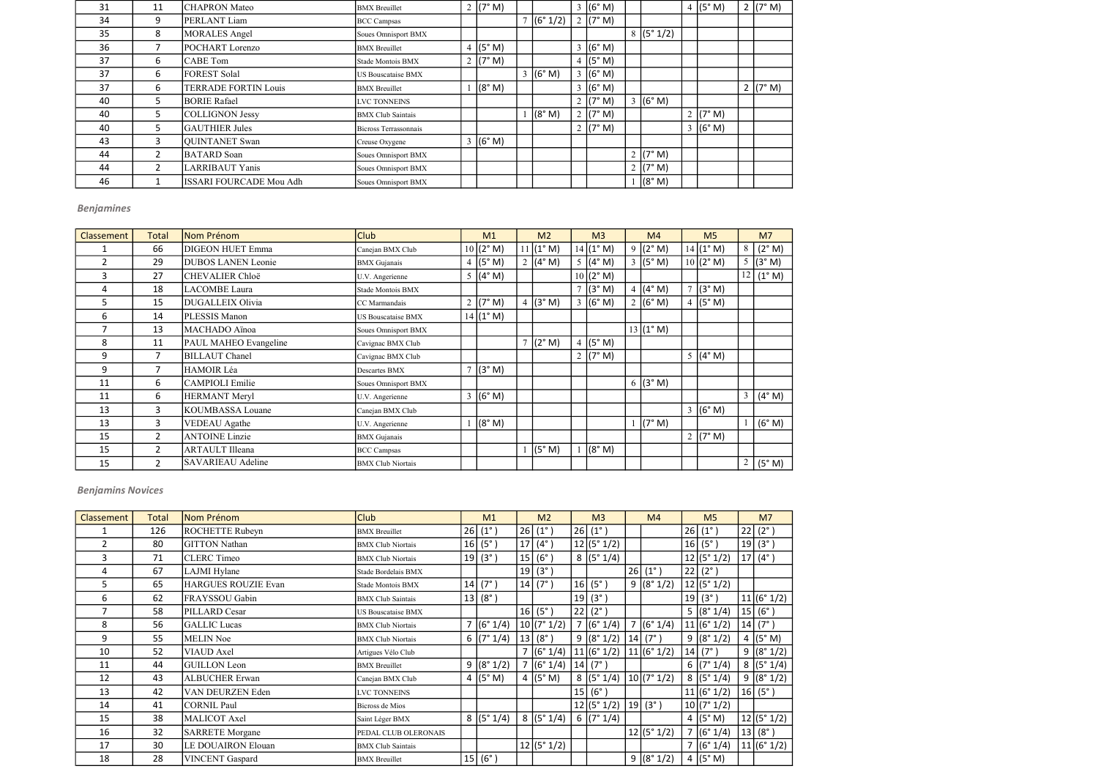| 31 | 11                    | <b>CHAPRON Mateo</b>           | <b>BMX</b> Breuillet      | 2 ( $7^{\circ}$ M) |           | 3   (6° M)         |                    | 4 $(5° M)$         | 2 $(7° M)$ |
|----|-----------------------|--------------------------------|---------------------------|--------------------|-----------|--------------------|--------------------|--------------------|------------|
| 34 | 9                     | PERLANT Liam                   | <b>BCC</b> Campsas        |                    | 7 (6°1/2) | 2 $(7° M)$         |                    |                    |            |
| 35 | 8                     | <b>MORALES</b> Angel           | Soues Omnisport BMX       |                    |           |                    | 8 (5°1/2)          |                    |            |
| 36 |                       | POCHART Lorenzo                | <b>BMX</b> Breuillet      | 4 $(5° M)$         |           | $3 (6° \text{ M})$ |                    |                    |            |
| 37 | 6                     | <b>CABE</b> Tom                | Stade Montois BMX         | 2 $(7° M)$         |           | 4 $(5° M)$         |                    |                    |            |
| 37 | 6                     | <b>FOREST Solal</b>            | <b>US Bouscataise BMX</b> |                    | 3 (6° M)  | (6° M)             |                    |                    |            |
| 37 | 6                     | TERRADE FORTIN Louis           | <b>BMX</b> Breuillet      | (8° M)             |           | 3   (6° M)         |                    |                    | 2 $(7° M)$ |
| 40 | 5                     | <b>BORIE Rafael</b>            | <b>LVC TONNEINS</b>       |                    |           | 2 $(7° M)$         | $3 (6° \text{ M})$ |                    |            |
| 40 | 5                     | COLLIGNON Jessy                | <b>BMX Club Saintais</b>  |                    | (8° M)    | 2 $(7° M)$         |                    | 2 $(7° M)$         |            |
| 40 | 5                     | <b>GAUTHIER Jules</b>          | Bicross Terrassonnais     |                    |           | 2 $(7° M)$         |                    | $3 (6° \text{ M})$ |            |
| 43 | 3                     | <b>QUINTANET</b> Swan          | Creuse Oxygene            | 3 (6° M)           |           |                    |                    |                    |            |
| 44 | $\overline{2}$        | <b>BATARD</b> Soan             | Soues Omnisport BMX       |                    |           |                    | 2 ( $7^{\circ}$ M) |                    |            |
| 44 | $\mathbf{2}^{\prime}$ | LARRIBAUT Yanis                | Soues Omnisport BMX       |                    |           |                    | 2 ( $7^{\circ}$ M) |                    |            |
| 46 |                       | <b>ISSARI FOURCADE Mou Adh</b> | Soues Omnisport BMX       |                    |           |                    | (8° M)             |                    |            |

| Classement | <b>Total</b>   | Nom Prénom                | <b>Club</b>               | M1                 |                | M <sub>2</sub> |        | M <sub>3</sub>     | M <sub>4</sub>      |        | M <sub>5</sub>     |   | M <sub>7</sub>                |
|------------|----------------|---------------------------|---------------------------|--------------------|----------------|----------------|--------|--------------------|---------------------|--------|--------------------|---|-------------------------------|
|            | 66             | <b>DIGEON HUET Emma</b>   | Canejan BMX Club          | 10(2° M)           |                | 11   (1° M)    |        | $14 (1°)$ M)       | 9 ( $(2^{\circ} M)$ |        | 14 (1° M)          | 8 | (2° M)                        |
| 2          | 29             | <b>DUBOS LANEN Leonie</b> | <b>BMX</b> Gujanais       | 4 $(5° M)$         |                | 2 $(4° M)$     |        | 5 $(4^{\circ} M)$  | $3 (5° \text{ M})$  |        | 10 (2° M)          | 5 | (3° M)                        |
| 3          | 27             | <b>CHEVALIER Chloë</b>    | U.V. Angerienne           | $5 (4° \text{ M})$ |                |                |        | 10 (2° M)          |                     |        |                    |   | 12   (1° M)                   |
| 4          | 18             | <b>LACOMBE</b> Laura      | Stade Montois BMX         |                    |                |                | $\tau$ | (3° M)             | 4 $(4° M)$          | $\tau$ | (3° M)             |   |                               |
| 5.         | 15             | DUGALLEIX Olivia          | CC Marmandais             | 2 ( $7^{\circ}$ M) |                | (3° M)         |        | $3 (6° \text{ M})$ | 2 (6° M)            |        | 4 $(5° M)$         |   |                               |
| 6          | 14             | PLESSIS Manon             | <b>US Bouscataise BMX</b> | 14 (1° M)          |                |                |        |                    |                     |        |                    |   |                               |
|            | 13             | MACHADO Aïnoa             | Soues Omnisport BMX       |                    |                |                |        |                    | 13(1° M)            |        |                    |   |                               |
| 8          | 11             | PAUL MAHEO Evangeline     | Cavignac BMX Club         |                    | $\overline{7}$ | (2° M)         |        | 4 $(5° M)$         |                     |        |                    |   |                               |
| 9          | 7              | <b>BILLAUT</b> Chanel     | Cavignac BMX Club         |                    |                |                |        | 2 ( $7^{\circ}$ M) |                     |        | 5 $(4^{\circ} M)$  |   |                               |
| 9          | 7              | <b>HAMOIR Léa</b>         | Descartes BMX             | (3° M)             |                |                |        |                    |                     |        |                    |   |                               |
| 11         | 6              | <b>CAMPIOLI Emilie</b>    | Soues Omnisport BMX       |                    |                |                |        |                    | 6 (3° M)            |        |                    |   |                               |
| 11         | 6              | <b>HERMANT Meryl</b>      | U.V. Angerienne           | $3 (6° \text{ M})$ |                |                |        |                    |                     |        |                    |   | $3 \mid (4^{\circ} \text{M})$ |
| 13         | 3              | KOUMBASSA Louane          | Canejan BMX Club          |                    |                |                |        |                    |                     |        | $3 (6° \text{ M})$ |   |                               |
| 13         | 3              | <b>VEDEAU</b> Agathe      | U.V. Angerienne           | (8° M)             |                |                |        |                    | (7° M)              |        |                    |   | (6° M)                        |
| 15         | $\overline{2}$ | <b>ANTOINE Linzie</b>     | <b>BMX</b> Gujanais       |                    |                |                |        |                    |                     |        | 2 ( $7^{\circ}$ M) |   |                               |
| 15         | 2              | <b>ARTAULT Illeana</b>    | <b>BCC Campsas</b>        |                    |                | (5° M)         |        | (8° M)             |                     |        |                    |   |                               |
| 15         | $\overline{2}$ | SAVARIEAU Adeline         | <b>BMX Club Niortais</b>  |                    |                |                |        |                    |                     |        |                    |   | $2 \mid (5^\circ \text{ M})$  |

| Classement | <b>Total</b> | Nom Prénom                 | <b>Club</b>               |    | M1            | M <sub>2</sub>   |    | M <sub>3</sub> | M <sub>4</sub>   | M <sub>5</sub>       | M <sub>7</sub>       |
|------------|--------------|----------------------------|---------------------------|----|---------------|------------------|----|----------------|------------------|----------------------|----------------------|
|            | 126          | <b>ROCHETTE Rubeyn</b>     | <b>BMX</b> Breuillet      |    | 26 (1°)       | 26 (1°)          | 26 | $(1^{\circ})$  |                  | 26 (1°)              | $ 22 $ $(2^{\circ})$ |
| 2          | 80           | <b>GITTON Nathan</b>       | <b>BMX Club Niortais</b>  |    | 16   (5°)     | 17 $(4^{\circ})$ |    | 12 (5°1/2)     |                  | 16   (5°)            | 19(3°)               |
| 3          | 71           | <b>CLERC</b> Timeo         | <b>BMX Club Niortais</b>  |    | 19   (3°)     | 15 (6°)          |    | 8 (5°1/4)      |                  | 12 (5°1/2)           | $ 17 $ (4°)          |
| 4          | 67           | LAJMI Hylane               | Stade Bordelais BMX       |    |               | 19(3°)           |    |                | $26 (1^{\circ})$ | $ 22 $ $(2^{\circ})$ |                      |
| 5          | 65           | <b>HARGUES ROUZIE Evan</b> | Stade Montois BMX         | 14 | $(7^{\circ})$ | 14   (7°)        | 16 | $(5^\circ)$    | 9 (8°1/2)        | 12 (5°1/2)           |                      |
| 6          | 62           | FRAYSSOU Gabin             | <b>BMX Club Saintais</b>  | 13 | $(8^{\circ})$ |                  | 19 | $(3^\circ)$    |                  | 19(3°)               | 11 (6°1/2)           |
|            | 58           | PILLARD Cesar              | <b>US Bouscataise BMX</b> |    |               | 16   (5°)        | 22 | $(2^{\circ})$  |                  | 5 (8°1/4)            | 15 (6°)              |
| 8          | 56           | <b>GALLIC</b> Lucas        | <b>BMX Club Niortais</b>  |    | 7 (6°1/4)     | 10(7°1/2)        |    | 7 (6°1/4)      | 7 (6°1/4)        | 11 (6°1/2)           | $ 14 $ (7°)          |
| 9          | 55           | <b>MELIN</b> Noe           | <b>BMX</b> Club Niortais  |    | 6 $(7° 1/4)$  | $ 13 $ (8°)      |    | 9 (8°1/2)      | 14   (7°)        | 9 (8°1/2)            | 4 $(5° M)$           |
| 10         | 52           | VIAUD Axel                 | Artigues Vélo Club        |    |               | 7 (6°1/4)        |    | 11 (6°1/2)     | 11 (6°1/2)       | 14   (7°)            | 9 (8°1/2)            |
| 11         | 44           | <b>GUILLON</b> Leon        | <b>BMX</b> Breuillet      |    | 9 (8°1/2)     | 7 (6°1/4)        | 14 | $(7^{\circ})$  |                  | 6 $(7° 1/4)$         | 8 (5°1/4)            |
| 12         | 43           | <b>ALBUCHER Erwan</b>      | Canejan BMX Club          |    | 4 $(5° M)$    | 4 $(5° M)$       |    | 8 (5°1/4)      | $ 10 $ (7° 1/2)  | 8 (5°1/4)            | 9 (8°1/2)            |
| 13         | 42           | VAN DEURZEN Eden           | LVC TONNEINS              |    |               |                  | 15 | (6°)           |                  | 11 (6°1/2)           | $ 16 $ (5°)          |
| 14         | 41           | <b>CORNIL Paul</b>         | Bicross de Mios           |    |               |                  |    | 12 (5°1/2)     | $ 19 $ (3°)      | 10 (7°1/2)           |                      |
| 15         | 38           | MALICOT Axel               | Saint Léger BMX           |    | 8 (5°1/4)     | 8 (5°1/4)        |    | 6 $(7° 1/4)$   |                  | 4 $(5° M)$           | 12 (5°1/2)           |
| 16         | 32           | <b>SARRETE Morgane</b>     | PEDAL CLUB OLERONAIS      |    |               |                  |    |                | 12 (5°1/2)       | 7 (6°1/4)            | $ 13 $ (8°)          |
| 17         | 30           | LE DOUAIRON Elouan         | <b>BMX Club Saintais</b>  |    |               | 12 (5°1/2)       |    |                |                  | 7 (6°1/4)            | 11 (6°1/2)           |
| 18         | 28           | <b>VINCENT</b> Gaspard     | <b>BMX</b> Breuillet      |    | 15 (6°)       |                  |    |                | 9 (8°1/2)        | 4 $(5° M)$           |                      |

# Benjamines

## Benjamins Novices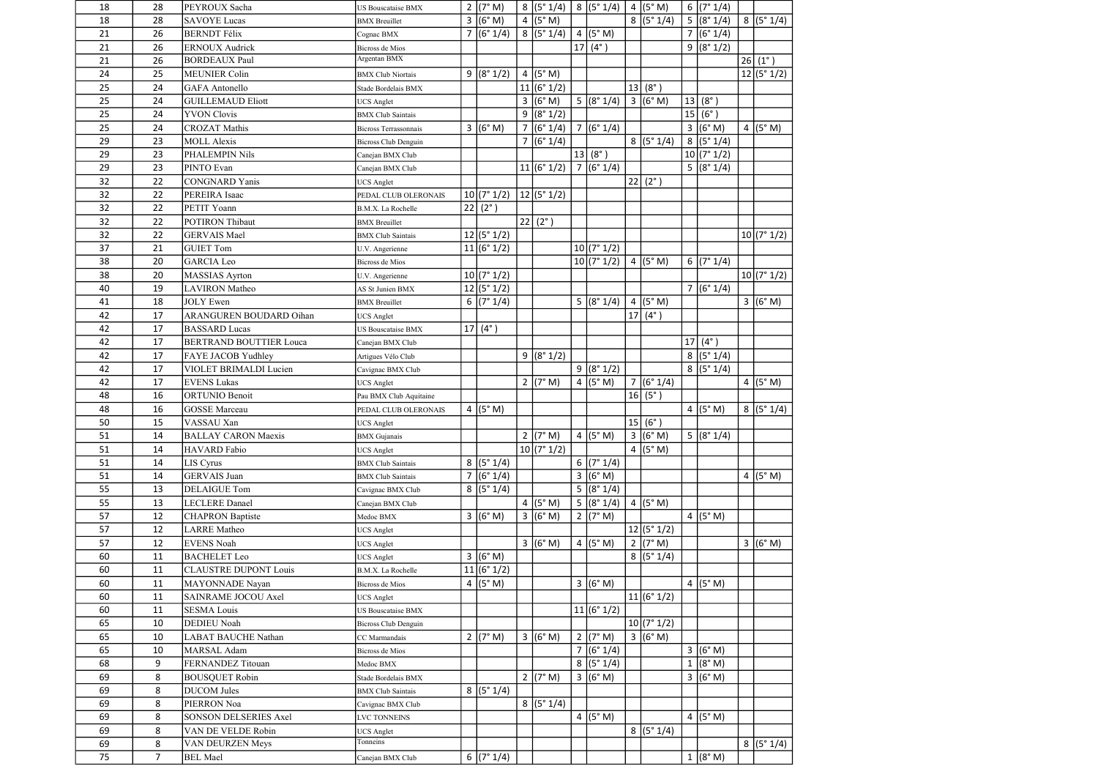| 18 | 28          | PEYROUX Sacha                  | <b>US Bouscataise BMX</b>   |                | 2 $(7° M)$          | 8 (5°1/4)          |                | 8 (5°1/4)               | 4 $(5° M)$          |              | 6 (7°1/4)               |                  |
|----|-------------|--------------------------------|-----------------------------|----------------|---------------------|--------------------|----------------|-------------------------|---------------------|--------------|-------------------------|------------------|
| 18 | 28          | <b>SAVOYE Lucas</b>            | <b>BMX</b> Breuillet        |                | 3 (6° M)            | 4 $(5° M)$         |                |                         | 8 (5°1/4)           |              | 5 (8°1/4)               | 8 (5°1/4)        |
| 21 | 26          | <b>BERNDT</b> Félix            | Cognac BMX                  |                | 7 (6°1/4)           | 8 (5°1/4)          |                | 4 (5° M)                |                     |              | $\overline{7}$ (6° 1/4) |                  |
| 21 | 26          | <b>ERNOUX Audrick</b>          | <b>Bicross de Mios</b>      |                |                     |                    |                | 17 (4°)                 |                     |              | 9 (8°1/2)               |                  |
| 21 | 26          | <b>BORDEAUX Paul</b>           | Argentan BMX                |                |                     |                    |                |                         |                     |              |                         | $26 (1^{\circ})$ |
| 24 | 25          | <b>MEUNIER Colin</b>           | <b>BMX</b> Club Niortais    |                | 9 (8°1/2)           | 4 $(5° M)$         |                |                         |                     |              |                         | 12 (5°1/2)       |
| 25 | 24          | <b>GAFA</b> Antonello          | Stade Bordelais BMX         |                |                     | 11 (6°1/2)         |                |                         | 13   (8°)           |              |                         |                  |
| 25 | 24          | <b>GUILLEMAUD Eliott</b>       | <b>UCS</b> Anglet           |                |                     | 3 (6° M)           |                | $\overline{5}$ (8° 1/4) | 3 (6° M)            |              | 13   (8 <sup>°</sup> )  |                  |
| 25 | 24          | <b>YVON Clovis</b>             | <b>BMX</b> Club Saintais    |                |                     | 9 (8°1/2)          |                |                         |                     |              | 15 (6°)                 |                  |
| 25 | 24          | <b>CROZAT Mathis</b>           | Bicross Terrassonnais       |                | 3 (6°M)             | 7 (6°1/4)          |                | $\frac{1}{7}(6°1/4)$    |                     |              | 3 (6° M)                | 4 $(5° M)$       |
| 29 | 23          | <b>MOLL Alexis</b>             | Bicross Club Denguin        |                |                     | 7 (6°1/4)          |                |                         | 8 (5°1/4)           |              | 8 (5°1/4)               |                  |
| 29 | 23          | PHALEMPIN Nils                 | Canejan BMX Club            |                |                     |                    |                | 13   (8 <sup>°</sup> )  |                     |              | 10 (7°1/2)              |                  |
| 29 | 23          | PINTO Evan                     | Canejan BMX Club            |                |                     | 11 (6°1/2)         |                | 7(6°1/4)                |                     |              | 5 (8°1/4)               |                  |
| 32 | 22          | <b>CONGNARD</b> Yanis          | <b>UCS</b> Anglet           |                |                     |                    |                |                         | $22 (2^{\circ})$    |              |                         |                  |
| 32 | 22          | PEREIRA Isaac                  | PEDAL CLUB OLERONAIS        |                | 10(7°1/2)           | $ 12 $ (5° 1/2)    |                |                         |                     |              |                         |                  |
| 32 | 22          | PETIT Yoann                    | B.M.X. La Rochelle          |                | $22 (2^{\circ})$    |                    |                |                         |                     |              |                         |                  |
| 32 | 22          | <b>POTIRON Thibaut</b>         | <b>BMX</b> Breuillet        |                |                     | $22   (2^{\circ})$ |                |                         |                     |              |                         |                  |
| 32 | 22          | <b>GERVAIS Mael</b>            | <b>BMX</b> Club Saintais    |                | 12 (5°1/2)          |                    |                |                         |                     |              |                         | 10(7°1/2)        |
| 37 | 21          | <b>GUIET Tom</b>               | U.V. Angerienne             |                | 11 (6°1/2)          |                    |                | 10 (7°1/2)              |                     |              |                         |                  |
| 38 | 20          | <b>GARCIA</b> Leo              | Bicross de Mios             |                |                     |                    |                | 10(7°1/2)               | 4 (5° M)            |              | 6 (7°1/4)               |                  |
| 38 | 20          | <b>MASSIAS</b> Ayrton          | U.V. Angerienne             |                | 10(7°1/2)           |                    |                |                         |                     |              |                         | 10 (7°1/2)       |
| 40 | 19          | <b>LAVIRON</b> Matheo          | AS St Junien BMX            |                | 12 (5°1/2)          |                    |                |                         |                     |              | 7 (6°1/4)               |                  |
| 41 | 18          | <b>JOLY</b> Ewen               | <b>BMX</b> Breuillet        |                | 6 (7°1/4)           |                    |                | 5 (8°1/4)               | 4 ( $(5^{\circ}$ M) |              |                         | 3 (6° M)         |
| 42 | 17          | ARANGUREN BOUDARD Oihan        | <b>UCS Anglet</b>           |                |                     |                    |                |                         | 17 (4°)             |              |                         |                  |
| 42 | 17          | <b>BASSARD</b> Lucas           | <b>US Bouscataise BMX</b>   |                | $17 (4^{\circ})$    |                    |                |                         |                     |              |                         |                  |
| 42 | 17          | <b>BERTRAND BOUTTIER Louca</b> | Canejan BMX Club            |                |                     |                    |                |                         |                     |              | 17 (4°)                 |                  |
| 42 | 17          | FAYE JACOB Yudhley             | Artigues Vélo Club          |                |                     | 9 (8°1/2)          |                |                         |                     |              | 8 (5°1/4)               |                  |
| 42 | 17          | VIOLET BRIMALDI Lucien         | Cavignac BMX Club           |                |                     |                    |                | 9 (8°1/2)               |                     |              | 8 (5°1/4)               |                  |
| 42 | 17          | <b>EVENS Lukas</b>             | <b>UCS</b> Anglet           |                |                     | 2 (7° M)           |                | 4 $(5° M)$              | 7 (6°1/4)           |              |                         | 4 $(5° M)$       |
| 48 | 16          | <b>ORTUNIO Benoit</b>          | Pau BMX Club Aquitaine      |                |                     |                    |                |                         | 16   (5°)           |              |                         |                  |
| 48 | 16          | <b>GOSSE</b> Marceau           | PEDAL CLUB OLERONAIS        |                | 4 $(5° M)$          |                    |                |                         |                     |              | $4$ (5° M)              | 8 (5°1/4)        |
| 50 | 15          | VASSAU Xan                     | <b>UCS</b> Anglet           |                |                     |                    |                |                         | 15(6°)              |              |                         |                  |
| 51 | 14          | <b>BALLAY CARON Maexis</b>     | <b>BMX</b> Gujanais         |                |                     | 2 (7° M)           |                | 4 $(5° M)$              | 3 (6°M)             |              | 5 (8°1/4)               |                  |
| 51 | 14          | <b>HAVARD</b> Fabio            | <b>UCS</b> Anglet           |                |                     | 10 (7°1/2)         |                |                         | 4 ( $(5^{\circ}$ M) |              |                         |                  |
| 51 | 14          | LIS Cyrus                      | <b>BMX</b> Club Saintais    |                | $\sqrt{8}$ (5° 1/4) |                    |                | 6 (7°1/4)               |                     |              |                         |                  |
| 51 | 14          | <b>GERVAIS</b> Juan            | <b>BMX</b> Club Saintais    | $\overline{7}$ | (6° 1/4)            |                    | $\overline{3}$ | (6° M)                  |                     |              |                         | 4 $(5° M)$       |
| 55 | 13          | <b>DELAIGUE Tom</b>            | Cavignac BMX Club           |                | 8 (5°1/4)           |                    | 5              | (8° 1/4)                |                     |              |                         |                  |
| 55 | 13          | <b>LECLERE</b> Danael          | Canejan BMX Club            |                |                     | 4 $(5° M)$         |                | 5 (8°1/4)               | 4 $(5° M)$          |              |                         |                  |
| 57 | 12          | <b>CHAPRON</b> Baptiste        | Medoc BMX                   |                | 3 (6°M)             | 3 (6° M)           |                | $2 (7° \text{ M})$      |                     |              | 4 $(5° M)$              |                  |
| 57 | 12          | <b>LARRE</b> Matheo            | <b>UCS</b> Anglet           |                |                     |                    |                |                         | 12 (5°1/2)          |              |                         |                  |
| 57 | 12          | <b>EVENS</b> Noah              | <b>UCS</b> Anglet           |                |                     | 3 (6° M)           |                | 4 ( $(5° M)$ )          | 2 ( $7^{\circ}$ M)  |              |                         | 3 (6°M)          |
| 60 | 11          | <b>BACHELET Leo</b>            | <b>UCS</b> Anglet           |                | 3 (6° M)            |                    |                |                         | 8 (5°1/4)           |              |                         |                  |
| 60 | 11          | <b>CLAUSTRE DUPONT Louis</b>   | B.M.X. La Rochelle          |                | 11 (6°1/2)          |                    |                |                         |                     |              |                         |                  |
| 60 | 11          | MAYONNADE Nayan                | Bicross de Mios             |                | 4 $(5° M)$          |                    |                | 3 (6° M)                |                     |              | 4 ( $(5^{\circ}$ M)     |                  |
| 60 | 11          | SAINRAME JOCOU Axel            | <b>UCS Anglet</b>           |                |                     |                    |                |                         | 11 (6°1/2)          |              |                         |                  |
| 60 | 11          | <b>SESMA Louis</b>             | <b>US Bouscataise BMX</b>   |                |                     |                    |                | 11 (6°1/2)              |                     |              |                         |                  |
| 65 | 10          | <b>DEDIEU Noah</b>             | <b>Bicross Club Denguin</b> |                |                     |                    |                |                         | 10 (7°1/2)          |              |                         |                  |
| 65 | 10          | <b>LABAT BAUCHE Nathan</b>     | CC Marmandais               |                | 2 ( $7^{\circ}$ M)  | $3 (6° \text{ M})$ |                | 2 (7° M)                | 3 (6° M)            |              |                         |                  |
| 65 | 10          | <b>MARSAL</b> Adam             | Bicross de Mios             |                |                     |                    |                | 7 (6°1/4)               |                     |              | 3 (6° M)                |                  |
| 68 | 9           | FERNANDEZ Titouan              | Medoc BMX                   |                |                     |                    |                | 8 (5°1/4)               |                     | $\mathbf{1}$ | (8° M)                  |                  |
| 69 | 8           | <b>BOUSQUET Robin</b>          | Stade Bordelais BMX         |                |                     | $2 (7° \text{ M})$ |                | 3 (6°M)                 |                     |              | 3 (6° M)                |                  |
| 69 | 8           | <b>DUCOM</b> Jules             | <b>BMX</b> Club Saintais    |                | 8 (5°1/4)           |                    |                |                         |                     |              |                         |                  |
| 69 | 8           | PIERRON Noa                    | Cavignac BMX Club           |                |                     | 8 (5°1/4)          |                |                         |                     |              |                         |                  |
| 69 | 8           | <b>SONSON DELSERIES Axel</b>   | <b>LVC TONNEINS</b>         |                |                     |                    |                | 4 ( $(5° M)$ )          |                     |              | 4 $(5° M)$              |                  |
| 69 | 8           | VAN DE VELDE Robin             | <b>UCS</b> Anglet           |                |                     |                    |                |                         | 8 (5°1/4)           |              |                         |                  |
| 69 | 8           | VAN DEURZEN Meys               | Tonneins                    |                |                     |                    |                |                         |                     |              |                         | 8 (5°1/4)        |
| 75 | $7^{\circ}$ | <b>BEL</b> Mael                | Canejan BMX Club            |                | 6 $(7° 1/4)$        |                    |                |                         |                     |              | 1 (8° M)                |                  |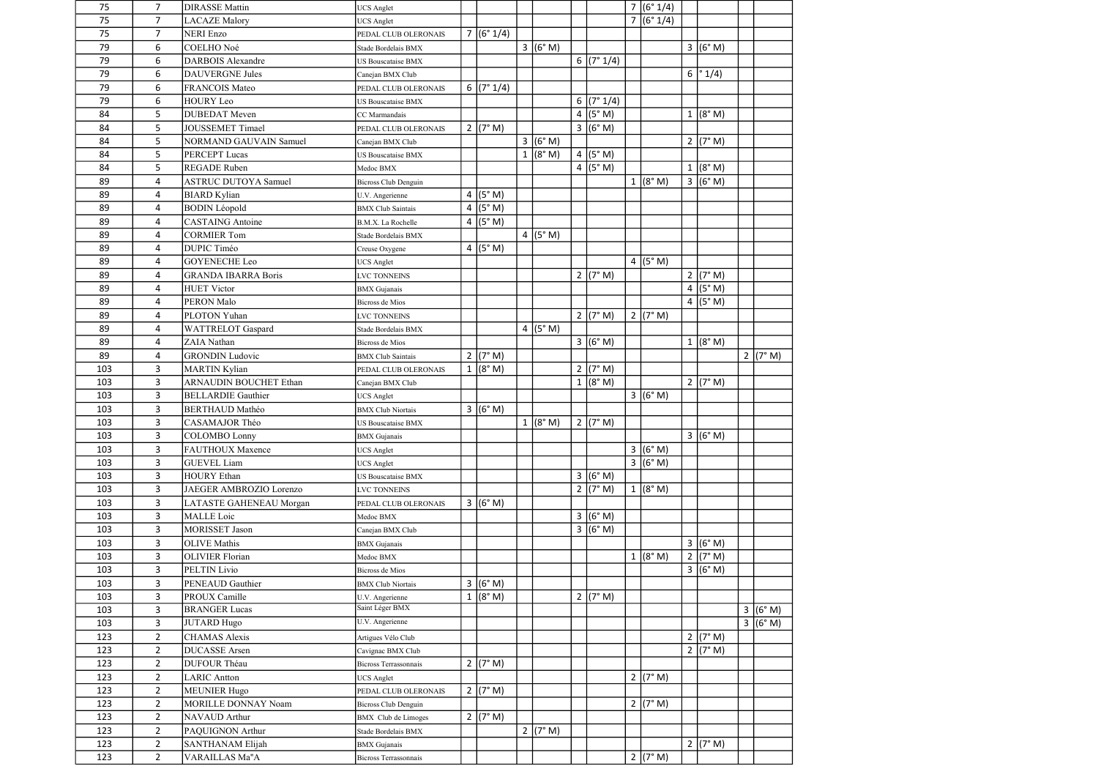| 75  | 7              | <b>DIRASSE Mattin</b>         | <b>UCS</b> Anglet                  |                |                       |            |   |                    | 7 (6°1/4)           |              |                    |                    |
|-----|----------------|-------------------------------|------------------------------------|----------------|-----------------------|------------|---|--------------------|---------------------|--------------|--------------------|--------------------|
| 75  | $\overline{7}$ | <b>LACAZE</b> Malory          | <b>UCS Anglet</b>                  |                |                       |            |   |                    | 7 (6°1/4)           |              |                    |                    |
| 75  | $\overline{7}$ | <b>NERI</b> Enzo              | PEDAL CLUB OLERONAIS               |                | 7 (6°1/4)             |            |   |                    |                     |              |                    |                    |
| 79  | 6              | COELHO Noé                    | Stade Bordelais BMX                |                |                       | 3 (6° M)   |   |                    |                     |              | 3 (6° M)           |                    |
| 79  | 6              | <b>DARBOIS Alexandre</b>      | <b>US Bouscataise BMX</b>          |                |                       |            |   | 6 (7°1/4)          |                     |              |                    |                    |
| 79  | 6              | <b>DAUVERGNE Jules</b>        | Canejan BMX Club                   |                |                       |            |   |                    |                     |              | 6  ° 1/4)          |                    |
| 79  | 6              | <b>FRANCOIS Mateo</b>         | PEDAL CLUB OLERONAIS               |                | 6 $(7° 1/4)$          |            |   |                    |                     |              |                    |                    |
| 79  | 6              | <b>HOURY Leo</b>              | <b>US Bouscataise BMX</b>          |                |                       |            | 6 | (7° 1/4)           |                     |              |                    |                    |
| 84  | 5              | <b>DUBEDAT</b> Meven          | CC Marmandais                      |                |                       |            |   | $4$ (5° M)         |                     |              | 1 (8° M)           |                    |
| 84  | 5              | <b>JOUSSEMET Timael</b>       | PEDAL CLUB OLERONAIS               |                | $2 (7° \text{ M})$    |            |   | 3 (6° M)           |                     |              |                    |                    |
| 84  | 5              | <b>NORMAND GAUVAIN Samuel</b> | Canejan BMX Club                   |                |                       | 3 (6° M)   |   |                    |                     |              | 2 (7° M)           |                    |
| 84  | 5              | <b>PERCEPT Lucas</b>          | <b>US Bouscataise BMX</b>          |                |                       | 1 (8° M)   |   | 4 $(5° M)$         |                     |              |                    |                    |
| 84  | 5              | <b>REGADE</b> Ruben           | Medoc BMX                          |                |                       |            |   | 4 (5°M)            |                     | $\mathbf{1}$ | (8° M)             |                    |
| 89  | 4              | <b>ASTRUC DUTOYA Samuel</b>   |                                    |                |                       |            |   |                    | $1 (8° \text{ M})$  |              | 3 (6° M)           |                    |
| 89  | $\overline{4}$ |                               | <b>Bicross Club Denguin</b>        | $\overline{a}$ | (5° M)                |            |   |                    |                     |              |                    |                    |
|     |                | <b>BIARD</b> Kylian           | U.V. Angerienne                    |                |                       |            |   |                    |                     |              |                    |                    |
| 89  | 4              | <b>BODIN</b> Léopold          | <b>BMX</b> Club Saintais           |                | 4 $(5° M)$            |            |   |                    |                     |              |                    |                    |
| 89  | 4              | <b>CASTAING</b> Antoine       | B.M.X. La Rochelle                 |                | $4$ (5° M)            |            |   |                    |                     |              |                    |                    |
| 89  | 4              | <b>CORMIER Tom</b>            | Stade Bordelais BMX                |                |                       | 4 $(5° M)$ |   |                    |                     |              |                    |                    |
| 89  | 4              | <b>DUPIC Timéo</b>            | Creuse Oxygene                     |                | 4 $(5° M)$            |            |   |                    |                     |              |                    |                    |
| 89  | $\overline{4}$ | <b>GOYENECHE Leo</b>          | <b>UCS</b> Anglet                  |                |                       |            |   |                    | 4 ( $(5^{\circ}$ M) |              |                    |                    |
| 89  | 4              | <b>GRANDA IBARRA Boris</b>    | <b>LVC TONNEINS</b>                |                |                       |            | 2 | (7° M)             |                     |              | 2   (7° M)         |                    |
| 89  | 4              | <b>HUET Victor</b>            | <b>BMX</b> Gujanais                |                |                       |            |   |                    |                     |              | 4 $(5° M)$         |                    |
| 89  | 4              | <b>PERON Malo</b>             | <b>Bicross de Mios</b>             |                |                       |            |   |                    |                     |              | 4 $(5° M)$         |                    |
| 89  | 4              | PLOTON Yuhan                  | <b>LVC TONNEINS</b>                |                |                       |            |   | $2 (7° \text{ M})$ | 2 $(7° M)$          |              |                    |                    |
| 89  | 4              | WATTRELOT Gaspard             | Stade Bordelais BMX                |                |                       | 4 $(5° M)$ |   |                    |                     |              |                    |                    |
| 89  | $\overline{4}$ | <b>ZAIA</b> Nathan            | <b>Bicross de Mios</b>             |                |                       |            |   | 3 (6° M)           |                     |              | 1 (8° M)           |                    |
| 89  | 4              | <b>GRONDIN Ludovic</b>        | <b>BMX Club Saintais</b>           |                | 2 $(7° M)$            |            |   |                    |                     |              |                    | 2 ( $7^{\circ}$ M) |
| 103 | 3              | <b>MARTIN Kylian</b>          | PEDAL CLUB OLERONAIS               |                | 1 (8° M)              |            |   | 2 (7° M)           |                     |              |                    |                    |
| 103 | 3              | <b>ARNAUDIN BOUCHET Ethan</b> | Canejan BMX Club                   |                |                       |            |   | 1 (8° M)           |                     |              | $2 (7° \text{ M})$ |                    |
| 103 | 3              | <b>BELLARDIE Gauthier</b>     | <b>UCS</b> Anglet                  |                |                       |            |   |                    | 3 (6° M)            |              |                    |                    |
| 103 | 3              | <b>BERTHAUD Mathéo</b>        | <b>BMX</b> Club Niortais           |                | 3 (6° M)              |            |   |                    |                     |              |                    |                    |
| 103 | 3              | CASAMAJOR Théo                | <b>US Bouscataise BMX</b>          |                |                       | 1 (8° M)   |   | 2 (7° M)           |                     |              |                    |                    |
| 103 | 3              | <b>COLOMBO Lonny</b>          | <b>BMX</b> Gujanais                |                |                       |            |   |                    |                     |              | 3 (6° M)           |                    |
| 103 | $\mathbf{3}$   | <b>FAUTHOUX Maxence</b>       | <b>UCS</b> Anglet                  |                |                       |            |   |                    | 3 (6° M)            |              |                    |                    |
| 103 | 3              | <b>GUEVEL Liam</b>            | <b>UCS</b> Anglet                  |                |                       |            |   |                    | 3 (6° M)            |              |                    |                    |
| 103 | 3              | <b>HOURY</b> Ethan            | <b>US Bouscataise BMX</b>          |                |                       |            |   | 3 (6° M)           |                     |              |                    |                    |
| 103 | 3              | JAEGER AMBROZIO Lorenzo       | <b>LVC TONNEINS</b>                |                |                       |            |   | 2 (7° M)           | $1 (8° \text{ M})$  |              |                    |                    |
| 103 | 3              | LATASTE GAHENEAU Morgan       | PEDAL CLUB OLERONAIS               |                | 3 (6°M)               |            |   |                    |                     |              |                    |                    |
| 103 | $\mathbf{3}$   | <b>MALLE</b> Loic             | Medoc BMX                          |                |                       |            |   | 3 (6° M)           |                     |              |                    |                    |
| 103 | 3              | <b>MORISSET Jason</b>         |                                    |                |                       |            |   | 3 (6° M)           |                     |              |                    |                    |
| 103 | 3              | <b>OLIVE</b> Mathis           | Canejan BMX Club                   |                |                       |            |   |                    |                     |              | 3 (6° M)           |                    |
|     |                |                               | <b>BMX</b> Gujanais                |                |                       |            |   |                    |                     |              | 2 $(7° M)$         |                    |
| 103 | 3              | <b>OLIVIER Florian</b>        | Medoc BMX                          |                |                       |            |   |                    | 1 (8° M)            |              |                    |                    |
| 103 | 3              | PELTIN Livio                  | Bicross de Mios                    |                |                       |            |   |                    |                     |              | 3 (6° M)           |                    |
| 103 | 3              | PENEAUD Gauthier              | <b>BMX Club Niortais</b>           |                | 3 (6° M)              |            |   |                    |                     |              |                    |                    |
| 103 | 3              | PROUX Camille                 | U.V. Angerienne<br>Saint Léger BMX |                | 1 (8° M)              |            |   | $2 (7° \text{ M})$ |                     |              |                    |                    |
| 103 | 3              | <b>BRANGER Lucas</b>          | U.V. Angerienne                    |                |                       |            |   |                    |                     |              |                    | 3 (6°M)            |
| 103 | 3              | <b>JUTARD Hugo</b>            |                                    |                |                       |            |   |                    |                     |              |                    | 3 (6° M)           |
| 123 | $\overline{2}$ | <b>CHAMAS</b> Alexis          | Artigues Vélo Club                 |                |                       |            |   |                    |                     |              | 2 (7° M)           |                    |
| 123 | $\overline{2}$ | <b>DUCASSE</b> Arsen          | Cavignac BMX Club                  |                |                       |            |   |                    |                     |              | 2 $(7° M)$         |                    |
| 123 | $\overline{2}$ | <b>DUFOUR Théau</b>           | <b>Bicross Terrassonnais</b>       |                | $2 (7° \text{ M})$    |            |   |                    |                     |              |                    |                    |
| 123 | $\overline{2}$ | <b>LARIC Antton</b>           | <b>UCS</b> Anglet                  |                |                       |            |   |                    | 2 $(7° M)$          |              |                    |                    |
| 123 | $\overline{2}$ | <b>MEUNIER Hugo</b>           | PEDAL CLUB OLERONAIS               |                | 2 ( $7^{\circ}$ M)    |            |   |                    |                     |              |                    |                    |
| 123 | $\overline{2}$ | MORILLE DONNAY Noam           | <b>Bicross Club Denguin</b>        |                |                       |            |   |                    | 2 ( $7^{\circ}$ M)  |              |                    |                    |
| 123 | $\overline{2}$ | NAVAUD Arthur                 | <b>BMX</b> Club de Limoges         |                | $\overline{2}$ (7° M) |            |   |                    |                     |              |                    |                    |
| 123 | $\overline{2}$ | PAQUIGNON Arthur              | Stade Bordelais BMX                |                |                       | 2 (7° M)   |   |                    |                     |              |                    |                    |
| 123 | $\overline{2}$ | <b>SANTHANAM Elijah</b>       | <b>BMX</b> Gujanais                |                |                       |            |   |                    |                     |              | 2 (7° M)           |                    |
| 123 | $\overline{2}$ | VARAILLAS Ma"A                | Bicross Terrassonnais              |                |                       |            |   |                    | 2 $(7° M)$          |              |                    |                    |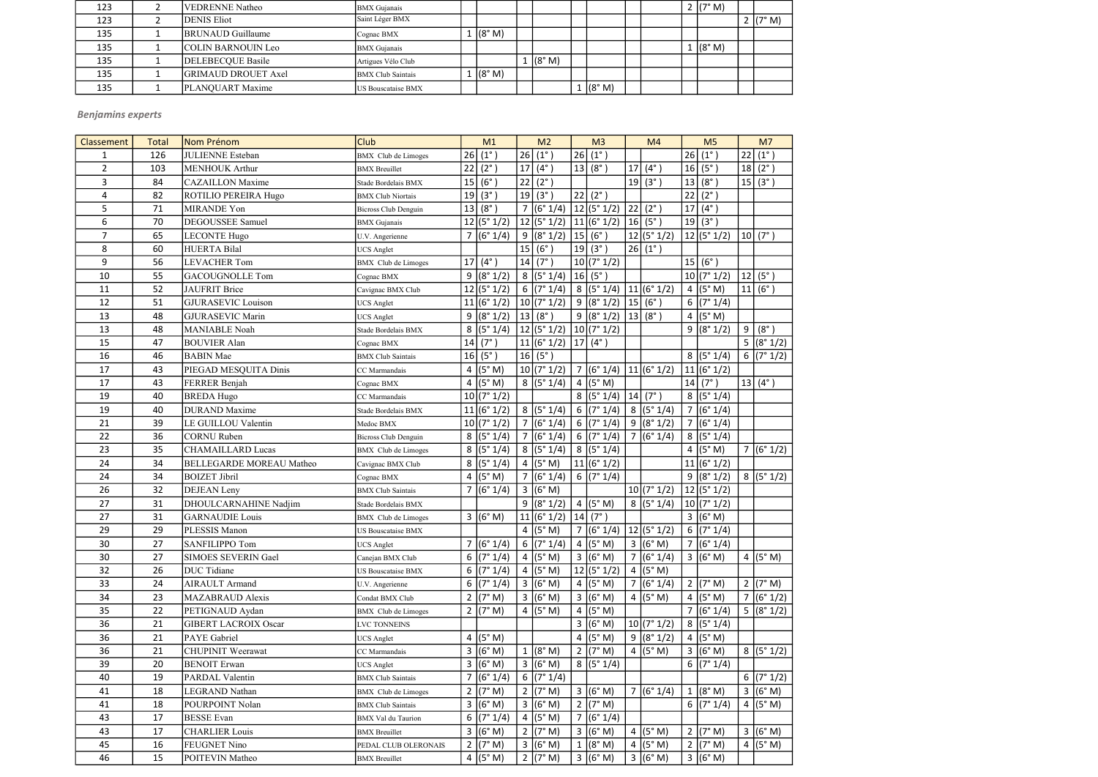| 123 | <b>VEDRENNE</b> Natheo     | <b>BMX</b> Gujanais       |          |          |        |  | 2 (7° M) |            |
|-----|----------------------------|---------------------------|----------|----------|--------|--|----------|------------|
| 123 | <b>DENIS Eliot</b>         | Saint Léger BMX           |          |          |        |  |          | 2 $(7° M)$ |
| 135 | <b>BRUNAUD</b> Guillaume   | Cognac BMX                | . (8° M) |          |        |  |          |            |
| 135 | <b>COLIN BARNOUIN Leo</b>  | <b>BMX</b> Gujanais       |          |          |        |  | 1 (8° M) |            |
| 135 | <b>DELEBECQUE Basile</b>   | Artigues Vélo Club        |          | 1 (8° M) |        |  |          |            |
| 135 | <b>GRIMAUD DROUET Axel</b> | <b>BMX</b> Club Saintais  | . (8° M) |          |        |  |          |            |
| 135 | PLANQUART Maxime           | <b>US Bouscataise BMX</b> |          |          | (8° M) |  |          |            |

| Classement     | <b>Total</b> | Nom Prénom                      | <b>Club</b>                 |   | M1                  |    | M <sub>2</sub>      |    | M <sub>3</sub>           |    | M <sub>4</sub>      |                | M <sub>5</sub>      |    | M <sub>7</sub>     |
|----------------|--------------|---------------------------------|-----------------------------|---|---------------------|----|---------------------|----|--------------------------|----|---------------------|----------------|---------------------|----|--------------------|
| 1              | 126          | <b>JULIENNE</b> Esteban         | <b>BMX</b> Club de Limoges  |   | 26 (1°)             | 26 | $(1^{\circ})$       | 26 | $(1^{\circ})$            |    |                     | 26             | $(1^{\circ})$       | 22 | $(1^{\circ})$      |
| $\overline{2}$ | 103          | <b>MENHOUK Arthur</b>           | <b>BMX</b> Breuillet        |   | $22 (2^{\circ})$    | 17 | $(4^{\circ})$       | 13 | $(8^\circ)$              | 17 | $(4^{\circ})$       | 16             | $(5^\circ)$         |    | $18(2^{\circ})$    |
| 3              | 84           | <b>CAZAILLON</b> Maxime         | Stade Bordelais BMX         |   | 15 (6°)             | 22 | $(2^{\circ})$       |    |                          |    | 19(3°)              | 13             | $(8^\circ)$         |    | 15 (3°)            |
| 4              | 82           | <b>ROTILIO PEREIRA Hugo</b>     | <b>BMX Club Niortais</b>    |   | 19(3°)              | 19 | $(3^\circ)$         |    | $22 (2^{\circ})$         |    |                     | 22             | $(2^{\circ})$       |    |                    |
| 5              | 71           | MIRANDE Yon                     | <b>Bicross Club Denguin</b> |   | 13   (8°)           |    | 7 (6°1/4)           |    | $ 12 $ (5° 1/2)          | 22 | $(2^{\circ})$       | 17             | $(4^{\circ})$       |    |                    |
| 6              | 70           | <b>DEGOUSSEE Samuel</b>         | <b>BMX</b> Gujanais         |   | 12 (5°1/2)          |    | 12 (5°1/2)          |    | 11 (6°1/2)               |    | $16 (5^\circ)$      | 19             | (3°)                |    |                    |
| $\overline{7}$ | 65           | <b>LECONTE Hugo</b>             | U.V. Angerienne             |   | 7 (6°1/4)           |    | 9 (8°1/2)           | 15 | $(6^\circ)$              |    | 12 (5°1/2)          |                | 12 (5°1/2)          |    | 10   (7°)          |
| 8              | 60           | <b>HUERTA Bilal</b>             | <b>UCS</b> Anglet           |   |                     | 15 | $(6^\circ)$         | 19 | $(3^{\circ})$            |    | 26   (1°)           |                |                     |    |                    |
| 9              | 56           | <b>LEVACHER Tom</b>             | <b>BMX</b> Club de Limoges  |   | 17 (4°)             | 14 | $(7^\circ)$         |    | 10 (7°1/2)               |    |                     |                | 15 (6°)             |    |                    |
| 10             | 55           | <b>GACOUGNOLLE Tom</b>          | Cognac BMX                  | 9 | (8° 1/2)            |    | 8 (5°1/4)           |    | $ 16 $ (5°)              |    |                     |                | 10 (7°1/2)          | 12 | $(5^\circ)$        |
| 11             | 52           | <b>JAUFRIT Brice</b>            | Cavignac BMX Club           |   | 12 (5°1/2)          |    | 6 (7°1/4)           |    | 8 (5°1/4)                |    | 11 (6°1/2)          |                | 4 $(5° M)$          |    | 11  (6°)           |
| 12             | 51           | <b>GJURASEVIC Louison</b>       | <b>UCS</b> Anglet           |   | 11 (6°1/2)          |    | 10 (7°1/2)          |    | 9 (8°1/2)                |    | 15 (6°)             |                | 6 $(7° 1/4)$        |    |                    |
| 13             | 48           | <b>GJURASEVIC Marin</b>         | <b>UCS</b> Anglet           | 9 | (8° 1/2)            | 13 | $(8^\circ)$         |    | 9 (8°1/2)                |    | $13 (8^\circ)$      |                | 4 $(5° M)$          |    |                    |
| 13             | 48           | <b>MANIABLE Noah</b>            | Stade Bordelais BMX         | 8 | (5° 1/4)            |    | 12 (5°1/2)          |    | 10 (7° 1/2)              |    |                     |                | 9 (8°1/2)           | 9  | $(8^\circ)$        |
| 15             | 47           | <b>BOUVIER Alan</b>             | Cognac BMX                  |   | 14   (7°)           |    | 11 (6°1/2)          |    | $\left  17 \right $ (4°) |    |                     |                |                     |    | 5 (8°1/2)          |
| 16             | 46           | <b>BABIN</b> Mae                | <b>BMX Club Saintais</b>    |   | 16   (5°)           |    | 16   (5°)           |    |                          |    |                     |                | $\sqrt{8}$ (5° 1/4) |    | 6 (7°1/2)          |
| 17             | 43           | PIEGAD MESQUITA Dinis           | CC Marmandais               | 4 | (5° M)              |    | 10 (7°1/2)          |    | 7 (6°1/4)                |    | $ 11 $ (6° 1/2)     |                | 11 (6°1/2)          |    |                    |
| 17             | 43           | FERRER Benjah                   | Cognac BMX                  |   | 4 $(5° M)$          |    | 8 (5°1/4)           |    | 4 $(5° M)$               |    |                     |                | 14   (7°)           |    | $13   (4^{\circ})$ |
| 19             | 40           | <b>BREDA Hugo</b>               | CC Marmandais               |   | 10 (7°1/2)          |    |                     |    | 8 (5°1/4)                | 14 | $(7^{\circ})$       |                | 8 (5°1/4)           |    |                    |
| 19             | 40           | <b>DURAND</b> Maxime            | Stade Bordelais BMX         |   | 11 (6°1/2)          |    | $\sqrt{8}$ (5° 1/4) |    | 6 $(7° 1/4)$             |    | $\sqrt{8}$ (5° 1/4) |                | 7 (6°1/4)           |    |                    |
| 21             | 39           | LE GUILLOU Valentin             | Medoc BMX                   |   | 10 (7°1/2)          |    | 7 (6°1/4)           |    | 6 $(7° 1/4)$             |    | 9 (8°1/2)           |                | 7 (6°1/4)           |    |                    |
| 22             | 36           | <b>CORNU Ruben</b>              | Bicross Club Denguin        |   | 8 (5°1/4)           |    | 7 (6°1/4)           |    | 6 $(7° 1/4)$             |    | 7 (6°1/4)           |                | 8 (5°1/4)           |    |                    |
| 23             | 35           | <b>CHAMAILLARD Lucas</b>        | <b>BMX</b> Club de Limoges  |   | 8 (5°1/4)           |    | 8 (5°1/4)           |    | $\sqrt{8}$ (5° 1/4)      |    |                     |                | 4 $(5° M)$          |    | 7 (6°1/2)          |
| 24             | 34           | <b>BELLEGARDE MOREAU Matheo</b> | Cavignac BMX Club           |   | 8 (5°1/4)           |    | 4 $(5° M)$          |    | 11 (6°1/2)               |    |                     |                | 11 (6°1/2)          |    |                    |
| 24             | 34           | <b>BOIZET Jibril</b>            | Cognac BMX                  |   | 4 $(5° M)$          |    | 7(6°1/4)            |    | 6 $(7° 1/4)$             |    |                     |                | 9 (8°1/2)           |    | 8 (5°1/2)          |
| 26             | 32           | <b>DEJEAN</b> Leny              | <b>BMX</b> Club Saintais    |   | 7 (6°1/4)           |    | 3 (6° M)            |    |                          |    | 10 (7°1/2)          |                | 12 (5°1/2)          |    |                    |
| 27             | 31           | <b>DHOULCARNAHINE Nadjim</b>    | Stade Bordelais BMX         |   |                     |    | 9 (8°1/2)           |    | 4 $(5° M)$               |    | 8 (5°1/4)           |                | 10 (7°1/2)          |    |                    |
| 27             | 31           | <b>GARNAUDIE Louis</b>          | <b>BMX</b> Club de Limoges  |   | 3 (6° M)            |    | 11 (6°1/2)          | 14 | $(7^{\circ})$            |    |                     |                | 3 (6° M)            |    |                    |
| 29             | 29           | PLESSIS Manon                   | <b>US Bouscataise BMX</b>   |   |                     |    | 4 $(5° M)$          |    | 7 (6°1/4)                |    | 12 (5°1/2)          |                | 6 $(7° 1/4)$        |    |                    |
| 30             | 27           | <b>SANFILIPPO Tom</b>           | <b>UCS</b> Anglet           |   | 7 (6°1/4)           |    | 6 $(7° 1/4)$        |    | 4 $(5° M)$               |    | 3 (6° M)            |                | 7 (6°1/4)           |    |                    |
| 30             | 27           | SIMOES SEVERIN Gael             | Canejan BMX Club            |   | 6 (7°1/4)           |    | 4 $(5° M)$          |    | 3 (6°M)                  |    | 7 (6°1/4)           |                | 3 (6° M)            |    | 4 $(5° M)$         |
| 32             | 26           | <b>DUC</b> Tidiane              | <b>US Bouscataise BMX</b>   |   | 6 $(7° 1/4)$        |    | 4 $(5° M)$          |    | 12 (5°1/2)               |    | 4 $(5° M)$          |                |                     |    |                    |
| 33             | 24           | <b>AIRAULT</b> Armand           | U.V. Angerienne             |   | 6 (7°1/4)           |    | 3 (6° M)            |    | 4 $(5° M)$               |    | 7 (6°1/4)           | $\overline{2}$ | (7° M)              |    | 2 $(7° M)$         |
| 34             | 23           | <b>MAZABRAUD Alexis</b>         | Condat BMX Club             |   | 2 $(7° M)$          |    | 3 (6° M)            |    | 3 (6°M)                  |    | 4 ( $(5^{\circ}$ M) | $\overline{4}$ | (5° M)              |    | 7 (6°1/2)          |
| 35             | 22           | PETIGNAUD Aydan                 | <b>BMX</b> Club de Limoges  |   | 2 ( $7^{\circ}$ M)  |    | 4 $(5° M)$          |    | 4 $(5° M)$               |    |                     |                | 7 (6°1/4)           |    | 5 (8°1/2)          |
| 36             | 21           | <b>GIBERT LACROIX Oscar</b>     | <b>LVC TONNEINS</b>         |   |                     |    |                     |    | 3 (6° M)                 |    | 10 (7°1/2)          |                | 8 (5°1/4)           |    |                    |
| 36             | 21           | PAYE Gabriel                    | <b>UCS</b> Anglet           |   | 4 ( $(5^{\circ}$ M) |    |                     | 4  | (5° M)                   |    | 9 (8°1/2)           | $\overline{4}$ | (5° M)              |    |                    |
| 36             | 21           | <b>CHUPINIT Weerawat</b>        | CC Marmandais               | 3 | (6° M)              |    | 1 (8° M)            |    | 2 $(7° M)$               |    | 4 $(5° M)$          |                | 3 (6° M)            |    | 8 (5°1/2)          |
| 39             | 20           | <b>BENOIT</b> Erwan             | <b>UCS Anglet</b>           | 3 | (6° M)              |    | 3 (6° M)            |    | 8 (5°1/4)                |    |                     |                | 6 $(7° 1/4)$        |    |                    |
| 40             | 19           | PARDAL Valentin                 | <b>BMX</b> Club Saintais    |   | 7 (6°1/4)           |    | 6 $(7° 1/4)$        |    |                          |    |                     |                |                     |    | 6 (7°1/2)          |
| 41             | 18           | LEGRAND Nathan                  | <b>BMX</b> Club de Limoges  |   | 2 $(7° M)$          |    | 2 ( $7^{\circ}$ M)  |    | 3 (6°M)                  |    | 7 (6°1/4)           |                | 1 (8° M)            |    | 3 (6° M)           |
| 41             | 18           | POURPOINT Nolan                 | <b>BMX Club Saintais</b>    |   | 3 (6° M)            |    | 3 (6° M)            |    | $2 (7° \text{ M})$       |    |                     |                | 6 $(7° 1/4)$        |    | 4 $(5° M)$         |
| 43             | 17           | <b>BESSE</b> Evan               | <b>BMX</b> Val du Taurion   |   | 6 $(7° 1/4)$        |    | 4 $(5° M)$          |    | 7 (6°1/4)                |    |                     |                |                     |    |                    |
| 43             | 17           | <b>CHARLIER Louis</b>           | <b>BMX</b> Breuillet        |   | 3 (6°M)             |    | $2 (7° \text{ M})$  |    | 3 (6°M)                  |    | 4 $(5° M)$          |                | $2 (7° \text{ M})$  |    | 3 (6°M)            |
| 45             | 16           | <b>FEUGNET Nino</b>             | PEDAL CLUB OLERONAIS        |   | 2 $(7° M)$          |    | 3 (6° M)            |    | 1 (8° M)                 |    | 4 $(5° M)$          |                | $2 (7° \text{ M})$  |    | 4 $(5° M)$         |
| 46             | 15           | POITEVIN Matheo                 | <b>BMX</b> Breuillet        |   | 4 $(5° M)$          |    | 2 $(7° M)$          |    | 3 (6° M)                 |    | 3 (6° M)            |                | 3 (6° M)            |    |                    |

## Benjamins experts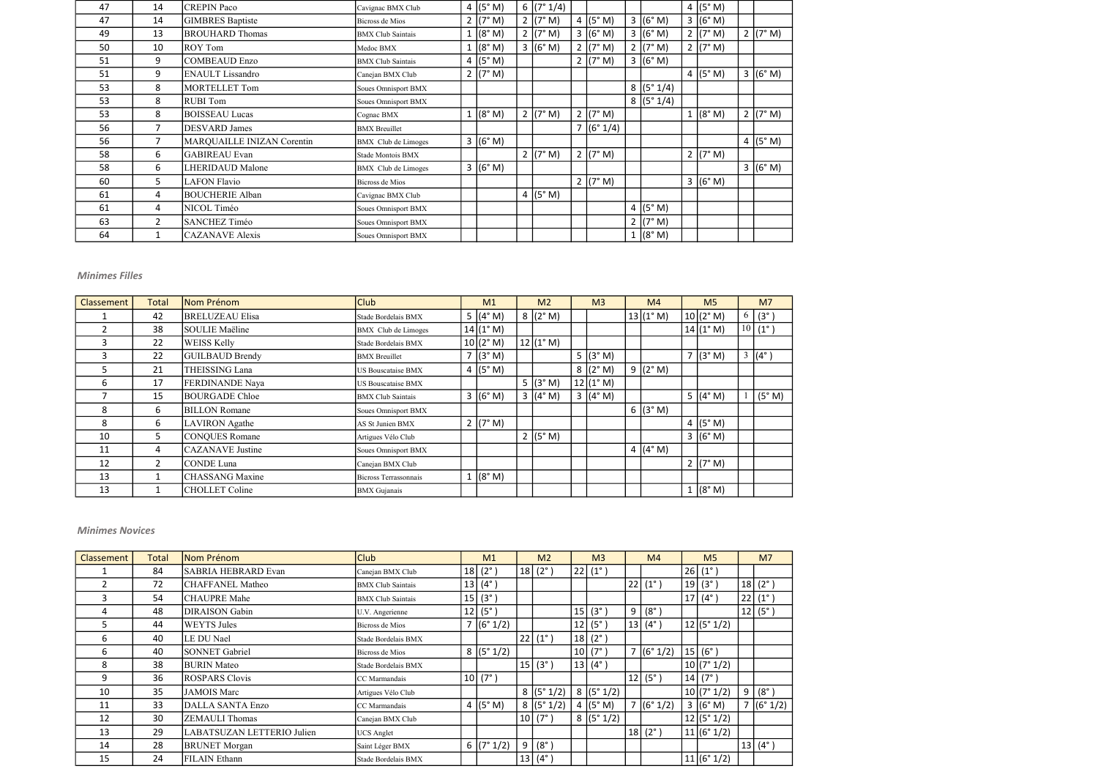| 47 | 14             | <b>CREPIN Paco</b>         | Cavignac BMX Club        | 4 $(5° M)$         | 6 (7°1/4)          |                     |                    | 4 ( $(5^{\circ}$ M) |            |
|----|----------------|----------------------------|--------------------------|--------------------|--------------------|---------------------|--------------------|---------------------|------------|
| 47 | 14             | <b>GIMBRES</b> Baptiste    | Bicross de Mios          | 2 $(7° M)$         | 2 ( $7^{\circ}$ M) | 4 ( $(5^{\circ}$ M) | 3 (6° M)           | 3 (6° M)            |            |
| 49 | 13             | <b>BROUHARD Thomas</b>     | <b>BMX Club Saintais</b> | 1 (8° M)           | $2 (7° \text{ M})$ | 3 (6° M)            | 3 (6° M)           | 2 $(7° M)$          | 2 $(7° M)$ |
| 50 | 10             | <b>ROY Tom</b>             | Medoc BMX                | 1 (8° M)           | 3 (6° M)           | 2 (7° M)            | $2 (7° \text{ M})$ | 2 $(7° M)$          |            |
| 51 | 9              | COMBEAUD Enzo              | <b>BMX Club Saintais</b> | 4 $(5° M)$         |                    | 2 $(7° M)$          | 3 (6° M)           |                     |            |
| 51 | 9              | <b>ENAULT</b> Lissandro    | Canejan BMX Club         | 2 $(7° M)$         |                    |                     |                    | 4 $(5° M)$          | 3 (6°M)    |
| 53 | 8              | MORTELLET Tom              | Soues Omnisport BMX      |                    |                    |                     | 8 (5°1/4)          |                     |            |
| 53 | 8              | <b>RUBI</b> Tom            | Soues Omnisport BMX      |                    |                    |                     | 8 (5°1/4)          |                     |            |
| 53 | 8              | <b>BOISSEAU Lucas</b>      | Cognac BMX               | $1 (8° \text{ M})$ | $2 (7° \text{ M})$ | 2 ( $(7° M)$ )      |                    | 1 (8° M)            | 2 (7° M)   |
| 56 | 7              | <b>DESVARD</b> James       | <b>BMX</b> Breuillet     |                    |                    | 7 (6°1/4)           |                    |                     |            |
| 56 | 7              | MARQUAILLE INIZAN Corentin | BMX Club de Limoges      | 3 (6° M)           |                    |                     |                    |                     | 4 (5°M)    |
| 58 | 6              | <b>GABIREAU</b> Evan       | Stade Montois BMX        |                    | $2 (7° \text{ M})$ | 2 ( $7^{\circ}$ M)  |                    | 2 $(7° M)$          |            |
| 58 | 6              | <b>LHERIDAUD Malone</b>    | BMX Club de Limoges      | 3 (6° M)           |                    |                     |                    |                     | 3 (6°M)    |
| 60 | 5.             | LAFON Flavio               | Bicross de Mios          |                    |                    | 2 ( $(7° M)$ )      |                    | 3 (6° M)            |            |
| 61 | 4              | <b>BOUCHERIE Alban</b>     | Cavignac BMX Club        |                    | 4 (5°M)            |                     |                    |                     |            |
| 61 | 4              | NICOL Timéo                | Soues Omnisport BMX      |                    |                    |                     | 4 $(5° M)$         |                     |            |
| 63 | $\overline{2}$ | SANCHEZ Timéo              | Soues Omnisport BMX      |                    |                    |                     | $2 (7° \text{ M})$ |                     |            |
| 64 | 1              | CAZANAVE Alexis            | Soues Omnisport BMX      |                    |                    |                     | 1 (8° M)           |                     |            |

| Classement | Total | Nom Prénom              | <b>Club</b>              | M <sub>1</sub>    | M <sub>2</sub> | M <sub>3</sub>     | M <sub>4</sub>    | M <sub>5</sub>     |                 | M <sub>7</sub> |
|------------|-------|-------------------------|--------------------------|-------------------|----------------|--------------------|-------------------|--------------------|-----------------|----------------|
|            | 42    | <b>BRELUZEAU Elisa</b>  | Stade Bordelais BMX      | 5 $(4^{\circ} M)$ | 8 (2° M)       |                    | 13(1° M)          | 10 (2° M)          | 6               | $(3^\circ)$    |
|            | 38    | SOULIE Maëline          | BMX Club de Limoges      | 14(1° M)          |                |                    |                   | 14 (1° M)          | 10 <sup>1</sup> | $(1^{\circ})$  |
| 3          | 22    | <b>WEISS Kelly</b>      | Stade Bordelais BMX      | 10(2° M)          | 12 (1° M)      |                    |                   |                    |                 |                |
| 3          | 22    | <b>GUILBAUD Brendy</b>  | <b>BMX</b> Breuillet     | 7 (3°M)           |                | 5 $(3° M)$         |                   | 7 (3°M)            | $\mathfrak{Z}$  | $(4^{\circ})$  |
| 5.         | 21    | THEISSING Lana          | US Bouscataise BMX       | 4 $(5° M)$        |                | 8 (2° M)           | 9 $(2^{\circ} M)$ |                    |                 |                |
| 6          | 17    | FERDINANDE Naya         | US Bouscataise BMX       |                   | 5 $(3° M)$     | 12 (1° M)          |                   |                    |                 |                |
|            | 15    | <b>BOURGADE Chloe</b>   | <b>BMX Club Saintais</b> | 3 (6° M)          | 3 (4°M)        | $3 (4° \text{ M})$ |                   | 5 $(4° M)$         |                 | (5° M)         |
| 8          | 6     | <b>BILLON</b> Romane    | Soues Omnisport BMX      |                   |                |                    | 6 ( $(3° M)$      |                    |                 |                |
| 8          | 6     | <b>LAVIRON</b> Agathe   | AS St Junien BMX         | 2 $(7° M)$        |                |                    |                   | 4 $(5° M)$         |                 |                |
| 10         | 5.    | <b>CONQUES Romane</b>   | Artigues Vélo Club       |                   | 2 (5° M)       |                    |                   | 3 (6° M)           |                 |                |
| 11         | 4     | <b>CAZANAVE</b> Justine | Soues Omnisport BMX      |                   |                |                    | 4 $(4° M)$        |                    |                 |                |
| 12         | 2     | <b>CONDE Luna</b>       | Canejan BMX Club         |                   |                |                    |                   | $2 (7° \text{ M})$ |                 |                |
| 13         | 1     | <b>CHASSANG</b> Maxine  | Bicross Terrassonnais    | 1 (8° M)          |                |                    |                   |                    |                 |                |
| 13         | 1     | <b>CHOLLET</b> Coline   | <b>BMX</b> Gujanais      |                   |                |                    |                   | $1 (8° \text{ M})$ |                 |                |

| <b>Classement</b> | Total | Nom Prénom                 | <b>Club</b>              | M1                 |   | M <sub>2</sub>   |    | M <sub>3</sub>   |   | M <sub>4</sub>                                 | M <sub>5</sub>         |                | M <sub>7</sub>   |
|-------------------|-------|----------------------------|--------------------------|--------------------|---|------------------|----|------------------|---|------------------------------------------------|------------------------|----------------|------------------|
|                   | 84    | <b>SABRIA HEBRARD Evan</b> | Canejan BMX Club         | $18(2^{\circ})$    |   | $18(2^{\circ})$  | 22 | $(1^{\circ})$    |   |                                                | 26   (1 <sup>°</sup> ) |                |                  |
|                   | 72    | <b>CHAFFANEL Matheo</b>    | <b>BMX Club Saintais</b> | $13   (4^{\circ})$ |   |                  |    |                  |   | $\left  22 \right $ $\left( 1^{\circ} \right)$ | 19(3°)                 |                | 18 (2°)          |
| 3                 | 54    | <b>CHAUPRE Mahe</b>        | <b>BMX Club Saintais</b> | 15 (3°)            |   |                  |    |                  |   |                                                | 17 $(4^{\circ})$       |                | 22 (1°)          |
| 4                 | 48    | DIRAISON Gabin             | U.V. Angerienne          | 12   (5°)          |   |                  | 15 | $(3^{\circ})$    | 9 | $ (8^\circ) $                                  |                        |                | 12  (5°)         |
| 5                 | 44    | <b>WEYTS Jules</b>         | Bicross de Mios          | 7 (6°1/2)          |   |                  | 12 | $(5^\circ$       |   | 13   (4°)                                      | 12 (5°1/2)             |                |                  |
| 6                 | 40    | LE DU Nael                 | Stade Bordelais BMX      |                    |   | 22 (1°)          | 18 | $(2^{\circ})$    |   |                                                |                        |                |                  |
| 6                 | 40    | SONNET Gabriel             | Bicross de Mios          | 8 (5°1/2)          |   |                  | 10 | $(7^{\circ})$    |   | 7 (6°1/2)                                      | $ 15 $ (6°)            |                |                  |
| 8                 | 38    | <b>BURIN</b> Mateo         | Stade Bordelais BMX      |                    |   | $ 15 $ (3°)      |    | 13 $(4^{\circ})$ |   |                                                | 10 (7°1/2)             |                |                  |
| 9                 | 36    | <b>ROSPARS Clovis</b>      | CC Marmandais            | $ 10 $ (7°)        |   |                  |    |                  |   | 12   (5°)                                      | 14   (7°)              |                |                  |
| 10                | 35    | <b>JAMOIS Marc</b>         | Artigues Vélo Club       |                    |   | 8 (5°1/2)        |    | 8 (5°1/2)        |   |                                                | 10 (7°1/2)             |                | $9 (8^\circ)$    |
| 11                | 33    | <b>DALLA SANTA Enzo</b>    | CC Marmandais            | 4 $(5° M)$         |   | 8 (5°1/2)        |    | 4 $(5° M)$       |   | 7 (6°1/2)                                      | 3 (6° M)               | $\overline{7}$ | $\sqrt{(6°1/2)}$ |
| 12                | 30    | ZEMAULI Thomas             | Canejan BMX Club         |                    |   | $ 10 $ (7°)      |    | 8 (5°1/2)        |   |                                                | 12 (5°1/2)             |                |                  |
| 13                | 29    | LABATSUZAN LETTERIO Julien | <b>UCS</b> Anglet        |                    |   |                  |    |                  |   | $18(2^{\circ})$                                | 11 (6°1/2)             |                |                  |
| 14                | 28    | <b>BRUNET</b> Morgan       | Saint Léger BMX          | 6 $(7° 1/2)$       | 9 | $(8^\circ)$      |    |                  |   |                                                |                        |                | 13  (4°)         |
| 15                | 24    | <b>FILAIN Ethann</b>       | Stade Bordelais BMX      |                    |   | $13   (4^\circ)$ |    |                  |   |                                                | 11 (6°1/2)             |                |                  |

## Minimes Novices

## Minimes Filles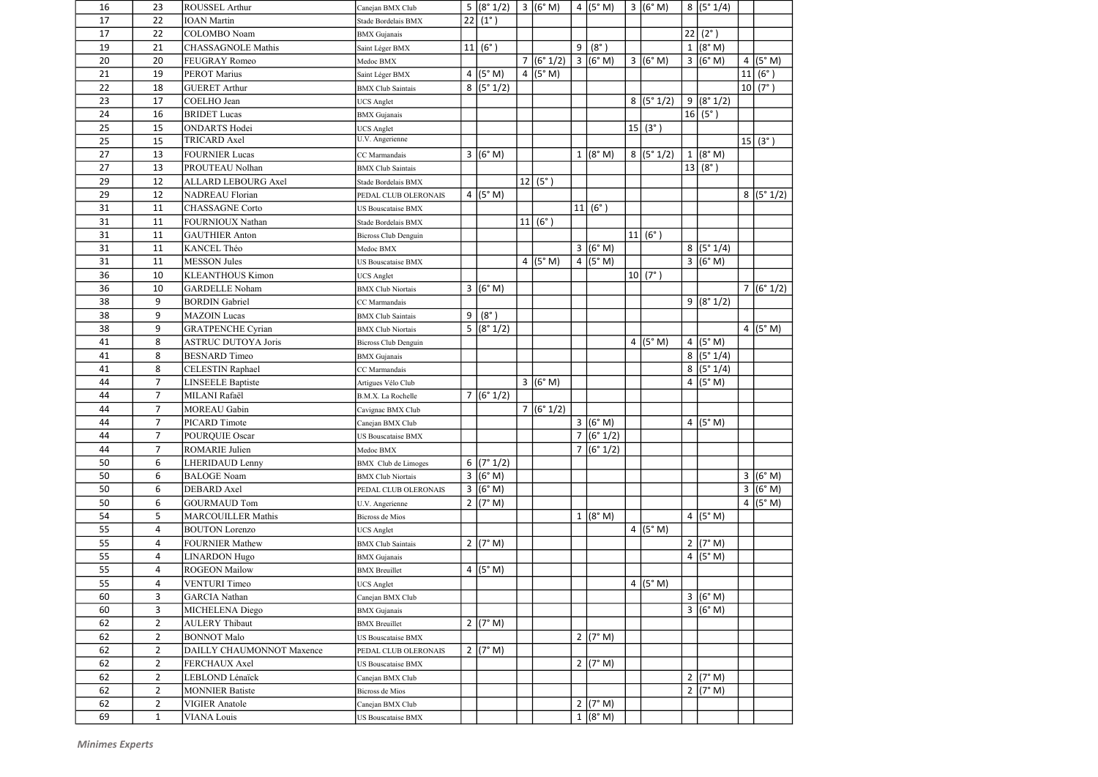| 16 | 23             | <b>ROUSSEL Arthur</b>      | Canejan BMX Club            |   | $5 (8°1/2)$   3 $ (6°M)$ |            |                | 4 $(5° M)$         | 3 (6° M)            | 8 (5°1/4)           |    |               |
|----|----------------|----------------------------|-----------------------------|---|--------------------------|------------|----------------|--------------------|---------------------|---------------------|----|---------------|
| 17 | 22             | <b>IOAN</b> Martin         | Stade Bordelais BMX         |   | $22 (1^{\circ})$         |            |                |                    |                     |                     |    |               |
| 17 | 22             | COLOMBO Noam               | <b>BMX</b> Gujanais         |   |                          |            |                |                    |                     | $22 (2^{\circ})$    |    |               |
| 19 | 21             | <b>CHASSAGNOLE Mathis</b>  | Saint Léger BMX             |   | 11 (6°)                  |            | 9              | $(8^\circ)$        |                     | 1 (8° M)            |    |               |
| 20 | 20             | <b>FEUGRAY Romeo</b>       | Medoc BMX                   |   |                          | 7 (6°1/2)  |                | 3 (6° M)           | 3 (6°M)             | 3 (6° M)            |    | 4 $(5° M)$    |
| 21 | 19             | <b>PEROT Marius</b>        | Saint Léger BMX             |   | 4 $(5° M)$               | 4 $(5° M)$ |                |                    |                     |                     | 11 | $(6^{\circ})$ |
| 22 | 18             | <b>GUERET Arthur</b>       | <b>BMX</b> Club Saintais    |   | 8 (5°1/2)                |            |                |                    |                     |                     |    | 10 (7°)       |
| 23 | 17             | COELHO Jean                | <b>UCS</b> Anglet           |   |                          |            |                |                    | 8 (5°1/2)           | 9 (8°1/2)           |    |               |
| 24 | 16             | <b>BRIDET</b> Lucas        | <b>BMX</b> Gujanais         |   |                          |            |                |                    |                     | 16   (5°)           |    |               |
| 25 | 15             | <b>ONDARTS</b> Hodei       | <b>UCS</b> Anglet           |   |                          |            |                |                    | 15 (3°)             |                     |    |               |
| 25 | 15             | <b>TRICARD Axel</b>        | U.V. Angerienne             |   |                          |            |                |                    |                     |                     |    | 15 (3°)       |
| 27 | 13             | <b>FOURNIER Lucas</b>      | CC Marmandais               |   | 3 (6° M)                 |            |                | 1 (8° M)           | 8 (5°1/2)           | 1 (8° M)            |    |               |
| 27 | 13             | PROUTEAU Nolhan            | <b>BMX</b> Club Saintais    |   |                          |            |                |                    |                     | 13   (8°)           |    |               |
| 29 | 12             | <b>ALLARD LEBOURG Axel</b> | Stade Bordelais BMX         |   |                          | 12   (5°)  |                |                    |                     |                     |    |               |
| 29 | 12             | NADREAU Florian            | PEDAL CLUB OLERONAIS        |   | 4 $(5° M)$               |            |                |                    |                     |                     |    | 8 (5°1/2)     |
| 31 | 11             | <b>CHASSAGNE</b> Corto     | <b>US Bouscataise BMX</b>   |   |                          |            |                | 11   (6°)          |                     |                     |    |               |
| 31 | 11             | <b>FOURNIOUX Nathan</b>    | Stade Bordelais BMX         |   |                          | 11 (6°)    |                |                    |                     |                     |    |               |
| 31 | 11             | <b>GAUTHIER Anton</b>      | Bicross Club Denguin        |   |                          |            |                |                    | 11 (6°)             |                     |    |               |
| 31 | 11             | KANCEL Théo                | Medoc BMX                   |   |                          |            |                | 3 (6° M)           |                     | 8 (5°1/4)           |    |               |
| 31 | 11             | <b>MESSON Jules</b>        | <b>US Bouscataise BMX</b>   |   |                          | 4 $(5° M)$ |                | $4$ (5° M)         |                     | 3 (6°M)             |    |               |
| 36 | 10             | <b>KLEANTHOUS Kimon</b>    | <b>UCS</b> Anglet           |   |                          |            |                |                    | 10(7°)              |                     |    |               |
| 36 | 10             | <b>GARDELLE</b> Noham      | <b>BMX</b> Club Niortais    |   | 3 (6°M)                  |            |                |                    |                     |                     |    | 7 (6°1/2)     |
| 38 | 9              | <b>BORDIN</b> Gabriel      | CC Marmandais               |   |                          |            |                |                    |                     | 9 (8°1/2)           |    |               |
| 38 | 9              | <b>MAZOIN</b> Lucas        | <b>BMX</b> Club Saintais    | 9 | $(8^\circ)$              |            |                |                    |                     |                     |    |               |
| 38 | 9              | <b>GRATPENCHE Cyrian</b>   | <b>BMX</b> Club Niortais    |   | 5 (8°1/2)                |            |                |                    |                     |                     |    | 4 (5°M)       |
| 41 | 8              | <b>ASTRUC DUTOYA Joris</b> | <b>Bicross Club Denguin</b> |   |                          |            |                |                    | 4 ( $(5^{\circ}$ M) | 4 $(5° M)$          |    |               |
| 41 | 8              | <b>BESNARD</b> Timeo       | <b>BMX</b> Gujanais         |   |                          |            |                |                    |                     | 8 (5°1/4)           |    |               |
| 41 | 8              | <b>CELESTIN Raphael</b>    | CC Marmandais               |   |                          |            |                |                    |                     | 8 (5°1/4)           |    |               |
| 44 | $\overline{7}$ | <b>LINSEELE Baptiste</b>   | Artigues Vélo Club          |   |                          | 3 (6° M)   |                |                    |                     | 4 $(5° M)$          |    |               |
| 44 | $\overline{7}$ | MILANI Rafaël              | B.M.X. La Rochelle          |   | 7 (6°1/2)                |            |                |                    |                     |                     |    |               |
| 44 | $\overline{7}$ | <b>MOREAU</b> Gabin        | Cavignac BMX Club           |   |                          | 7 (6°1/2)  |                |                    |                     |                     |    |               |
| 44 | 7              | PICARD Timote              | Canejan BMX Club            |   |                          |            |                | 3 (6° M)           |                     | 4 $(5° M)$          |    |               |
| 44 | $\overline{7}$ | <b>POURQUIE Oscar</b>      | <b>US Bouscataise BMX</b>   |   |                          |            | $\overline{7}$ | (6° 1/2)           |                     |                     |    |               |
| 44 | $\overline{7}$ | ROMARIE Julien             | Medoc BMX                   |   |                          |            |                | 7 (6°1/2)          |                     |                     |    |               |
| 50 | 6              | <b>LHERIDAUD Lenny</b>     | <b>BMX</b> Club de Limoges  |   | 6 (7°1/2)                |            |                |                    |                     |                     |    |               |
| 50 | 6              | <b>BALOGE Noam</b>         | <b>BMX</b> Club Niortais    |   | 3 (6° M)                 |            |                |                    |                     |                     |    | 3 (6°M)       |
| 50 | 6              | <b>DEBARD</b> Axel         | PEDAL CLUB OLERONAIS        |   | 3 (6° M)                 |            |                |                    |                     |                     |    | 3 (6° M)      |
| 50 | 6              | GOURMAUD Tom               | U.V. Angerienne             |   | 2 $(7° M)$               |            |                |                    |                     |                     |    | 4 $(5° M)$    |
| 54 | 5              | <b>MARCOUILLER Mathis</b>  | Bicross de Mios             |   |                          |            |                | $1 (8° \text{ M})$ |                     | 4 ( $(5^{\circ}$ M) |    |               |
| 55 | 4              | <b>BOUTON</b> Lorenzo      | <b>UCS Anglet</b>           |   |                          |            |                |                    | 4 $(5° M)$          |                     |    |               |
| 55 | 4              | <b>FOURNIER Mathew</b>     | <b>BMX</b> Club Saintais    |   | 2 (7° M)                 |            |                |                    |                     | 2 $(7° M)$          |    |               |
| 55 | 4              | <b>LINARDON</b> Hugo       | <b>BMX</b> Gujanais         |   |                          |            |                |                    |                     | 4 (5°M)             |    |               |
| 55 | 4              | <b>ROGEON Mailow</b>       | <b>BMX</b> Breuillet        |   | 4 $(5° M)$               |            |                |                    |                     |                     |    |               |
| 55 | 4              | <b>VENTURI</b> Timeo       | <b>UCS</b> Anglet           |   |                          |            |                |                    | 4 $(5° M)$          |                     |    |               |
| 60 | 3              | <b>GARCIA</b> Nathan       | Canejan BMX Club            |   |                          |            |                |                    |                     | 3 (6°M)             |    |               |
| 60 | 3              | MICHELENA Diego            | <b>BMX</b> Gujanais         |   |                          |            |                |                    |                     | 3 (6° M)            |    |               |
| 62 | $\overline{2}$ | <b>AULERY Thibaut</b>      | <b>BMX</b> Breuillet        |   | 2 (7° M)                 |            |                |                    |                     |                     |    |               |
| 62 | $2^{\circ}$    | <b>BONNOT Malo</b>         | <b>US Bouscataise BMX</b>   |   |                          |            |                | $2 (7° \text{ M})$ |                     |                     |    |               |
| 62 | $\overline{2}$ | DAILLY CHAUMONNOT Maxence  | PEDAL CLUB OLERONAIS        |   | 2 (7° M)                 |            |                |                    |                     |                     |    |               |
| 62 | $\overline{2}$ | FERCHAUX Axel              | <b>US Bouscataise BMX</b>   |   |                          |            |                | $2 (7° \text{ M})$ |                     |                     |    |               |
| 62 | $2^{\circ}$    | LEBLOND Lénaïck            | Canejan BMX Club            |   |                          |            |                |                    |                     | 2 $(7° M)$          |    |               |
| 62 | $\overline{2}$ | <b>MONNIER Batiste</b>     | Bicross de Mios             |   |                          |            |                |                    |                     | $2 (7° \text{ M})$  |    |               |
| 62 | $\overline{2}$ | <b>VIGIER Anatole</b>      | Canejan BMX Club            |   |                          |            |                | 2 (7° M)           |                     |                     |    |               |
| 69 | $\mathbf{1}$   | <b>VIANA</b> Louis         | US Bouscataise BMX          |   |                          |            |                | 1 (8° M)           |                     |                     |    |               |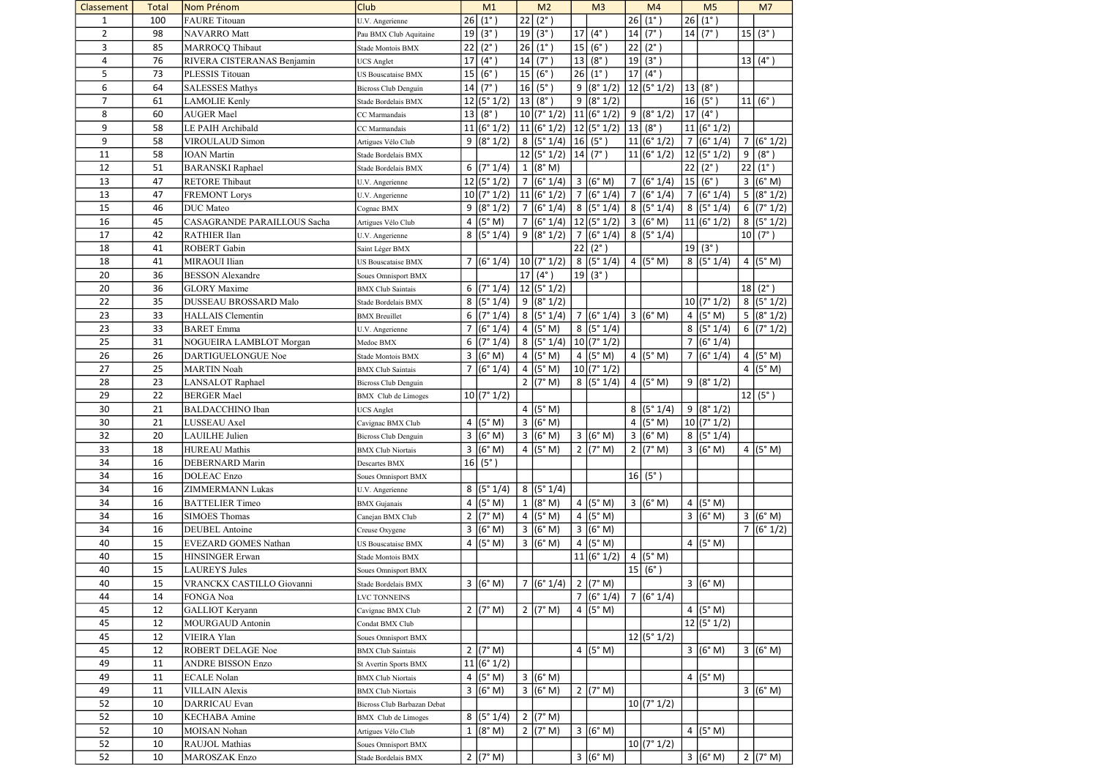| Classement     | Total | Nom Prénom                   | <b>Club</b>                 |                 | M1            |                | M <sub>2</sub>          |                         | M <sub>3</sub>     |    | M <sub>4</sub>      |                | M <sub>5</sub>      |    | M <sub>7</sub>     |
|----------------|-------|------------------------------|-----------------------------|-----------------|---------------|----------------|-------------------------|-------------------------|--------------------|----|---------------------|----------------|---------------------|----|--------------------|
| 1              | 100   | <b>FAURE</b> Titouan         | U.V. Angerienne             | 26              | $(1^{\circ})$ | 22             | $(2^{\circ})$           |                         |                    | 26 | $(1^{\circ})$       | 26             | $(1^{\circ})$       |    |                    |
| $\overline{2}$ | 98    | NAVARRO Matt                 | Pau BMX Club Aquitaine      | 19              | (3°)          | 19             | $(3^{\circ})$           | 17                      | $(4^{\circ})$      | 14 | $(7^\circ)$         |                | 14   (7°)           | 15 | $(3^{\circ})$      |
| 3              | 85    | MARROCQ Thibaut              | Stade Montois BMX           | 22              | $(2^{\circ})$ | 26             | $(1^{\circ})$           | 15                      | (6°)               | 22 | $(2^{\circ})$       |                |                     |    |                    |
| 4              | 76    | RIVERA CISTERANAS Benjamin   | <b>UCS</b> Anglet           | 17              | $(4^{\circ})$ | 14             | $(7^{\circ})$           | 13                      | $(8^\circ)$        | 19 | $(3^{\circ})$       |                |                     |    | $13   (4^{\circ})$ |
| 5              | 73    | PLESSIS Titouan              | <b>US Bouscataise BMX</b>   | 15              | (6°)          | 15             | $(\frac{1}{6^{\circ}})$ | 26                      | $(1^{\circ})$      | 17 | $(4^{\circ})$       |                |                     |    |                    |
| 6              | 64    | <b>SALESSES Mathys</b>       | Bicross Club Denguin        | 14 <sup>1</sup> | $(7^\circ)$   | 16             | $(5^\circ)$             | 9                       | (8° 1/2)           |    | 12 (5°1/2)          |                | 13   (8°)           |    |                    |
| $\overline{7}$ | 61    | LAMOLIE Kenly                | Stade Bordelais BMX         |                 | 12 (5°1/2)    | 13             | $(8^\circ)$             | 9                       | (8° 1/2)           |    |                     |                | 16   (5°)           | 11 | $(6^\circ)$        |
| 8              | 60    | <b>AUGER Mael</b>            | CC Marmandais               | 13              | $(8^\circ)$   |                | 10 (7°1/2)              |                         | 11 (6°1/2)         |    | 9 (8°1/2)           | 17             | $(4^{\circ})$       |    |                    |
| 9              | 58    | LE PAIH Archibald            | CC Marmandais               |                 | 11 (6°1/2)    |                | 11 (6°1/2)              |                         | 12 (5°1/2)         | 13 | $(8^{\circ})$       |                | 11 (6°1/2)          |    |                    |
| 9              | 58    | <b>VIROULAUD Simon</b>       | Artigues Vélo Club          |                 | 9 (8°1/2)     |                | 8 (5°1/4)               |                         | 16   (5°)          |    | 11 (6°1/2)          |                | 7 (6°1/4)           |    | 7 (6°1/2)          |
| 11             | 58    | <b>IOAN</b> Martin           | Stade Bordelais BMX         |                 |               |                | 12 (5°1/2)              |                         | 14   (7°)          |    | 11 (6°1/2)          |                | 12 (5°1/2)          | 9  | $(8^\circ)$        |
| 12             | 51    | <b>BARANSKI</b> Raphael      | Stade Bordelais BMX         |                 | 6 $(7° 1/4)$  |                | 1 (8° M)                |                         |                    |    |                     | 22             | $(2^{\circ})$       | 22 | $(1^{\circ})$      |
| 13             | 47    | <b>RETORE Thibaut</b>        |                             |                 | 12 (5°1/2)    |                | 7 (6°1/4)               | $\mathbf{3}$            | (6° M)             | 7  | (6° 1/4)            |                | 15 (6°)             | 3  | (6° M)             |
| 13             |       |                              | U.V. Angerienne             |                 | 10 (7°1/2)    |                |                         | $\overline{7}$          | (6° 1/4)           |    | 7 (6°1/4)           |                |                     |    |                    |
|                | 47    | <b>FREMONT Lorys</b>         | U.V. Angerienne             |                 |               |                | 11 (6°1/2)              |                         |                    |    |                     | $\overline{7}$ | (6° 1/4)            | 5  | (8° 1/2)           |
| 15             | 46    | <b>DUC</b> Mateo             | Cognac BMX                  |                 | 9 (8°1/2)     |                | 7 (6°1/4)               |                         | 8 (5°1/4)          |    | 8 (5°1/4)           |                | 8 (5°1/4)           | 6  | (7° 1/2)           |
| 16             | 45    | CASAGRANDE PARAILLOUS Sacha  | Artigues Vélo Club          |                 | 4 $(5° M)$    |                | 7 (6°1/4)               |                         | 12 (5°1/2)         |    | 3 (6°M)             |                | 11 (6°1/2)          |    | 8 (5°1/2)          |
| 17             | 42    | <b>RATHIER Ilan</b>          | U.V. Angerienne             |                 | 8 (5°1/4)     |                | 9 (8°1/2)               |                         | 7 (6°1/4)          |    | 8 (5°1/4)           |                |                     |    | 10   (7°)          |
| 18             | 41    | <b>ROBERT</b> Gabin          | Saint Léger BMX             |                 |               |                |                         | 22                      | $(2^{\circ})$      |    |                     |                | 19(3°)              |    |                    |
| 18             | 41    | MIRAOUI Ilian                | <b>US Bouscataise BMX</b>   |                 | 7 (6°1/4)     |                | 10(7°1/2)               | 8                       | (5° 1/4)           |    | 4 ( $(5^{\circ}$ M) |                | 8 (5°1/4)           |    | 4 (5°M)            |
| 20             | 36    | <b>BESSON</b> Alexandre      | Soues Omnisport BMX         |                 |               | 17             | $(4^\circ)$             | 19                      | $(3^\circ)$        |    |                     |                |                     |    |                    |
| 20             | 36    | <b>GLORY</b> Maxime          | <b>BMX</b> Club Saintais    |                 | 6 $(7° 1/4)$  |                | 12 (5°1/2)              |                         |                    |    |                     |                |                     | 18 | $(2^{\circ})$      |
| 22             | 35    | <b>DUSSEAU BROSSARD Malo</b> | Stade Bordelais BMX         |                 | 8 (5°1/4)     | 9 <sup>1</sup> | (8° 1/2)                |                         |                    |    |                     |                | 10 (7°1/2)          | 8  | (5° 1/2)           |
| 23             | 33    | <b>HALLAIS</b> Clementin     | <b>BMX</b> Breuillet        |                 | 6 $(7° 1/4)$  |                | 8 (5°1/4)               |                         | 7 (6°1/4)          |    | 3 (6°M)             |                | 4 $(5° M)$          |    | 5 (8°1/2)          |
| 23             | 33    | <b>BARET</b> Emma            | U.V. Angerienne             | 7               | (6° 1/4)      |                | 4 $(5° M)$              |                         | 8(5°1/4)           |    |                     |                | 8 (5°1/4)           |    | 6 (7°1/2)          |
| 25             | 31    | NOGUEIRA LAMBLOT Morgan      | Medoc BMX                   |                 | 6 $(7° 1/4)$  |                | 8 (5°1/4)               |                         | 10 (7°1/2)         |    |                     | $\overline{7}$ | (6° 1/4)            |    |                    |
| 26             | 26    | DARTIGUELONGUE Noe           | Stade Montois BMX           |                 | 3 (6°M)       |                | 4 (5°M)                 | 4                       | (5° M)             |    | 4 ( $(5^{\circ}$ M) | $\overline{7}$ | (6° 1/4)            | 4  | (5° M)             |
| 27             | 25    | <b>MARTIN Noah</b>           | <b>BMX</b> Club Saintais    |                 | 7 (6°1/4)     | 4              | (5° M)                  |                         | 10 (7°1/2)         |    |                     |                |                     |    | 4 $(5° M)$         |
| 28             | 23    | <b>LANSALOT</b> Raphael      | Bicross Club Denguin        |                 |               |                | 2 $(7° M)$              |                         | 8 (5°1/4)          |    | 4 $(5° M)$          |                | 9 (8°1/2)           |    |                    |
| 29             | 22    | <b>BERGER Mael</b>           | <b>BMX</b> Club de Limoges  |                 | 10 (7°1/2)    |                |                         |                         |                    |    |                     |                |                     |    | 12   (5°)          |
| 30             | 21    | <b>BALDACCHINO Iban</b>      | <b>UCS</b> Anglet           |                 |               |                | 4 $(5° M)$              |                         |                    |    | 8 (5°1/4)           |                | 9 (8°1/2)           |    |                    |
| 30             | 21    | LUSSEAU Axel                 | Cavignac BMX Club           |                 | 4 $(5° M)$    |                | 3 (6° M)                |                         |                    |    | 4 $(5° M)$          |                | 10 (7°1/2)          |    |                    |
| 32             | 20    | LAUILHE Julien               | Bicross Club Denguin        |                 | 3 (6°M)       |                | 3 (6° M)                |                         | 3 (6° M)           |    | 3 (6°M)             |                | 8 (5°1/4)           |    |                    |
| 33             | 18    | <b>HUREAU</b> Mathis         | <b>BMX</b> Club Niortais    |                 | 3 (6° M)      |                | 4 $(5° M)$              |                         | $2 (7° \text{ M})$ |    | 2 $(7° M)$          |                | 3 (6° M)            |    | 4 $(5° M)$         |
| 34             | 16    | DEBERNARD Marin              | Descartes BMX               |                 | 16   (5°)     |                |                         |                         |                    |    |                     |                |                     |    |                    |
| 34             | 16    | <b>DOLEAC</b> Enzo           | Soues Omnisport BMX         |                 |               |                |                         |                         |                    |    | 16   (5°)           |                |                     |    |                    |
| 34             | 16    | <b>ZIMMERMANN Lukas</b>      | U.V. Angerienne             |                 | 8 (5°1/4)     |                | 8 (5°1/4)               |                         |                    |    |                     |                |                     |    |                    |
| 34             | 16    | <b>BATTELIER Timeo</b>       | <b>BMX</b> Gujanais         |                 | 4 $(5° M)$    |                | 1 (8° M)                |                         | 4 $(5° M)$         |    | 3 (6°M)             |                | 4 (5° M)            |    |                    |
| 34             | 16    | <b>SIMOES Thomas</b>         | Canejan BMX Club            |                 | 2 $(7° M)$    |                | 4 $(5° M)$              | 4                       | (5° M)             |    |                     |                | $3 (6° \text{ M})$  |    | 3 (6° M)           |
| 34             | 16    | <b>DEUBEL</b> Antoine        | Creuse Oxygene              |                 | 3 (6°M)       |                | 3 (6° M)                |                         | 3 (6° M)           |    |                     |                |                     |    | 7 (6°1/2)          |
| 40             | 15    | <b>EVEZARD GOMES Nathan</b>  | <b>US Bouscataise BMX</b>   |                 | 4 $(5° M)$    |                | 3 (6° M)                | $\overline{\mathbf{4}}$ | (5° M)             |    |                     |                | 4 $(5° M)$          |    |                    |
| 40             |       |                              |                             |                 |               |                |                         |                         |                    |    | 4 $(5° M)$          |                |                     |    |                    |
|                | 15    | HINSINGER Erwan              | Stade Montois BMX           |                 |               |                |                         |                         | 11 (6° 1/2)        |    |                     |                |                     |    |                    |
| 40             | 15    | <b>LAUREYS Jules</b>         | Soues Omnisport BMX         |                 |               |                |                         |                         |                    |    | 15 (6°)             |                |                     |    |                    |
| 40             | 15    | VRANCKX CASTILLO Giovanni    | Stade Bordelais BMX         |                 | 3 (6°M)       |                | 7 (6°1/4)               |                         | $2 (7° \text{ M})$ |    |                     |                | $3 (6° \text{ M})$  |    |                    |
| 44             | 14    | FONGA Noa                    | <b>LVC TONNEINS</b>         |                 |               |                |                         |                         | 7 (6°1/4)          |    | 7 (6°1/4)           |                |                     |    |                    |
| 45             | 12    | GALLIOT Keryann              | Cavignac BMX Club           |                 | 2 (7° M)      |                | 2 (7° M)                |                         | 4 ( $(5° M)$ )     |    |                     |                | 4 ( $(5^{\circ}$ M) |    |                    |
| 45             | 12    | <b>MOURGAUD Antonin</b>      | Condat BMX Club             |                 |               |                |                         |                         |                    |    |                     |                | 12 (5°1/2)          |    |                    |
| 45             | 12    | VIEIRA Ylan                  | Soues Omnisport BMX         |                 |               |                |                         |                         |                    |    | 12 (5°1/2)          |                |                     |    |                    |
| 45             | 12    | <b>ROBERT DELAGE Noe</b>     | <b>BMX</b> Club Saintais    |                 | 2 (7° M)      |                |                         |                         | 4 $(5° M)$         |    |                     |                | 3 (6° M)            |    | 3 (6°M)            |
| 49             | 11    | <b>ANDRE BISSON Enzo</b>     | St Avertin Sports BMX       |                 | 11 (6°1/2)    |                |                         |                         |                    |    |                     |                |                     |    |                    |
| 49             | 11    | <b>ECALE Nolan</b>           | <b>BMX</b> Club Niortais    |                 | 4 $(5° M)$    |                | 3 (6° M)                |                         |                    |    |                     |                | 4 $(5° M)$          |    |                    |
| 49             | 11    | <b>VILLAIN Alexis</b>        | <b>BMX Club Niortais</b>    |                 | 3 (6°M)       |                | 3 (6° M)                |                         | $2 (7° \text{ M})$ |    |                     |                |                     |    | 3 (6°M)            |
| 52             | 10    | <b>DARRICAU Evan</b>         | Bicross Club Barbazan Debat |                 |               |                |                         |                         |                    |    | 10 (7°1/2)          |                |                     |    |                    |
| 52             | 10    | <b>KECHABA</b> Amine         | <b>BMX</b> Club de Limoges  |                 | 8 (5°1/4)     |                | $2 (7° \text{ M})$      |                         |                    |    |                     |                |                     |    |                    |
| 52             | 10    | MOISAN Nohan                 | Artigues Vélo Club          |                 | 1 (8° M)      |                | 2 (7° M)                |                         | 3 (6° M)           |    |                     |                | 4 $(5° M)$          |    |                    |
| 52             | 10    | <b>RAUJOL Mathias</b>        | Soues Omnisport BMX         |                 |               |                |                         |                         |                    |    | 10 (7°1/2)          |                |                     |    |                    |
| 52             | 10    | <b>MAROSZAK Enzo</b>         | Stade Bordelais BMX         |                 | 2 (7° M)      |                |                         |                         | 3 (6° M)           |    |                     |                | 3 (6° M)            |    | 2 $(7° M)$         |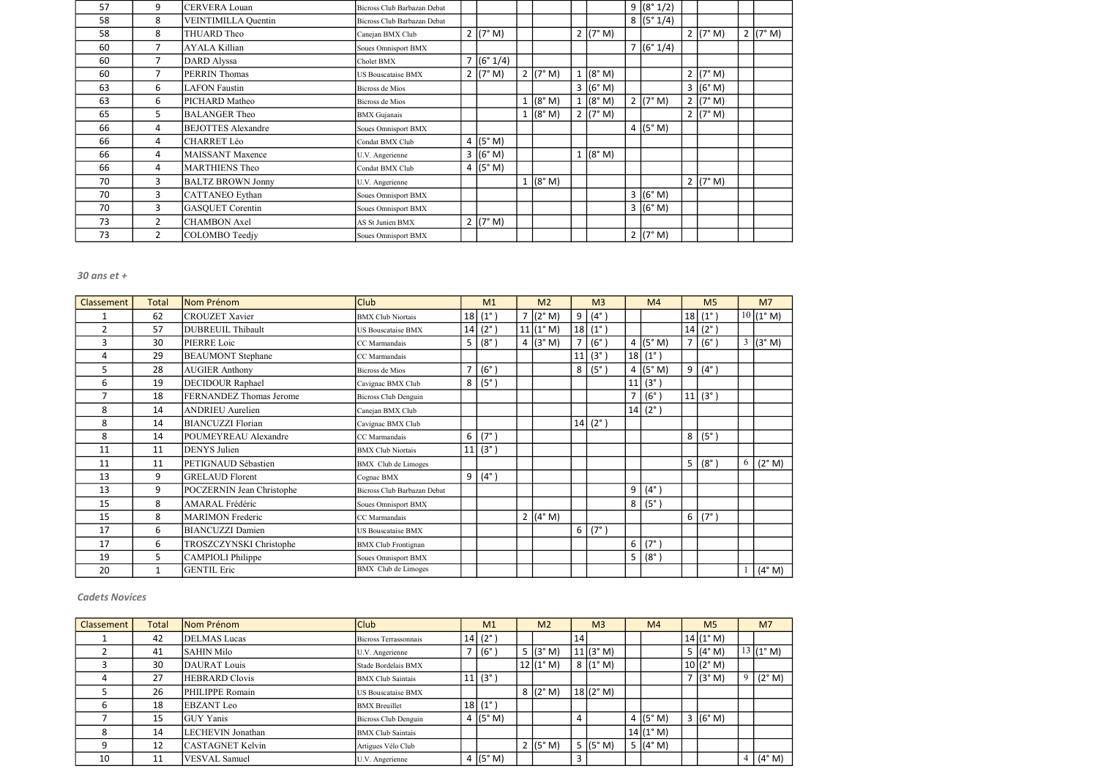| 57 | 9              | <b>CERVERA Louan</b>      | Bicross Club Barbazan Debat |                     |            |              |                    | 9 (8°1/2)  |                    |          |
|----|----------------|---------------------------|-----------------------------|---------------------|------------|--------------|--------------------|------------|--------------------|----------|
| 58 | 8              | VEINTIMILLA Quentin       | Bicross Club Barbazan Debat |                     |            |              |                    | 8 (5°1/4)  |                    |          |
| 58 | 8              | THUARD Theo               | Canejan BMX Club            | $2 (7° \text{ M})$  |            |              | 2 (7° M)           |            | 2 (7° M)           | 2 (7° M) |
| 60 | 7              | <b>AYALA Killian</b>      | Soues Omnisport BMX         |                     |            |              |                    | 7 (6°1/4)  |                    |          |
| 60 | 7              | <b>DARD</b> Alyssa        | Cholet BMX                  | 7 (6°1/4)           |            |              |                    |            |                    |          |
| 60 | 7              | PERRIN Thomas             | US Bouscataise BMX          | $2 (7° \text{ M})$  | 2 $(7° M)$ | $\mathbf{1}$ | (8° M)             |            | 2 ( $7^{\circ}$ M) |          |
| 63 | 6              | <b>LAFON Faustin</b>      | Bicross de Mios             |                     |            |              | 3 (6° M)           |            | 3 (6° M)           |          |
| 63 | 6              | PICHARD Matheo            | Bicross de Mios             |                     | 1 (8° M)   |              | (8° M)             | 2 (7° M)   | 2 (7° M)           |          |
| 65 | 5              | <b>BALANGER Theo</b>      | <b>BMX</b> Gujanais         |                     | 1 (8° M)   |              | $2 (7° \text{ M})$ |            | $2 (7° \text{ M})$ |          |
| 66 | 4              | <b>BEJOTTES Alexandre</b> | Soues Omnisport BMX         |                     |            |              |                    | 4 $(5° M)$ |                    |          |
| 66 | 4              | <b>CHARRET Léo</b>        | Condat BMX Club             | 4 ( $(5^{\circ}$ M) |            |              |                    |            |                    |          |
| 66 | 4              | <b>MAISSANT Maxence</b>   | U.V. Angerienne             | 3 (6° M)            |            |              | $1 (8° \text{ M})$ |            |                    |          |
| 66 | 4              | MARTHIENS Theo            | Condat BMX Club             | 4 ( $(5^{\circ}$ M) |            |              |                    |            |                    |          |
| 70 | 3              | <b>BALTZ BROWN Jonny</b>  | U.V. Angerienne             |                     | 1 (8° M)   |              |                    |            | 2 ( $7^{\circ}$ M) |          |
| 70 | 3              | <b>CATTANEO</b> Eythan    | Soues Omnisport BMX         |                     |            |              |                    | 3 (6° M)   |                    |          |
| 70 | 3              | <b>GASQUET Corentin</b>   | Soues Omnisport BMX         |                     |            |              |                    | 3 (6° M)   |                    |          |
| 73 | $\overline{2}$ | <b>CHAMBON Axel</b>       | AS St Junien BMX            | $2 (7° \text{ M})$  |            |              |                    |            |                    |          |
| 73 | 2              | COLOMBO Teedjy            | Soues Omnisport BMX         |                     |            |              |                    | 2 $(7° M)$ |                    |          |

| Classement     | <b>Total</b> | Nom Prénom                | <b>Club</b>                 |                          | M1                     | M <sub>2</sub>    |                | M <sub>3</sub>         |                | M <sub>4</sub>      |                | M <sub>5</sub>     |   | M <sub>7</sub> |
|----------------|--------------|---------------------------|-----------------------------|--------------------------|------------------------|-------------------|----------------|------------------------|----------------|---------------------|----------------|--------------------|---|----------------|
|                | 62           | <b>CROUZET Xavier</b>     | <b>BMX</b> Club Niortais    |                          | 18   (1 <sup>°</sup> ) | 7 $(2^{\circ} M)$ | 9              | $(4^{\circ})$          |                |                     |                | 18 (1°)            |   | 10(1° M)       |
| $\mathfrak{p}$ | 57           | <b>DUBREUIL Thibault</b>  | <b>US Bouscataise BMX</b>   |                          | 14   (2 <sup>°</sup> ) | 11 (1° M)         | 18             | $(1^{\circ})$          |                |                     |                | $14   (2^{\circ})$ |   |                |
| 3              | 30           | PIERRE Loic               | CC Marmandais               | 5                        | $(8^\circ)$            | 4 $(3° M)$        | $\overline{7}$ | $(6^{\circ}$           |                | 4 $(5° M)$          | $\overline{7}$ | $(6^\circ)$        | 3 | (3° M)         |
| 4              | 29           | <b>BEAUMONT</b> Stephane  | CC Marmandais               |                          |                        |                   | 11             | (3°)                   | 18             | $(1^{\circ})$       |                |                    |   |                |
| 5              | 28           | <b>AUGIER Anthony</b>     | Bicross de Mios             | $\overline{\phantom{a}}$ | $(6^\circ)$            |                   | 8              | (5°)                   |                | 4 ( $(5^{\circ}$ M) | 9              | $(4^{\circ})$      |   |                |
| 6              | 19           | <b>DECIDOUR Raphael</b>   | Cavignac BMX Club           | 8                        | $ (5^{\circ})$         |                   |                |                        | 11             | $(3^{\circ})$       |                |                    |   |                |
| $\overline{ }$ | 18           | FERNANDEZ Thomas Jerome   | Bicross Club Denguin        |                          |                        |                   |                |                        |                | (6°)                | 11             | $(3^\circ)$        |   |                |
| 8              | 14           | <b>ANDRIEU</b> Aurelien   | Canejan BMX Club            |                          |                        |                   |                |                        | 14             | $(2^{\circ})$       |                |                    |   |                |
| 8              | 14           | <b>BIANCUZZI Florian</b>  | Cavignac BMX Club           |                          |                        |                   |                | 14   (2 <sup>°</sup> ) |                |                     |                |                    |   |                |
| 8              | 14           | POUMEYREAU Alexandre      | CC Marmandais               | 6                        | $(7^{\circ})$          |                   |                |                        |                |                     | 8              | $(5^\circ)$        |   |                |
| 11             | 11           | <b>DENYS</b> Julien       | <b>BMX</b> Club Niortais    |                          | 11(3°)                 |                   |                |                        |                |                     |                |                    |   |                |
| 11             | 11           | PETIGNAUD Sébastien       | <b>BMX</b> Club de Limoges  |                          |                        |                   |                |                        |                |                     | 5              | $(8^\circ)$        | 6 | (2° M)         |
| 13             | 9            | <b>GRELAUD Florent</b>    | Cognac BMX                  | 9                        | $(4^{\circ})$          |                   |                |                        |                |                     |                |                    |   |                |
| 13             | 9            | POCZERNIN Jean Christophe | Bicross Club Barbazan Debat |                          |                        |                   |                |                        | 9              | $(4^{\circ})$       |                |                    |   |                |
| 15             | 8            | AMARAL Frédéric           | Soues Omnisport BMX         |                          |                        |                   |                |                        | 8 <sup>1</sup> | $(5^{\circ})$       |                |                    |   |                |
| 15             | 8            | <b>MARIMON Frederic</b>   | CC Marmandais               |                          |                        | 2 $(4° M)$        |                |                        |                |                     | 6              | $(7^\circ)$        |   |                |
| 17             | 6            | <b>BIANCUZZI</b> Damien   | <b>US Bouscataise BMX</b>   |                          |                        |                   | 6              | $(7^\circ)$            |                |                     |                |                    |   |                |
| 17             | 6            | TROSZCZYNSKI Christophe   | <b>BMX</b> Club Frontignan  |                          |                        |                   |                |                        | 6              | $(7^\circ)$         |                |                    |   |                |
| 19             | 5            | <b>CAMPIOLI</b> Philippe  | Soues Omnisport BMX         |                          |                        |                   |                |                        | 5              | $(8^\circ)$         |                |                    |   |                |
| 20             | $\mathbf{1}$ | <b>GENTIL Eric</b>        | <b>BMX</b> Club de Limoges  |                          |                        |                   |                |                        |                |                     |                |                    |   | (4° M)         |

| Classement | Total | Nom Prénom              | <b>Club</b>               | M1                     | M <sub>2</sub> |    | M <sub>3</sub> | M <sub>4</sub>    | M <sub>5</sub>    | M <sub>7</sub>                 |
|------------|-------|-------------------------|---------------------------|------------------------|----------------|----|----------------|-------------------|-------------------|--------------------------------|
|            | 42    | <b>DELMAS</b> Lucas     | Bicross Terrassonnais     | 14   (2 <sup>°</sup> ) |                | 14 |                |                   | 14 (1° M)         |                                |
|            | 41    | <b>SAHIN Milo</b>       | U.V. Angerienne           | $ (6^\circ) $          | 5 $(3° M)$     |    | 11 (3° M)      |                   | 5 $(4^{\circ} M)$ | 13(1° M)                       |
|            | 30    | <b>DAURAT</b> Louis     | Stade Bordelais BMX       |                        | 12 (1° M)      |    | 8 (1° M)       |                   | 10 (2° M)         |                                |
|            | 27    | <b>HEBRARD</b> Clovis   | <b>BMX Club Saintais</b>  | 11(3°)                 |                |    |                |                   | 7 (3°M)           | 9(2° M)                        |
|            | 26    | PHILIPPE Romain         | <b>US Bouscataise BMX</b> |                        | 8 (2° M)       |    | 18(2° M)       |                   |                   |                                |
|            | 18    | <b>EBZANT</b> Leo       | <b>BMX</b> Breuillet      | 18 (1°)                |                |    |                |                   |                   |                                |
|            | 15    | <b>GUY Yanis</b>        | Bicross Club Denguin      | 4 $(5° M)$             |                |    |                | 4 $(5° M)$        | 3 (6°M)           |                                |
| 8          | 14    | LECHEVIN Jonathan       | <b>BMX</b> Club Saintais  |                        |                |    |                | 14 (1° M)         |                   |                                |
|            | 12    | <b>CASTAGNET Kelvin</b> | Artigues Vélo Club        |                        | 2 $(5° M)$     |    | 5 (5°M)        | 5 $(4^{\circ} M)$ |                   |                                |
| 10         | 11    | <b>VESVAL</b> Samuel    | U.V. Angerienne           | 4 $(5° M)$             |                | 3  |                |                   |                   | $4 \mid (4^{\circ} \text{ M})$ |

#### Cadets Novices

#### 30 ans et +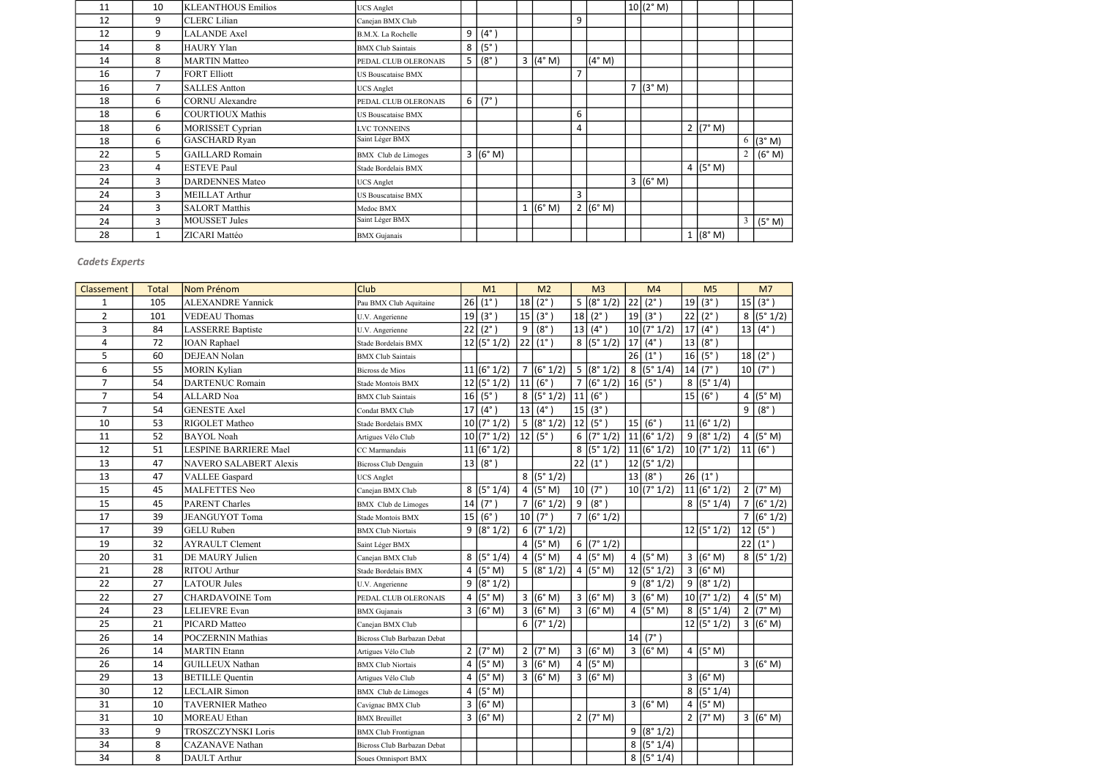| 11 | 10           | <b>KLEANTHOUS Emilios</b> | <b>UCS</b> Anglet          |                |               |          |                |            | 10(2° M) |                     |                |            |
|----|--------------|---------------------------|----------------------------|----------------|---------------|----------|----------------|------------|----------|---------------------|----------------|------------|
| 12 | 9            | <b>CLERC</b> Lilian       | Canejan BMX Club           |                |               |          | 9              |            |          |                     |                |            |
| 12 | 9            | <b>LALANDE</b> Axel       | B.M.X. La Rochelle         | 9 <sup>1</sup> | $(4^{\circ})$ |          |                |            |          |                     |                |            |
| 14 | 8            | <b>HAURY Ylan</b>         | <b>BMX</b> Club Saintais   | 8 <sup>1</sup> | (5°)          |          |                |            |          |                     |                |            |
| 14 | 8            | <b>MARTIN Matteo</b>      | PEDAL CLUB OLERONAIS       | 5              | $(8^\circ)$   | 3 (4°M)  |                | (4° M)     |          |                     |                |            |
| 16 | 7            | <b>FORT Elliott</b>       | <b>US Bouscataise BMX</b>  |                |               |          |                |            |          |                     |                |            |
| 16 | 7            | <b>SALLES Antton</b>      | <b>UCS</b> Anglet          |                |               |          |                |            | 7 (3°M)  |                     |                |            |
| 18 | 6            | <b>CORNU</b> Alexandre    | PEDAL CLUB OLERONAIS       | 6 <sup>1</sup> | $(7^\circ)$   |          |                |            |          |                     |                |            |
| 18 | 6            | <b>COURTIOUX Mathis</b>   | <b>US Bouscataise BMX</b>  |                |               |          | 6              |            |          |                     |                |            |
| 18 | 6            | <b>MORISSET Cyprian</b>   | <b>LVC TONNEINS</b>        |                |               |          | 4              |            |          | $2 (7° \text{ M})$  |                |            |
| 18 | 6            | <b>GASCHARD Ryan</b>      | Saint Léger BMX            |                |               |          |                |            |          |                     |                | $6$ (3° M) |
| 22 | 5            | <b>GAILLARD Romain</b>    | <b>BMX</b> Club de Limoges |                | 3 (6° M)      |          |                |            |          |                     | $\overline{2}$ | (6° M)     |
| 23 | 4            | <b>ESTEVE Paul</b>        | Stade Bordelais BMX        |                |               |          |                |            |          | 4 ( $(5^{\circ}$ M) |                |            |
| 24 | $\mathbf{3}$ | <b>DARDENNES Mateo</b>    | <b>UCS</b> Anglet          |                |               |          |                |            | 3 (6° M) |                     |                |            |
| 24 | 3            | <b>MEILLAT</b> Arthur     | <b>US Bouscataise BMX</b>  |                |               |          | $\overline{3}$ |            |          |                     |                |            |
| 24 | 3            | <b>SALORT Matthis</b>     | Medoc BMX                  |                |               | 1 (6° M) |                | 2 $(6° M)$ |          |                     |                |            |
| 24 | 3            | <b>MOUSSET Jules</b>      | Saint Léger BMX            |                |               |          |                |            |          |                     | $\mathfrak{Z}$ | (5° M)     |
| 28 | 1            | ZICARI Mattéo             | <b>BMX</b> Gujanais        |                |               |          |                |            |          | 1 (8° M)            |                |            |

| <b>Classement</b> | <b>Total</b> | Nom Prénom                    | <b>Club</b>                 |    | M1                 |                | M <sub>2</sub>        |                | M <sub>3</sub>       |    | M <sub>4</sub> |              | M <sub>5</sub>   |                | M <sub>7</sub>     |
|-------------------|--------------|-------------------------------|-----------------------------|----|--------------------|----------------|-----------------------|----------------|----------------------|----|----------------|--------------|------------------|----------------|--------------------|
| 1                 | 105          | <b>ALEXANDRE Yannick</b>      | Pau BMX Club Aquitaine      | 26 | $(1^{\circ})$      | 18             | $(2^{\circ})$         | 5              | (8° 1/2)             | 22 | $(2^{\circ})$  | 19           | $(3^\circ)$      |                | 15 (3°)            |
| $\overline{2}$    | 101          | <b>VEDEAU Thomas</b>          | U.V. Angerienne             | 19 | (3°)               |                | 15 (3°)               | 18             | $(2^{\circ})$        | 19 | $(3^{\circ})$  | 22           | $(2^{\circ})$    |                | 8 (5°1/2)          |
| 3                 | 84           | <b>LASSERRE</b> Baptiste      | U.V. Angerienne             | 22 | $(2^{\circ})$      | 9 <sup>1</sup> | $(8^\circ)$           | 13             | $(4^{\circ})$        |    | 10(7°1/2)      |              | $17 (4^{\circ})$ |                | $13   (4^{\circ})$ |
| 4                 | 72           | <b>IOAN Raphael</b>           | Stade Bordelais BMX         |    | 12 (5°1/2)         |                | $22 (1^{\circ})$      |                | 8 (5°1/2)            |    | 17 (4°)        |              | 13   (8°)        |                |                    |
| 5                 | 60           | <b>DEJEAN Nolan</b>           | <b>BMX</b> Club Saintais    |    |                    |                |                       |                |                      |    | 26   (1°)      |              | 16   (5°)        |                | 18(2°)             |
| 6                 | 55           | <b>MORIN Kylian</b>           | Bicross de Mios             |    | 11 (6°1/2)         | $\overline{7}$ | (6° 1/2)              |                | 5 (8°1/2)            |    | 8 (5°1/4)      |              | 14   (7°)        |                | 10 (7°)            |
| $\overline{7}$    | 54           | <b>DARTENUC Romain</b>        | Stade Montois BMX           |    | 12 (5°1/2)         | 11             | $(6^{\circ})$         | $\overline{7}$ | (6° 1/2)             |    | 16   (5°)      | 8            | (5° 1/4)         |                |                    |
| $\overline{7}$    | 54           | <b>ALLARD</b> Noa             | <b>BMX</b> Club Saintais    |    | 16   (5°)          |                | 8 (5°1/2)             | 11             | (6°)                 |    |                | 15           | $(6^\circ)$      | $\overline{4}$ | (5° M)             |
| $\overline{7}$    | 54           | <b>GENESTE Axel</b>           | Condat BMX Club             | 17 | $(4^{\circ})$      |                | $13   (4^{\circ})$    | 15             | (3°)                 |    |                |              |                  |                | $9 (8^\circ)$      |
| 10                | 53           | RIGOLET Matheo                | Stade Bordelais BMX         |    | 10 (7°1/2)         |                | 5 (8°1/2)             | 12             | $(5^\circ)$          |    | 15 (6°)        |              | 11 (6°1/2)       |                |                    |
| 11                | 52           | <b>BAYOL Noah</b>             | Artigues Vélo Club          |    | 10 (7°1/2)         |                | 12   (5°)             | 6              | (7° 1/2)             |    | 11 (6°1/2)     |              | 9 (8°1/2)        |                | 4 $(5° M)$         |
| 12                | 51           | <b>LESPINE BARRIERE Mael</b>  | CC Marmandais               |    | 11 (6°1/2)         |                |                       | 8              | (5° 1/2)             |    | 11 (6°1/2)     |              | 10 (7°1/2)       |                | 11  (6°)           |
| 13                | 47           | <b>NAVERO SALABERT Alexis</b> | <b>Bicross Club Denguin</b> |    | 13(8°)             |                |                       | 22             | $(1^{\circ})$        |    | 12 (5°1/2)     |              |                  |                |                    |
| 13                | 47           | <b>VALLEE</b> Gaspard         | <b>UCS</b> Anglet           |    |                    |                | 8(5°1/2)              |                |                      | 13 | $(8^\circ)$    |              | $26 (1^{\circ})$ |                |                    |
| 15                | 45           | <b>MALFETTES Neo</b>          | Canejan BMX Club            |    | 8 (5°1/4)          |                | 4 $(5° M)$            | 10             | $(7^\circ)$          |    | 10 (7°1/2)     |              | 11 (6°1/2)       | $\overline{2}$ | (7° M)             |
| 15                | 45           | <b>PARENT Charles</b>         | <b>BMX</b> Club de Limoges  | 14 | $(7^\circ)$        | $\overline{7}$ | (6° 1/2)              | 9              | $(8^\circ)$          |    |                |              | 8 (5°1/4)        |                | 7 (6°1/2)          |
| 17                | 39           | <b>JEANGUYOT Toma</b>         | <b>Stade Montois BMX</b>    |    | 15 (6°)            |                | $10   (7^{\circ})$    |                | $\frac{1}{7}(6°1/2)$ |    |                |              |                  | $\overline{7}$ | (6° 1/2)           |
| 17                | 39           | <b>GELU</b> Ruben             | <b>BMX Club Niortais</b>    |    | 9 (8°1/2)          |                | 6 (7°1/2)             |                |                      |    |                |              | 12 (5°1/2)       |                | 12   (5°)          |
| 19                | 32           | <b>AYRAULT Clement</b>        | Saint Léger BMX             |    |                    |                | 4 $(5° M)$            |                | 6 (7°1/2)            |    |                |              |                  | 22             | $(1^{\circ})$      |
| 20                | 31           | DE MAURY Julien               | Canejan BMX Club            |    | 8 (5°1/4)          | $\overline{4}$ | (5° M)                | $\overline{4}$ | (5° M)               |    | 4 $(5° M)$     |              | 3 (6°M)          |                | 8 (5°1/2)          |
| 21                | 28           | <b>RITOU</b> Arthur           | Stade Bordelais BMX         |    | 4 $(5° M)$         |                | 5 (8°1/2)             |                | 4 ( $(5^{\circ}$ M)  |    | 12 (5°1/2)     | $\mathbf{3}$ | (6° M)           |                |                    |
| 22                | 27           | <b>LATOUR Jules</b>           | U.V. Angerienne             |    | 9 (8°1/2)          |                |                       |                |                      |    | 9 (8°1/2)      |              | 9 (8°1/2)        |                |                    |
| 22                | 27           | <b>CHARDAVOINE Tom</b>        | PEDAL CLUB OLERONAIS        |    | 4 $(5° M)$         |                | 3 (6° M)              |                | 3 (6°M)              |    | 3 (6° M)       |              | 10 (7°1/2)       |                | 4 $(5° M)$         |
| 24                | 23           | <b>LELIEVRE</b> Evan          | <b>BMX</b> Gujanais         |    | $3 (6° \text{ M})$ |                | $\overline{3}$ (6° M) |                | 3 (6° M)             |    | 4 (5°M)        |              | 8 (5°1/4)        |                | 2 ( $7^{\circ}$ M) |
| 25                | 21           | PICARD Matteo                 | Canejan BMX Club            |    |                    |                | 6 (7°1/2)             |                |                      |    |                |              | 12 (5°1/2)       |                | 3 (6° M)           |
| 26                | 14           | <b>POCZERNIN Mathias</b>      | Bicross Club Barbazan Debat |    |                    |                |                       |                |                      | 14 | $(7^{\circ})$  |              |                  |                |                    |
| 26                | 14           | <b>MARTIN</b> Etann           | Artigues Vélo Club          |    | 2 $(7° M)$         | $\overline{2}$ | (7° M)                | $\mathbf{3}$   | (6° M)               |    | 3 (6°M)        |              | 4 $(5° M)$       |                |                    |
| 26                | 14           | <b>GUILLEUX Nathan</b>        | <b>BMX</b> Club Niortais    |    | $4$ (5° M)         |                | 3 (6°M)               | $\overline{4}$ | (5° M)               |    |                |              |                  |                | 3 (6° M)           |
| 29                | 13           | <b>BETILLE</b> Quentin        | Artigues Vélo Club          |    | 4 $(5° M)$         |                | 3 (6° M)              |                | 3 (6°M)              |    |                |              | 3 (6° M)         |                |                    |
| 30                | 12           | <b>LECLAIR</b> Simon          | <b>BMX</b> Club de Limoges  |    | 4   (5° M)         |                |                       |                |                      |    |                |              | 8 (5°1/4)        |                |                    |
| 31                | 10           | <b>TAVERNIER Matheo</b>       | Cavignac BMX Club           |    | 3 (6° M)           |                |                       |                |                      |    | 3 (6°M)        |              | 4 (5°M)          |                |                    |
| 31                | 10           | <b>MOREAU</b> Ethan           | <b>BMX</b> Breuillet        |    | 3 (6° M)           |                |                       |                | $2 (7° \text{ M})$   |    |                |              | 2 (7° M)         |                | 3 (6°M)            |
| 33                | 9            | <b>TROSZCZYNSKI Loris</b>     | <b>BMX</b> Club Frontignan  |    |                    |                |                       |                |                      |    | 9 (8°1/2)      |              |                  |                |                    |
| 34                | 8            | <b>CAZANAVE Nathan</b>        | Bicross Club Barbazan Debat |    |                    |                |                       |                |                      |    | 8 (5°1/4)      |              |                  |                |                    |
| 34                | 8            | <b>DAULT</b> Arthur           | Soues Omnisport BMX         |    |                    |                |                       |                |                      |    | 8 (5°1/4)      |              |                  |                |                    |

# Cadets Experts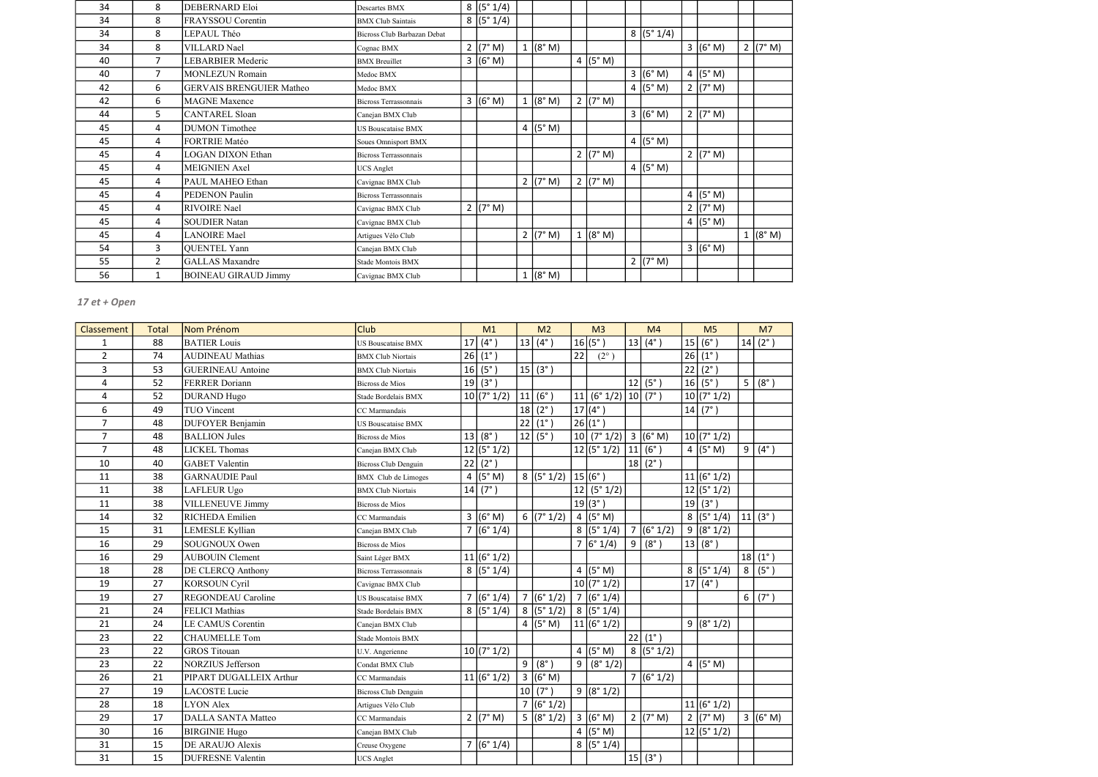| 34 | 8              | <b>DEBERNARD Eloi</b>           | <b>Descartes BMX</b>         | 8 (5°1/4)  |            |                    |                    |                    |          |
|----|----------------|---------------------------------|------------------------------|------------|------------|--------------------|--------------------|--------------------|----------|
| 34 | 8              | FRAYSSOU Corentin               | <b>BMX Club Saintais</b>     | 8 (5°1/4)  |            |                    |                    |                    |          |
| 34 | 8              | LEPAUL Théo                     | Bicross Club Barbazan Debat  |            |            |                    | 8 (5°1/4)          |                    |          |
| 34 | 8              | <b>VILLARD</b> Nael             | Cognac BMX                   | 2 $(7° M)$ | (8° M)     |                    |                    | 3 (6°M)            | 2 (7° M) |
| 40 | $\overline{7}$ | <b>LEBARBIER Mederic</b>        | <b>BMX</b> Breuillet         | 3 (6° M)   |            | 4 $(5° M)$         |                    |                    |          |
| 40 | $\overline{7}$ | <b>MONLEZUN Romain</b>          | Medoc BMX                    |            |            |                    | 3 (6° M)           | 4 $(5° M)$         |          |
| 42 | 6              | <b>GERVAIS BRENGUIER Matheo</b> | Medoc BMX                    |            |            |                    | 4 $(5° M)$         | 2 $(7° M)$         |          |
| 42 | 6              | <b>MAGNE</b> Maxence            | <b>Bicross Terrassonnais</b> | 3 (6° M)   | 1 (8° M)   | 2 $(7° M)$         |                    |                    |          |
| 44 | 5              | CANTAREL Sloan                  | Canejan BMX Club             |            |            |                    | 3 (6° M)           | $2 (7° \text{ M})$ |          |
| 45 | 4              | <b>DUMON</b> Timothee           | <b>US Bouscataise BMX</b>    |            | 4 $(5° M)$ |                    |                    |                    |          |
| 45 | 4              | <b>FORTRIE Matéo</b>            | Soues Omnisport BMX          |            |            |                    | 4 $(5° M)$         |                    |          |
| 45 | 4              | <b>LOGAN DIXON Ethan</b>        | <b>Bicross Terrassonnais</b> |            |            | $2 (7° \text{ M})$ |                    | 2 (7° M)           |          |
| 45 | 4              | <b>MEIGNIEN Axel</b>            | <b>UCS</b> Anglet            |            |            |                    | 4 $(5° M)$         |                    |          |
| 45 | 4              | PAUL MAHEO Ethan                | Cavignac BMX Club            |            | 2 (7° M)   | $2 (7° \text{ M})$ |                    |                    |          |
| 45 | 4              | <b>PEDENON Paulin</b>           | Bicross Terrassonnais        |            |            |                    |                    | 4 $(5° M)$         |          |
| 45 | 4              | RIVOIRE Nael                    | Cavignac BMX Club            | 2 (7° M)   |            |                    |                    | 2 (7° M)           |          |
| 45 | 4              | <b>SOUDIER Natan</b>            | Cavignac BMX Club            |            |            |                    |                    | 4 $(5° M)$         |          |
| 45 | 4              | <b>LANOIRE</b> Mael             | Artigues Vélo Club           |            | 2 $(7° M)$ | (8° M)             |                    |                    | 1 (8° M) |
| 54 | 3              | <b>QUENTEL Yann</b>             | Canejan BMX Club             |            |            |                    |                    | 3 (6° M)           |          |
| 55 | $\overline{2}$ | <b>GALLAS</b> Maxandre          | Stade Montois BMX            |            |            |                    | $2 (7° \text{ M})$ |                    |          |
| 56 | 1              | <b>BOINEAU GIRAUD Jimmy</b>     | Cavignac BMX Club            |            | 1 (8° M)   |                    |                    |                    |          |

| Classement     | <b>Total</b> | Nom Prénom                | <b>Club</b>               |    | M1                  | M <sub>2</sub> |                         | M <sub>3</sub> |                        |                | M <sub>4</sub>     |    | M <sub>5</sub>      |                | M <sub>7</sub>     |
|----------------|--------------|---------------------------|---------------------------|----|---------------------|----------------|-------------------------|----------------|------------------------|----------------|--------------------|----|---------------------|----------------|--------------------|
| $\mathbf{1}$   | 88           | <b>BATIER Louis</b>       | <b>US Bouscataise BMX</b> | 17 | $(4^{\circ})$       |                | 13 $(4^{\circ})$        |                | 16(5°)                 |                | 13 $(4^{\circ})$   | 15 | $(6^\circ)$         |                | $14   (2^{\circ})$ |
| $\overline{2}$ | 74           | <b>AUDINEAU Mathias</b>   | <b>BMX Club Niortais</b>  |    | 26   (1°)           |                |                         | 22             | $(2^{\circ})$          |                |                    | 26 | $(1^{\circ})$       |                |                    |
| 3              | 53           | <b>GUERINEAU Antoine</b>  | <b>BMX Club Niortais</b>  |    | 16   (5°)           |                | 15 (3°)                 |                |                        |                |                    | 22 | $(2^{\circ})$       |                |                    |
| 4              | 52           | <b>FERRER Doriann</b>     | <b>Bicross de Mios</b>    |    | 19(3°)              |                |                         |                |                        |                | 12   (5°)          |    | 16   (5°)           | 5 <sup>1</sup> | $(8^\circ)$        |
| 4              | 52           | <b>DURAND Hugo</b>        | Stade Bordelais BMX       |    | 10 (7°1/2)          | 11             | $(6^{\circ})$           | 11             | (6° 1/2)   10   (7°)   |                |                    |    | 10 (7°1/2)          |                |                    |
| 6              | 49           | <b>TUO Vincent</b>        | CC Marmandais             |    |                     | 18             | $(2^{\circ})$           |                | $17 (4^\circ)$         |                |                    |    | 14   (7°)           |                |                    |
| $\overline{7}$ | 48           | <b>DUFOYER Benjamin</b>   | <b>US Bouscataise BMX</b> |    |                     | 22             | $(1^{\circ})$           |                | $26 (1^{\circ})$       |                |                    |    |                     |                |                    |
| $\overline{7}$ | 48           | <b>BALLION Jules</b>      | <b>Bicross</b> de Mios    |    | 13   (8°)           | 12             | $(5^\circ)$             | 10             | (7° 1/2)               |                | 3 (6°M)            |    | 10 (7°1/2)          |                |                    |
| $\overline{7}$ | 48           | <b>LICKEL Thomas</b>      | Canejan BMX Club          |    | 12 (5°1/2)          |                |                         |                | 12 (5°1/2)             |                | $ 11 $ (6°)        |    | 4 ( $(5^{\circ}$ M) | 9              | $(4^{\circ})$      |
| 10             | 40           | <b>GABET Valentin</b>     | Bicross Club Denguin      |    | $22 (2^{\circ})$    |                |                         |                |                        |                | $18   (2^{\circ})$ |    |                     |                |                    |
| 11             | 38           | <b>GARNAUDIE Paul</b>     | BMX Club de Limoges       |    | 4 ( $(5^{\circ}$ M) |                | 8 (5°1/2)               |                | 15 (6°)                |                |                    |    | 11 (6°1/2)          |                |                    |
| 11             | 38           | LAFLEUR Ugo               | <b>BMX Club Niortais</b>  |    | 14   (7°)           |                |                         |                | 12   (5° 1/2)          |                |                    |    | 12 (5°1/2)          |                |                    |
| 11             | 38           | <b>VILLENEUVE Jimmy</b>   | <b>Bicross</b> de Mios    |    |                     |                |                         |                | 19(3°)                 |                |                    |    | 19   (3°)           |                |                    |
| 14             | 32           | RICHEDA Emilien           | CC Marmandais             |    | 3 (6° M)            |                | 6 $(7° 1/2)$            |                | 4(5° M)                |                |                    |    | 8 (5°1/4)           |                | $ 11 $ (3°)        |
| 15             | 31           | <b>LEMESLE Kyllian</b>    | Canejan BMX Club          |    | 7 (6°1/4)           |                |                         |                | 8 (5°1/4)              |                | 7(6°1/2)           |    | 9 (8°1/2)           |                |                    |
| 16             | 29           | SOUGNOUX Owen             | <b>Bicross</b> de Mios    |    |                     |                |                         |                | 7 6°1/4                | 9 <sup>1</sup> | $(8^\circ)$        |    | 13   (8°)           |                |                    |
| 16             | 29           | <b>AUBOUIN Clement</b>    | Saint Léger BMX           |    | 11 (6°1/2)          |                |                         |                |                        |                |                    |    |                     |                | 18 (1°)            |
| 18             | 28           | DE CLERCQ Anthony         | Bicross Terrassonnais     |    | 8 (5°1/4)           |                |                         | 4              | (5° M)                 |                |                    |    | 8 (5°1/4)           | 8              | $(5^{\circ})$      |
| 19             | 27           | <b>KORSOUN Cyril</b>      | Cavignac BMX Club         |    |                     |                |                         |                | 10 (7°1/2)             |                |                    |    | 17 $(4^{\circ})$    |                |                    |
| 19             | 27           | REGONDEAU Caroline        | <b>US Bouscataise BMX</b> |    | 7 (6°1/4)           |                | 7 (6°1/2)               |                | $\frac{1}{7}$ (6° 1/4) |                |                    |    |                     | $6 \mid$       | $(7^\circ)$        |
| 21             | 24           | <b>FELICI Mathias</b>     | Stade Bordelais BMX       |    | 8 (5°1/4)           |                | 8 (5°1/2)               |                | 8(5°1/4)               |                |                    |    |                     |                |                    |
| 21             | 24           | <b>LE CAMUS Corentin</b>  | Canejan BMX Club          |    |                     |                | 4 $(5° M)$              |                | 11 (6°1/2)             |                |                    |    | 9 (8°1/2)           |                |                    |
| 23             | 22           | <b>CHAUMELLE Tom</b>      | Stade Montois BMX         |    |                     |                |                         |                |                        |                | 22 (1°)            |    |                     |                |                    |
| 23             | 22           | <b>GROS</b> Titouan       | U.V. Angerienne           |    | 10 (7°1/2)          |                |                         |                | 4 $(5° M)$             |                | 8 (5°1/2)          |    |                     |                |                    |
| 23             | 22           | <b>NORZIUS Jefferson</b>  | Condat BMX Club           |    |                     | 9              | $(8^\circ)$             | 9              | (8° 1/2)               |                |                    |    | 4 ( $(5^{\circ}$ M) |                |                    |
| 26             | 21           | PIPART DUGALLEIX Arthur   | CC Marmandais             |    | 11 (6°1/2)          |                | 3 (6° M)                |                |                        |                | 7 (6°1/2)          |    |                     |                |                    |
| 27             | 19           | <b>LACOSTE</b> Lucie      | Bicross Club Denguin      |    |                     | 10             | $(7^\circ)$             |                | 9 (8°1/2)              |                |                    |    |                     |                |                    |
| 28             | 18           | <b>LYON Alex</b>          | Artigues Vélo Club        |    |                     |                | 7 (6°1/2)               |                |                        |                |                    |    | 11 (6°1/2)          |                |                    |
| 29             | 17           | <b>DALLA SANTA Matteo</b> | CC Marmandais             |    | 2 ( $7^{\circ}$ M)  |                | $\overline{5}$ (8° 1/2) |                | 3 (6° M)               |                | 2 ( $7^{\circ}$ M) |    | $2 (7° \text{ M})$  |                | 3 (6°M)            |
| 30             | 16           | <b>BIRGINIE Hugo</b>      | Canejan BMX Club          |    |                     |                |                         |                | 4 ( $(5^{\circ}$ M)    |                |                    |    | 12 (5°1/2)          |                |                    |
| 31             | 15           | DE ARAUJO Alexis          | Creuse Oxygene            |    | 7 (6°1/4)           |                |                         |                | 8 (5°1/4)              |                |                    |    |                     |                |                    |
| 31             | 15           | <b>DUFRESNE Valentin</b>  | <b>UCS</b> Anglet         |    |                     |                |                         |                |                        |                | $ 15 $ (3°)        |    |                     |                |                    |

# 17 et + Open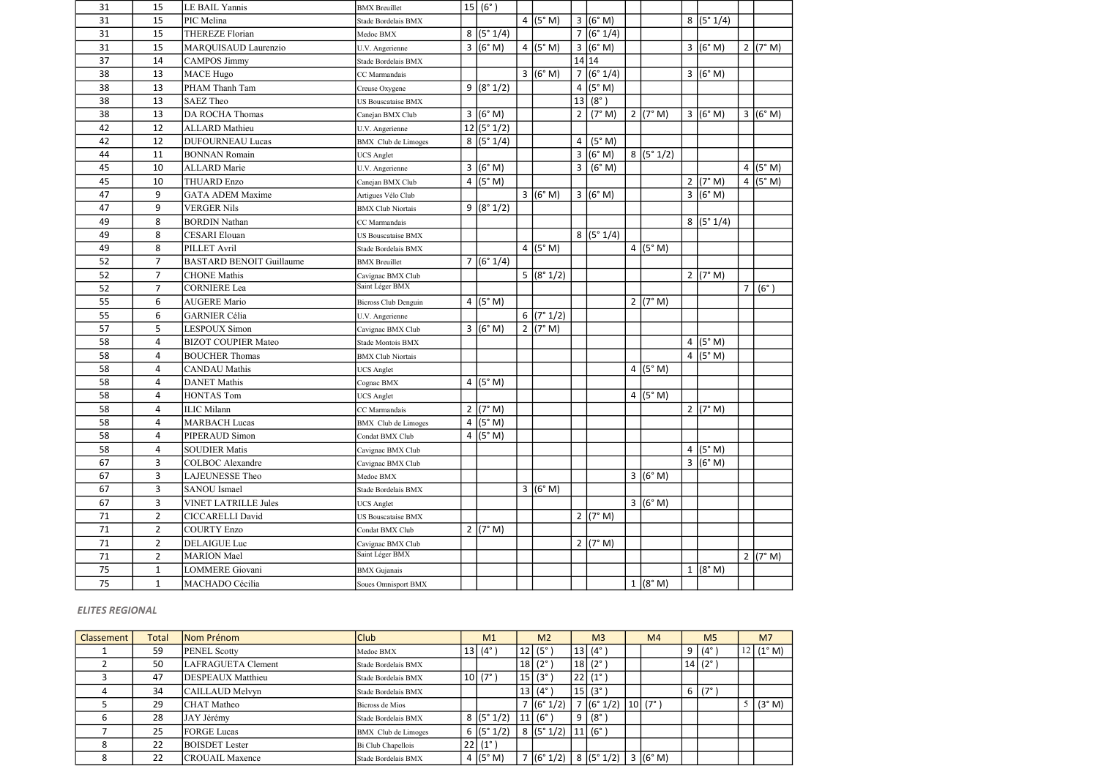| 31 | 15             | LE BAIL Yannis                  | <b>BMX</b> Breuillet       | 15  (6°)             |                        |                         |                    |                    |                     |                |             |
|----|----------------|---------------------------------|----------------------------|----------------------|------------------------|-------------------------|--------------------|--------------------|---------------------|----------------|-------------|
| 31 | 15             | PIC Melina                      | Stade Bordelais BMX        |                      | 4 $(5° M)$             |                         | $3 (6° \text{ M})$ |                    | 8 (5°1/4)           |                |             |
| 31 | 15             | <b>THEREZE Florian</b>          | Medoc BMX                  | 8 (5°1/4)            |                        | $\overline{7}$          | (6° 1/4)           |                    |                     |                |             |
| 31 | 15             | MARQUISAUD Laurenzio            | U.V. Angerienne            | 3 (6°M)              | 4 $(5° M)$             | $\overline{3}$          | (6° M)             |                    | 3 (6°M)             |                | 2 (7° M)    |
| 37 | 14             | <b>CAMPOS Jimmy</b>             | Stade Bordelais BMX        |                      |                        | 14 14                   |                    |                    |                     |                |             |
| 38 | 13             | <b>MACE Hugo</b>                | CC Marmandais              |                      | 3 (6° M)               |                         | 7(6°1/4)           |                    | 3 (6° M)            |                |             |
| 38 | 13             | PHAM Thanh Tam                  | Creuse Oxygene             | 9 (8°1/2)            |                        | $\overline{4}$          | (5° M)             |                    |                     |                |             |
| 38 | 13             | <b>SAEZ Theo</b>                | US Bouscataise BMX         |                      |                        | 13                      | (8°)               |                    |                     |                |             |
| 38 | 13             | <b>DA ROCHA Thomas</b>          | Canejan BMX Club           | 3 (6° M)             |                        | $\overline{2}$          | (7° M)             | $2 (7° \text{ M})$ | 3 (6°M)             |                | 3 (6°M)     |
| 42 | 12             | <b>ALLARD</b> Mathieu           | U.V. Angerienne            | 12 (5°1/2)           |                        |                         |                    |                    |                     |                |             |
| 42 | 12             | <b>DUFOURNEAU Lucas</b>         | <b>BMX</b> Club de Limoges | 8 (5°1/4)            |                        | $\overline{\mathbf{4}}$ | (5° M)             |                    |                     |                |             |
| 44 | 11             | <b>BONNAN Romain</b>            | <b>UCS</b> Anglet          |                      |                        | $\overline{3}$          | (6° M)             | 8 (5°1/2)          |                     |                |             |
| 45 | 10             | <b>ALLARD</b> Marie             | U.V. Angerienne            | 3 (6° M)             |                        | 3                       | (6° M)             |                    |                     |                | 4 $(5° M)$  |
| 45 | 10             | <b>THUARD Enzo</b>              | Canejan BMX Club           | 4 $(5° M)$           |                        |                         |                    |                    | 2 $(7° M)$          |                | 4 $(5° M)$  |
| 47 | 9              | <b>GATA ADEM Maxime</b>         | Artigues Vélo Club         |                      | 3 (6° M)               |                         | 3 (6° M)           |                    | 3 (6° M)            |                |             |
| 47 | 9              | <b>VERGER Nils</b>              | <b>BMX Club Niortais</b>   | 9 (8°1/2)            |                        |                         |                    |                    |                     |                |             |
| 49 | 8              | <b>BORDIN Nathan</b>            | CC Marmandais              |                      |                        |                         |                    |                    | 8 (5°1/4)           |                |             |
| 49 | 8              | <b>CESARI</b> Elouan            | US Bouscataise BMX         |                      |                        |                         | 8(5°1/4)           |                    |                     |                |             |
| 49 | 8              | PILLET Avril                    | Stade Bordelais BMX        |                      | 4 $(5° M)$             |                         |                    | 4 $(5° M)$         |                     |                |             |
| 52 | $\overline{7}$ | <b>BASTARD BENOIT Guillaume</b> | <b>BMX</b> Breuillet       | $\frac{1}{7}(6°1/4)$ |                        |                         |                    |                    |                     |                |             |
| 52 | $\overline{7}$ | <b>CHONE</b> Mathis             | Cavignac BMX Club          |                      | 5 (8°1/2)              |                         |                    |                    | $2 (7° \text{ M})$  |                |             |
| 52 | $\overline{7}$ | <b>CORNIERE</b> Lea             | Saint Léger BMX            |                      |                        |                         |                    |                    |                     | 7 <sup>1</sup> | $(6^\circ)$ |
| 55 | 6              | <b>AUGERE Mario</b>             | Bicross Club Denguin       | 4 $(5° M)$           |                        |                         |                    | $2 (7° \text{ M})$ |                     |                |             |
| 55 | 6              | <b>GARNIER Célia</b>            | U.V. Angerienne            |                      | $\frac{1}{6}$ (7° 1/2) |                         |                    |                    |                     |                |             |
| 57 | 5              | <b>LESPOUX Simon</b>            | Cavignac BMX Club          | 3 (6° M)             | 2 (7° M)               |                         |                    |                    |                     |                |             |
| 58 | $\overline{a}$ | <b>BIZOT COUPIER Mateo</b>      | Stade Montois BMX          |                      |                        |                         |                    |                    | 4 $(5° M)$          |                |             |
| 58 | 4              | <b>BOUCHER Thomas</b>           | <b>BMX Club Niortais</b>   |                      |                        |                         |                    |                    | 4 ( $(5^{\circ}$ M) |                |             |
| 58 | 4              | <b>CANDAU</b> Mathis            | <b>UCS</b> Anglet          |                      |                        |                         |                    | 4 $(5° M)$         |                     |                |             |
| 58 | 4              | <b>DANET</b> Mathis             | Cognac BMX                 | 4 ( $(5^{\circ}$ M)  |                        |                         |                    |                    |                     |                |             |
| 58 | 4              | <b>HONTAS Tom</b>               | <b>UCS</b> Anglet          |                      |                        |                         |                    | 4 $(5° M)$         |                     |                |             |
| 58 | 4              | <b>ILIC Milann</b>              | CC Marmandais              | 2 (7° M)             |                        |                         |                    |                    | 2 (7° M)            |                |             |
| 58 | 4              | <b>MARBACH Lucas</b>            | <b>BMX</b> Club de Limoges | 4 $(5° M)$           |                        |                         |                    |                    |                     |                |             |
| 58 | 4              | PIPERAUD Simon                  | Condat BMX Club            | 4 $(5° M)$           |                        |                         |                    |                    |                     |                |             |
| 58 | 4              | <b>SOUDIER Matis</b>            | Cavignac BMX Club          |                      |                        |                         |                    |                    | 4 $(5° M)$          |                |             |
| 67 | 3              | <b>COLBOC</b> Alexandre         | Cavignac BMX Club          |                      |                        |                         |                    |                    | 3 (6°M)             |                |             |
| 67 | $\mathbf{3}$   | LAJEUNESSE Theo                 | Medoc BMX                  |                      |                        |                         |                    | 3 (6° M)           |                     |                |             |
| 67 | 3              | <b>SANOU Ismael</b>             | Stade Bordelais BMX        |                      | 3 (6° M)               |                         |                    |                    |                     |                |             |
| 67 | 3              | <b>VINET LATRILLE Jules</b>     | <b>UCS</b> Anglet          |                      |                        |                         |                    | 3 (6° M)           |                     |                |             |
| 71 | $\overline{2}$ | <b>CICCARELLI David</b>         | US Bouscataise BMX         |                      |                        |                         | $2 (7° \text{ M})$ |                    |                     |                |             |
| 71 | $\overline{2}$ | <b>COURTY Enzo</b>              | Condat BMX Club            | 2 (7° M)             |                        |                         |                    |                    |                     |                |             |
| 71 | $\overline{2}$ | <b>DELAIGUE Luc</b>             | Cavignac BMX Club          |                      |                        |                         | $2 (7° \text{ M})$ |                    |                     |                |             |
| 71 | $\overline{2}$ | <b>MARION</b> Mael              | Saint Léger BMX            |                      |                        |                         |                    |                    |                     |                | 2 (7° M)    |
| 75 | $\mathbf{1}$   | <b>LOMMERE</b> Giovani          | <b>BMX</b> Gujanais        |                      |                        |                         |                    |                    | $1 (8° \text{ M})$  |                |             |
| 75 | $\mathbf{1}$   | MACHADO Cécilia                 | Soues Omnisport BMX        |                      |                        |                         |                    | 1 (8° M)           |                     |                |             |

| Classement | Total | Nom Prénom               | <b>Club</b>         | M <sub>1</sub>     |    | M <sub>2</sub> | M <sub>3</sub>  |                  | M <sub>4</sub> |             | M <sub>5</sub> |                 | M <sub>7</sub>  |
|------------|-------|--------------------------|---------------------|--------------------|----|----------------|-----------------|------------------|----------------|-------------|----------------|-----------------|-----------------|
|            | 59    | <b>PENEL Scotty</b>      | Medoc BMX           | $13   (4^{\circ})$ | 12 | $(5^\circ$     | 13              | $(4^{\circ}$     |                |             |                | $9 (4^\circ)$   | $(1^{\circ} M)$ |
|            | 50    | LAFRAGUETA Clement       | Stade Bordelais BMX |                    |    | $18(2^\circ)$  |                 | $18(2^{\circ})$  |                |             |                | $ 14 $ (2°)     |                 |
|            | 47    | <b>DESPEAUX</b> Matthieu | Stade Bordelais BMX | 10(7°)             |    | 15   (3°)      |                 | $22 (1^{\circ})$ |                |             |                |                 |                 |
|            | 34    | CAILLAUD Melvyn          | Stade Bordelais BMX |                    | 13 | $(4^\circ)$    | 15 <sup>1</sup> | $(3^\circ)$      |                |             |                | 6 $(7^{\circ})$ |                 |
|            | 29    | <b>CHAT</b> Matheo       | Bicross de Mios     |                    |    | 7 (6°1/2)      |                 | (6° 1/2)         |                | $ 10 $ (7°) |                |                 | (3° M)          |
|            | 28    | JAY Jérémy               | Stade Bordelais BMX | 8 (5°1/2)          | 11 | $(6^{\circ}$   | 9               | (8°              |                |             |                |                 |                 |
|            | 25    | <b>FORGE Lucas</b>       | BMX Club de Limoges | 6 $(5° 1/2)$       |    | 8 (5°1/2)      |                 | 11 (6°)          |                |             |                |                 |                 |
| 8          | 22    | <b>BOISDET</b> Lester    | Bi Club Chapellois  | 22 (1°)            |    |                |                 |                  |                |             |                |                 |                 |
| 8          | 22    | <b>CROUAIL Maxence</b>   | Stade Bordelais BMX | 4 $(5° M)$         |    | 7 (6°1/2)      |                 | 8 (5°1/2)        |                | 3 (6°M)     |                |                 |                 |

### ELITES REGIONAL